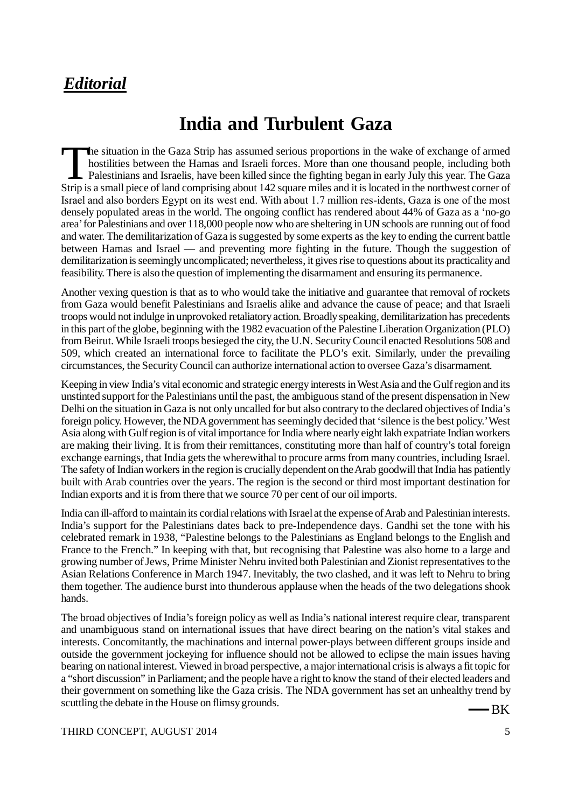# *Editorial*

# **India and Turbulent Gaza**

The situation in the Gaza Strip has assumed serious proportions in the wake of exchange of armed<br>hostilities between the Hamas and Israeli forces. More than one thousand people, including both<br>Palestinians and Israelis, ha he situation in the Gaza Strip has assumed serious proportions in the wake of exchange of armed hostilities between the Hamas and Israeli forces. More than one thousand people, including both Palestinians and Israelis, have been killed since the fighting began in early July this year. The Gaza Israel and also borders Egypt on its west end. With about 1.7 million res-idents, Gaza is one of the most densely populated areas in the world. The ongoing conflict has rendered about 44% of Gaza as a 'no-go area' for Palestinians and over 118,000 people now who are sheltering in UN schools are running out of food and water. The demilitarization of Gaza is suggested by some experts as the key to ending the current battle between Hamas and Israel — and preventing more fighting in the future. Though the suggestion of demilitarization is seemingly uncomplicated; nevertheless, it gives rise to questions about its practicality and feasibility. There is also the question of implementing the disarmament and ensuring its permanence.

Another vexing question is that as to who would take the initiative and guarantee that removal of rockets from Gaza would benefit Palestinians and Israelis alike and advance the cause of peace; and that Israeli troops would not indulge in unprovoked retaliatory action. Broadly speaking, demilitarization has precedents in this part of the globe, beginning with the 1982 evacuation of the Palestine Liberation Organization (PLO) from Beirut. While Israeli troops besieged the city, the U.N. Security Council enacted Resolutions 508 and 509, which created an international force to facilitate the PLO's exit. Similarly, under the prevailing circumstances, the Security Council can authorize international action to oversee Gaza's disarmament.

Keeping in view India's vital economic and strategic energy interests in West Asia and the Gulf region and its unstinted support for the Palestinians until the past, the ambiguous stand of the present dispensation in New Delhi on the situation in Gaza is not only uncalled for but also contrary to the declared objectives of India's foreign policy. However, the NDA government has seemingly decided that 'silence is the best policy.' West Asia along with Gulf region is of vital importance for India where nearly eight lakh expatriate Indian workers are making their living. It is from their remittances, constituting more than half of country's total foreign exchange earnings, that India gets the wherewithal to procure arms from many countries, including Israel. The safety of Indian workers in the region is crucially dependent on the Arab goodwill that India has patiently built with Arab countries over the years. The region is the second or third most important destination for Indian exports and it is from there that we source 70 per cent of our oil imports.

India can ill-afford to maintain its cordial relations with Israel at the expense of Arab and Palestinian interests. India's support for the Palestinians dates back to pre-Independence days. Gandhi set the tone with his celebrated remark in 1938, "Palestine belongs to the Palestinians as England belongs to the English and France to the French." In keeping with that, but recognising that Palestine was also home to a large and growing number of Jews, Prime Minister Nehru invited both Palestinian and Zionist representatives to the Asian Relations Conference in March 1947. Inevitably, the two clashed, and it was left to Nehru to bring them together. The audience burst into thunderous applause when the heads of the two delegations shook hands.

The broad objectives of India's foreign policy as well as India's national interest require clear, transparent and unambiguous stand on international issues that have direct bearing on the nation's vital stakes and interests. Concomitantly, the machinations and internal power-plays between different groups inside and outside the government jockeying for influence should not be allowed to eclipse the main issues having bearing on national interest. Viewed in broad perspective, a major international crisis is always a fit topic for a "short discussion" in Parliament; and the people have a right to know the stand of their elected leaders and their government on something like the Gaza crisis. The NDA government has set an unhealthy trend by scuttling the debate in the House on flimsy grounds.

 $-BK$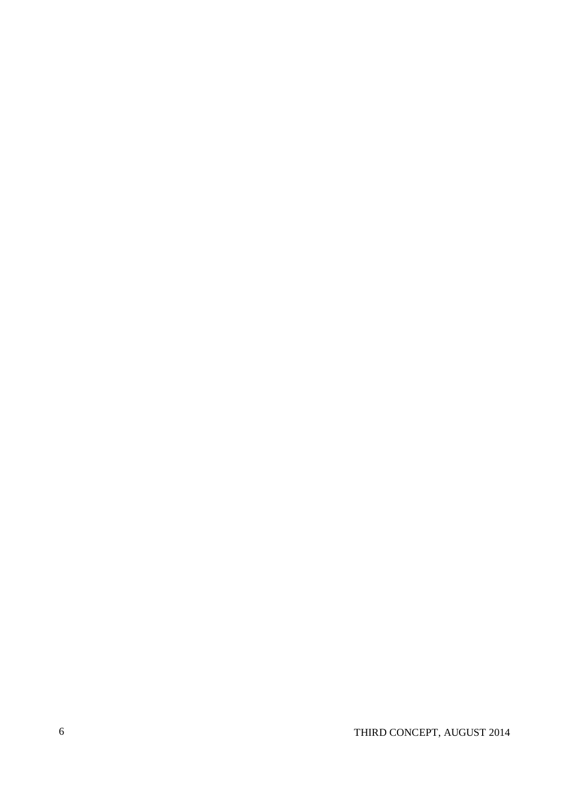THIRD CONCEPT, AUGUST 2014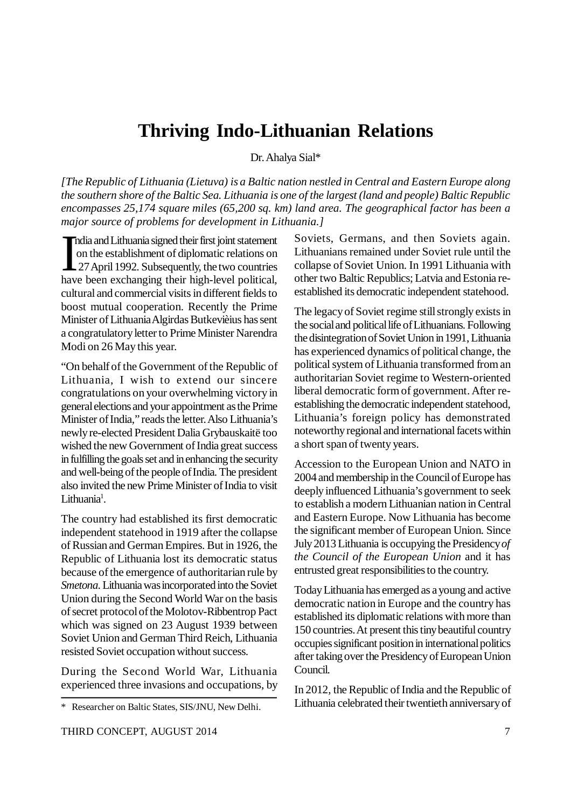# **Thriving Indo-Lithuanian Relations**

Dr. Ahalya Sial\*

*[The Republic of Lithuania (Lietuva) is a Baltic nation nestled in Central and Eastern Europe along the southern shore of the Baltic Sea. Lithuania is one of the largest (land and people) Baltic Republic encompasses 25,174 square miles (65,200 sq. km) land area. The geographical factor has been a major source of problems for development in Lithuania.]*

 $\sum_{\text{haw}}$ ndia and Lithuania signed their first joint statement on the establishment of diplomatic relations on 27 April 1992. Subsequently, the two countries have been exchanging their high-level political, cultural and commercial visits in different fields to boost mutual cooperation. Recently the Prime Minister of Lithuania Algirdas Butkevièius has sent a congratulatory letter to Prime Minister Narendra Modi on 26 May this year.

"On behalf of the Government of the Republic of Lithuania, I wish to extend our sincere congratulations on your overwhelming victory in general elections and your appointment as the Prime Minister of India," reads the letter. Also Lithuania's newly re-elected President Dalia Grybauskaitë too wished the new Government of India great success in fulfilling the goals set and in enhancing the security and well-being of the people of India. The president also invited the new Prime Minister of India to visit Lithuania<sup>1</sup>.

The country had established its first democratic independent statehood in 1919 after the collapse of Russian and German Empires. But in 1926, the Republic of Lithuania lost its democratic status because of the emergence of authoritarian rule by *Smetona*. Lithuania was incorporated into the Soviet Union during the Second World War on the basis of secret protocol of the Molotov-Ribbentrop Pact which was signed on 23 August 1939 between Soviet Union and German Third Reich, Lithuania resisted Soviet occupation without success.

During the Second World War, Lithuania experienced three invasions and occupations, by

Soviets, Germans, and then Soviets again. Lithuanians remained under Soviet rule until the collapse of Soviet Union. In 1991 Lithuania with other two Baltic Republics; Latvia and Estonia reestablished its democratic independent statehood.

The legacy of Soviet regime still strongly exists in the social and political life of Lithuanians. Following the disintegration of Soviet Union in 1991, Lithuania has experienced dynamics of political change, the political system of Lithuania transformed from an authoritarian Soviet regime to Western-oriented liberal democratic form of government. After reestablishing the democratic independent statehood, Lithuania's foreign policy has demonstrated noteworthy regional and international facets within a short span of twenty years.

Accession to the European Union and NATO in 2004 and membership in the Council of Europe has deeply influenced Lithuania's government to seek to establish a modern Lithuanian nation in Central and Eastern Europe. Now Lithuania has become the significant member of European Union. Since July 2013 Lithuania is occupying the Presidency *of the Council of the European Union* and it has entrusted great responsibilities to the country.

Today Lithuania has emerged as a young and active democratic nation in Europe and the country has established its diplomatic relations with more than 150 countries. At present this tiny beautiful country occupies significant position in international politics after taking over the Presidency of European Union Council.

In 2012, the Republic of India and the Republic of Lithuania celebrated their twentieth anniversary of

<sup>\*</sup> Researcher on Baltic States, SIS/JNU, New Delhi.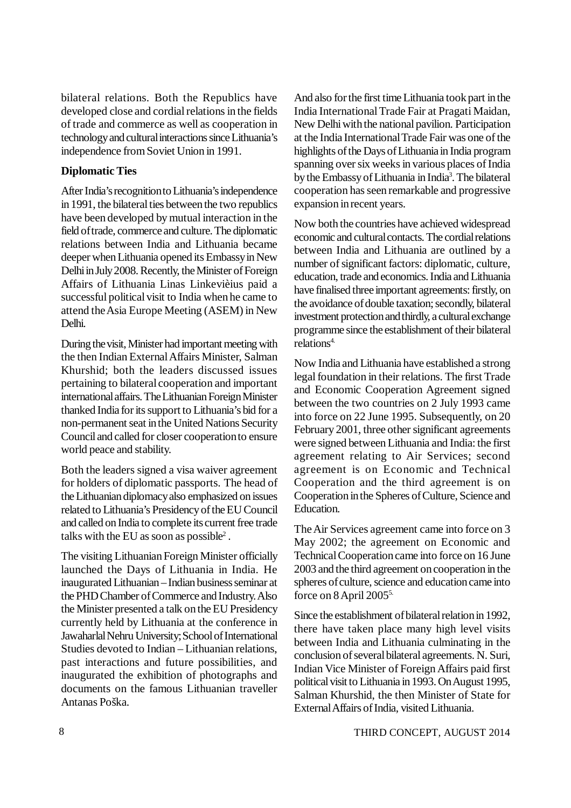bilateral relations. Both the Republics have developed close and cordial relations in the fields of trade and commerce as well as cooperation in technology and cultural interactions since Lithuania's independence from Soviet Union in 1991.

### **Diplomatic Ties**

After India's recognition to Lithuania's independence in 1991, the bilateral ties between the two republics have been developed by mutual interaction in the field of trade, commerce and culture. The diplomatic relations between India and Lithuania became deeper when Lithuania opened its Embassy in New Delhi in July 2008. Recently, the Minister of Foreign Affairs of Lithuania Linas Linkevièius paid a successful political visit to India when he came to attend the Asia Europe Meeting (ASEM) in New Delhi.

During the visit, Minister had important meeting with the then Indian External Affairs Minister, Salman Khurshid; both the leaders discussed issues pertaining to bilateral cooperation and important international affairs. The Lithuanian Foreign Minister thanked India for its support to Lithuania's bid for a non-permanent seat in the United Nations Security Council and called for closer cooperation to ensure world peace and stability.

Both the leaders signed a visa waiver agreement for holders of diplomatic passports. The head of the Lithuanian diplomacy also emphasized on issues related to Lithuania's Presidency of the EU Council and called on India to complete its current free trade talks with the EU as soon as possible<sup>2</sup>.

The visiting Lithuanian Foreign Minister officially launched the Days of Lithuania in India. He inaugurated Lithuanian – Indian business seminar at the PHD Chamber of Commerce and Industry. Also the Minister presented a talk on the EU Presidency currently held by Lithuania at the conference in Jawaharlal Nehru University; School of International Studies devoted to Indian – Lithuanian relations, past interactions and future possibilities, and inaugurated the exhibition of photographs and documents on the famous Lithuanian traveller Antanas Poška.

And also for the first time Lithuania took part in the India International Trade Fair at Pragati Maidan, New Delhi with the national pavilion. Participation at the India International Trade Fair was one of the highlights of the Days of Lithuania in India program spanning over six weeks in various places of India by the Embassy of Lithuania in India<sup>3</sup>. The bilateral cooperation has seen remarkable and progressive expansion in recent years.

Now both the countries have achieved widespread economic and cultural contacts. The cordial relations between India and Lithuania are outlined by a number of significant factors: diplomatic, culture, education, trade and economics. India and Lithuania have finalised three important agreements: firstly, on the avoidance of double taxation; secondly, bilateral investment protection and thirdly, a cultural exchange programme since the establishment of their bilateral relations4.

Now India and Lithuania have established a strong legal foundation in their relations. The first Trade and Economic Cooperation Agreement signed between the two countries on 2 July 1993 came into force on 22 June 1995. Subsequently, on 20 February 2001, three other significant agreements were signed between Lithuania and India: the first agreement relating to Air Services; second agreement is on Economic and Technical Cooperation and the third agreement is on Cooperation in the Spheres of Culture, Science and Education.

The Air Services agreement came into force on 3 May 2002; the agreement on Economic and Technical Cooperation came into force on 16 June 2003 and the third agreement on cooperation in the spheres of culture, science and education came into force on 8 April 2005<sup>5.</sup>

Since the establishment of bilateral relation in 1992, there have taken place many high level visits between India and Lithuania culminating in the conclusion of several bilateral agreements. N. Suri, Indian Vice Minister of Foreign Affairs paid first political visit to Lithuania in 1993. On August 1995, Salman Khurshid, the then Minister of State for External Affairs of India, visited Lithuania.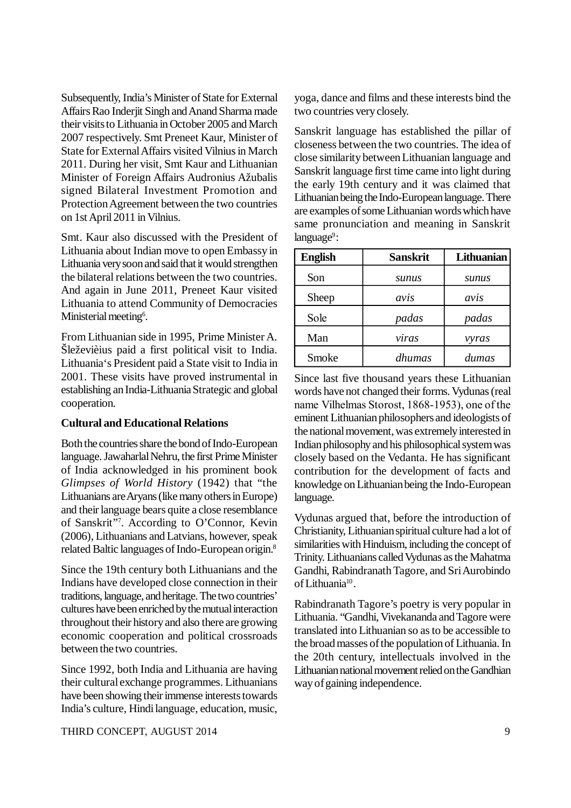Subsequently, India's Minister of State for External Affairs Rao Inderjit Singh and Anand Sharma made their visits to Lithuania in October 2005 and March 2007 respectively. Smt Preneet Kaur, Minister of State for External Affairs visited Vilnius in March 2011. During her visit, Smt Kaur and Lithuanian Minister of Foreign Affairs Audronius Ažubalis signed Bilateral Investment Promotion and Protection Agreement between the two countries on 1st April 2011 in Vilnius.

Smt. Kaur also discussed with the President of Lithuania about Indian move to open Embassy in Lithuania very soon and said that it would strengthen the bilateral relations between the two countries. And again in June 2011, Preneet Kaur visited Lithuania to attend Community of Democracies Ministerial meeting<sup>6</sup>.

From Lithuanian side in 1995, Prime Minister A. Šleževièius paid a first political visit to India. Lithuania's President paid a State visit to India in 2001. These visits have proved instrumental in establishing an India-Lithuania Strategic and global cooperation.

#### **Cultural and Educational Relations**

Both the countries share the bond of Indo-European language. Jawaharlal Nehru, the first Prime Minister of India acknowledged in his prominent book *Glimpses of World History* (1942) that "the Lithuanians are Aryans (like many others in Europe) and their language bears quite a close resemblance of Sanskrit"7. According to O'Connor, Kevin (2006), Lithuanians and Latvians, however, speak related Baltic languages of Indo-European origin.<sup>8</sup>

Since the 19th century both Lithuanians and the Indians have developed close connection in their traditions, language, and heritage. The two countries' cultures have been enriched by the mutual interaction throughout their history and also there are growing economic cooperation and political crossroads between the two countries.

Since 1992, both India and Lithuania are having their cultural exchange programmes. Lithuanians have been showing their immense interests towards India's culture, Hindi language, education, music,

THIRD CONCEPT, AUGUST 2014 9

yoga, dance and films and these interests bind the two countries very closely.

Sanskrit language has established the pillar of closeness between the two countries. The idea of close similarity between Lithuanian language and Sanskrit language first time came into light during the early 19th century and it was claimed that Lithuanian being the Indo-European language. There are examples of some Lithuanian words which have same pronunciation and meaning in Sanskrit language<sup>9</sup>:

| <b>English</b> | <b>Sanskrit</b> | Lithuanian |  |
|----------------|-----------------|------------|--|
| Son            | sunus           | sunus      |  |
| Sheep          | avis            | avis       |  |
| Sole           | padas           | padas      |  |
| Man            | viras           | vyras      |  |
| Smoke          | dhumas          | dumas      |  |

Since last five thousand years these Lithuanian words have not changed their forms. Vydunas (real name Vilhelmas Storost, 1868-1953), one of the eminent Lithuanian philosophers and ideologists of the national movement, was extremely interested in Indian philosophy and his philosophical system was closely based on the Vedanta. He has significant contribution for the development of facts and knowledge on Lithuanian being the Indo-European language.

Vydunas argued that, before the introduction of Christianity, Lithuanian spiritual culture had a lot of similarities with Hinduism, including the concept of Trinity. Lithuanians called Vydunas as the Mahatma Gandhi, Rabindranath Tagore, and Sri Aurobindo of Lithuania<sup>10</sup>.

Rabindranath Tagore's poetry is very popular in Lithuania. "Gandhi, Vivekananda and Tagore were translated into Lithuanian so as to be accessible to the broad masses of the population of Lithuania. In the 20th century, intellectuals involved in the Lithuanian national movement relied on the Gandhian way of gaining independence.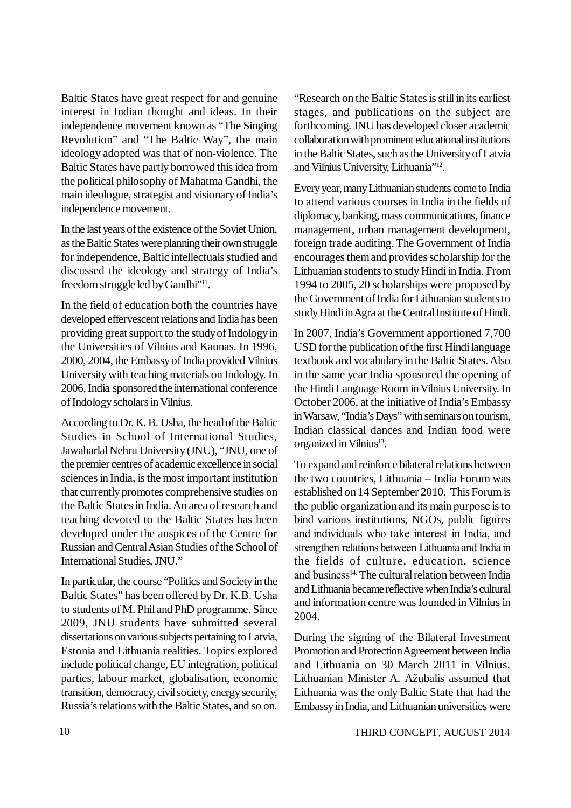Baltic States have great respect for and genuine interest in Indian thought and ideas. In their independence movement known as "The Singing Revolution" and "The Baltic Way", the main ideology adopted was that of non-violence. The Baltic States have partly borrowed this idea from the political philosophy of Mahatma Gandhi, the main ideologue, strategist and visionary of India's independence movement.

In the last years of the existence of the Soviet Union, as the Baltic States were planning their own struggle for independence, Baltic intellectuals studied and discussed the ideology and strategy of India's freedom struggle led by Gandhi"<sup>11</sup>.

In the field of education both the countries have developed effervescent relations and India has been providing great support to the study of Indology in the Universities of Vilnius and Kaunas. In 1996, 2000, 2004, the Embassy of India provided Vilnius University with teaching materials on Indology. In 2006, India sponsored the international conference of Indology scholars in Vilnius.

According to Dr. K. B. Usha, the head of the Baltic Studies in School of International Studies, Jawaharlal Nehru University (JNU), "JNU, one of the premier centres of academic excellence in social sciences in India, is the most important institution that currently promotes comprehensive studies on the Baltic States in India. An area of research and teaching devoted to the Baltic States has been developed under the auspices of the Centre for Russian and Central Asian Studies of the School of International Studies, JNU."

In particular, the course "Politics and Society in the Baltic States" has been offered by Dr. K.B. Usha to students of M. Phil and PhD programme. Since 2009, JNU students have submitted several dissertations on various subjects pertaining to Latvia, Estonia and Lithuania realities. Topics explored include political change, EU integration, political parties, labour market, globalisation, economic transition, democracy, civil society, energy security, Russia's relations with the Baltic States, and so on. "Research on the Baltic States is still in its earliest stages, and publications on the subject are forthcoming. JNU has developed closer academic collaboration with prominent educational institutions in the Baltic States, such as the University of Latvia and Vilnius University, Lithuania"<sup>12</sup>.

Every year, many Lithuanian students come to India to attend various courses in India in the fields of diplomacy, banking, mass communications, finance management, urban management development, foreign trade auditing. The Government of India encourages them and provides scholarship for the Lithuanian students to study Hindi in India. From 1994 to 2005, 20 scholarships were proposed by the Government of India for Lithuanian students to study Hindi in Agra at the Central Institute of Hindi.

In 2007, India's Government apportioned 7,700 USD for the publication of the first Hindi language textbook and vocabulary in the Baltic States. Also in the same year India sponsored the opening of the Hindi Language Room in Vilnius University. In October 2006, at the initiative of India's Embassy in Warsaw, "India's Days" with seminars on tourism, Indian classical dances and Indian food were organized in Vilnius<sup>13</sup>.

To expand and reinforce bilateral relations between the two countries, Lithuania – India Forum was established on 14 September 2010. This Forum is the public organization and its main purpose is to bind various institutions, NGOs, public figures and individuals who take interest in India, and strengthen relations between Lithuania and India in the fields of culture, education, science and business<sup>14.</sup> The cultural relation between India and Lithuania became reflective when India's cultural and information centre was founded in Vilnius in 2004.

During the signing of the Bilateral Investment Promotion and Protection Agreement between India and Lithuania on 30 March 2011 in Vilnius, Lithuanian Minister A. Ažubalis assumed that Lithuania was the only Baltic State that had the Embassy in India, and Lithuanian universities were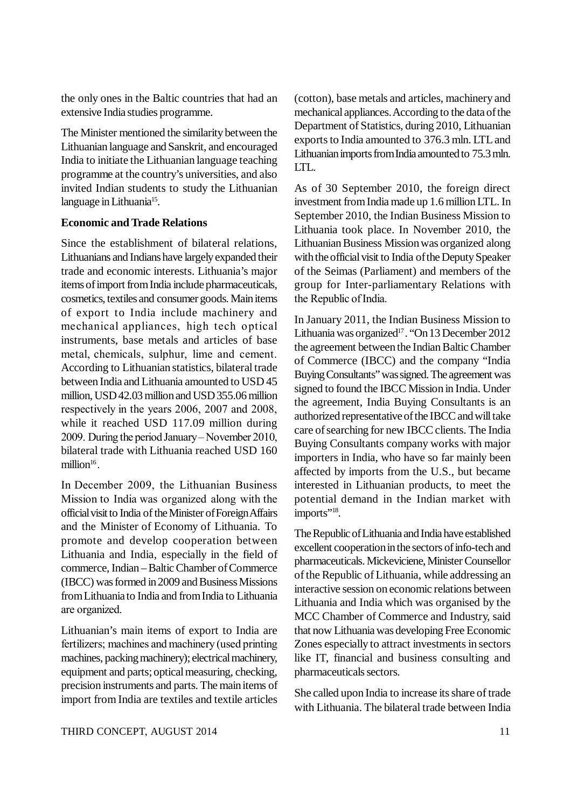the only ones in the Baltic countries that had an extensive India studies programme.

The Minister mentioned the similarity between the Lithuanian language and Sanskrit, and encouraged India to initiate the Lithuanian language teaching programme at the country's universities, and also invited Indian students to study the Lithuanian language in Lithuania<sup>15</sup>.

### **Economic and Trade Relations**

Since the establishment of bilateral relations, Lithuanians and Indians have largely expanded their trade and economic interests. Lithuania's major items of import from India include pharmaceuticals, cosmetics, textiles and consumer goods. Main items of export to India include machinery and mechanical appliances, high tech optical instruments, base metals and articles of base metal, chemicals, sulphur, lime and cement. According to Lithuanian statistics, bilateral trade between India and Lithuania amounted to USD 45 million, USD 42.03 million and USD 355.06 million respectively in the years 2006, 2007 and 2008, while it reached USD 117.09 million during 2009. During the period January – November 2010, bilateral trade with Lithuania reached USD 160  $million<sup>16</sup>$ .

In December 2009, the Lithuanian Business Mission to India was organized along with the official visit to India of the Minister of Foreign Affairs and the Minister of Economy of Lithuania. To promote and develop cooperation between Lithuania and India, especially in the field of commerce, Indian – Baltic Chamber of Commerce (IBCC) was formed in 2009 and Business Missions from Lithuania to India and from India to Lithuania are organized.

Lithuanian's main items of export to India are fertilizers; machines and machinery (used printing machines, packing machinery); electrical machinery, equipment and parts; optical measuring, checking, precision instruments and parts. The main items of import from India are textiles and textile articles

(cotton), base metals and articles, machinery and mechanical appliances. According to the data of the Department of Statistics, during 2010, Lithuanian exports to India amounted to 376.3 mln. LTL and Lithuanian imports from India amounted to 75.3 mln. LTL.

As of 30 September 2010, the foreign direct investment from India made up 1.6 million LTL. In September 2010, the Indian Business Mission to Lithuania took place. In November 2010, the Lithuanian Business Mission was organized along with the official visit to India of the Deputy Speaker of the Seimas (Parliament) and members of the group for Inter-parliamentary Relations with the Republic of India.

In January 2011, the Indian Business Mission to Lithuania was organized<sup>17</sup>. "On 13 December 2012 the agreement between the Indian Baltic Chamber of Commerce (IBCC) and the company "India Buying Consultants" was signed. The agreement was signed to found the IBCC Mission in India. Under the agreement, India Buying Consultants is an authorized representative of the IBCC and will take care of searching for new IBCC clients. The India Buying Consultants company works with major importers in India, who have so far mainly been affected by imports from the U.S., but became interested in Lithuanian products, to meet the potential demand in the Indian market with imports"<sup>18</sup>.

The Republic of Lithuania and India have established excellent cooperation in the sectors of info-tech and pharmaceuticals. Mickeviciene, Minister Counsellor of the Republic of Lithuania, while addressing an interactive session on economic relations between Lithuania and India which was organised by the MCC Chamber of Commerce and Industry, said that now Lithuania was developing Free Economic Zones especially to attract investments in sectors like IT, financial and business consulting and pharmaceuticals sectors.

She called upon India to increase its share of trade with Lithuania. The bilateral trade between India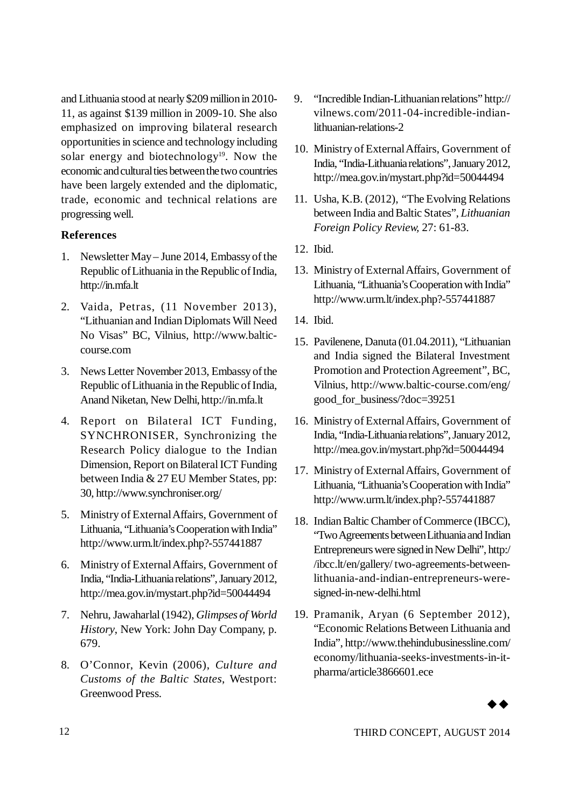and Lithuania stood at nearly \$209 million in 2010- 11, as against \$139 million in 2009-10. She also emphasized on improving bilateral research opportunities in science and technology including solar energy and biotechnology<sup>19</sup>. Now the economic and cultural ties between the two countries have been largely extended and the diplomatic, trade, economic and technical relations are progressing well.

## **References**

- 1. Newsletter May June 2014, Embassy of the Republic of Lithuania in the Republic of India, http://in.mfa.lt
- 2. Vaida, Petras, (11 November 2013), "Lithuanian and Indian Diplomats Will Need No Visas" BC, Vilnius, http://www.balticcourse.com
- 3. News Letter November 2013, Embassy of the Republic of Lithuania in the Republic of India, Anand Niketan, New Delhi, http://in.mfa.lt
- 4. Report on Bilateral ICT Funding, SYNCHRONISER, Synchronizing the Research Policy dialogue to the Indian Dimension, Report on Bilateral ICT Funding between India & 27 EU Member States, pp: 30, http://www.synchroniser.org/
- 5. Ministry of External Affairs, Government of Lithuania, "Lithuania's Cooperation with India" http://www.urm.lt/index.php?-557441887
- 6. Ministry of External Affairs, Government of India, "India-Lithuania relations", January 2012, http://mea.gov.in/mystart.php?id=50044494
- 7. Nehru, Jawaharlal (1942), *Glimpses of World History*, New York: John Day Company, p. 679.
- 8. O'Connor, Kevin (2006), *Culture and Customs of the Baltic States*, Westport: Greenwood Press.
- 9. "Incredible Indian-Lithuanian relations" http:// vilnews.com/2011-04-incredible-indianlithuanian-relations-2
- 10. Ministry of External Affairs, Government of India, "India-Lithuania relations", January 2012, http://mea.gov.in/mystart.php?id=50044494
- 11. Usha, K.B. (2012), *"*The Evolving Relations between India and Baltic States", *Lithuanian Foreign Policy Review,* 27: 61-83.
- 12. Ibid.
- 13. Ministry of External Affairs, Government of Lithuania, "Lithuania's Cooperation with India" http://www.urm.lt/index.php?-557441887
- 14. Ibid.
- 15. Pavilenene, Danuta (01.04.2011), "Lithuanian and India signed the Bilateral Investment Promotion and Protection Agreement", BC, Vilnius, http://www.baltic-course.com/eng/ good\_for\_business/?doc=39251
- 16. Ministry of External Affairs, Government of India, "India-Lithuania relations", January 2012, http://mea.gov.in/mystart.php?id=50044494
- 17. Ministry of External Affairs, Government of Lithuania, "Lithuania's Cooperation with India" http://www.urm.lt/index.php?-557441887
- 18. Indian Baltic Chamber of Commerce (IBCC), "Two Agreements between Lithuania and Indian Entrepreneurs were signed in New Delhi", http:/ /ibcc.lt/en/gallery/ two-agreements-betweenlithuania-and-indian-entrepreneurs-weresigned-in-new-delhi.html
- 19. Pramanik, Aryan (6 September 2012), "Economic Relations Between Lithuania and India", http://www.thehindubusinessline.com/ economy/lithuania-seeks-investments-in-itpharma/article3866601.ece

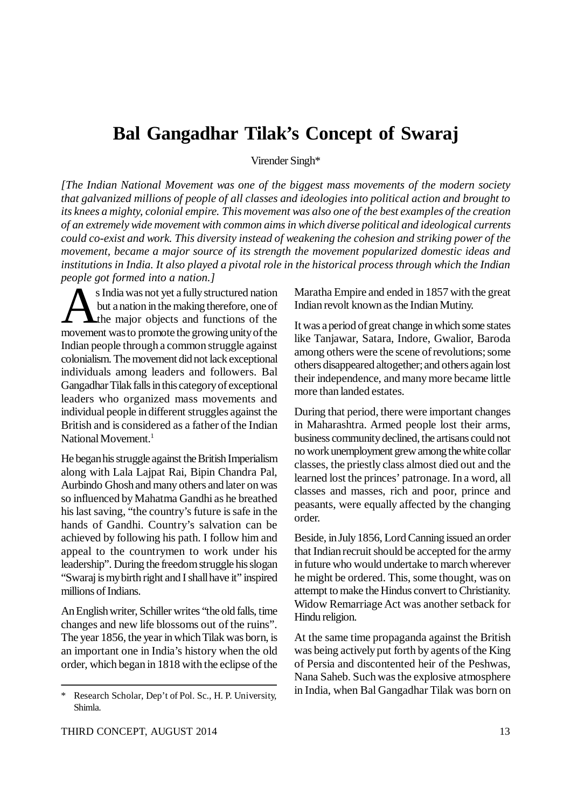# **Bal Gangadhar Tilak's Concept of Swaraj**

Virender Singh\*

*[The Indian National Movement was one of the biggest mass movements of the modern society that galvanized millions of people of all classes and ideologies into political action and brought to its knees a mighty, colonial empire. This movement was also one of the best examples of the creation of an extremely wide movement with common aims in which diverse political and ideological currents could co-exist and work. This diversity instead of weakening the cohesion and striking power of the movement, became a major source of its strength the movement popularized domestic ideas and institutions in India. It also played a pivotal role in the historical process through which the Indian people got formed into a nation.]*

s India was not yet a fully structured nation<br>but a nation in the making therefore, one of<br>the major objects and functions of the<br>movement was to promote the growing unity of the s India was not yet a fully structured nation but a nation in the making therefore, one of **A**the major objects and functions of the Indian people through a common struggle against colonialism. The movement did not lack exceptional individuals among leaders and followers. Bal Gangadhar Tilak falls in this category of exceptional leaders who organized mass movements and individual people in different struggles against the British and is considered as a father of the Indian National Movement.<sup>1</sup>

He began his struggle against the British Imperialism along with Lala Lajpat Rai, Bipin Chandra Pal, Aurbindo Ghosh and many others and later on was so influenced by Mahatma Gandhi as he breathed his last saving, "the country's future is safe in the hands of Gandhi. Country's salvation can be achieved by following his path. I follow him and appeal to the countrymen to work under his leadership". During the freedom struggle his slogan "Swaraj is my birth right and I shall have it" inspired millions of Indians.

An English writer, Schiller writes "the old falls, time changes and new life blossoms out of the ruins". The year 1856, the year in which Tilak was born, is an important one in India's history when the old order, which began in 1818 with the eclipse of the Maratha Empire and ended in 1857 with the great Indian revolt known as the Indian Mutiny.

It was a period of great change in which some states like Tanjawar, Satara, Indore, Gwalior, Baroda among others were the scene of revolutions; some others disappeared altogether; and others again lost their independence, and many more became little more than landed estates.

During that period, there were important changes in Maharashtra. Armed people lost their arms, business community declined, the artisans could not no work unemployment grew among the white collar classes, the priestly class almost died out and the learned lost the princes' patronage. In a word, all classes and masses, rich and poor, prince and peasants, were equally affected by the changing order.

Beside, in July 1856, Lord Canning issued an order that Indian recruit should be accepted for the army in future who would undertake to march wherever he might be ordered. This, some thought, was on attempt to make the Hindus convert to Christianity. Widow Remarriage Act was another setback for Hindu religion.

At the same time propaganda against the British was being actively put forth by agents of the King of Persia and discontented heir of the Peshwas, Nana Saheb. Such was the explosive atmosphere in India, when Bal Gangadhar Tilak was born on

Research Scholar, Dep't of Pol. Sc., H. P. University, Shimla.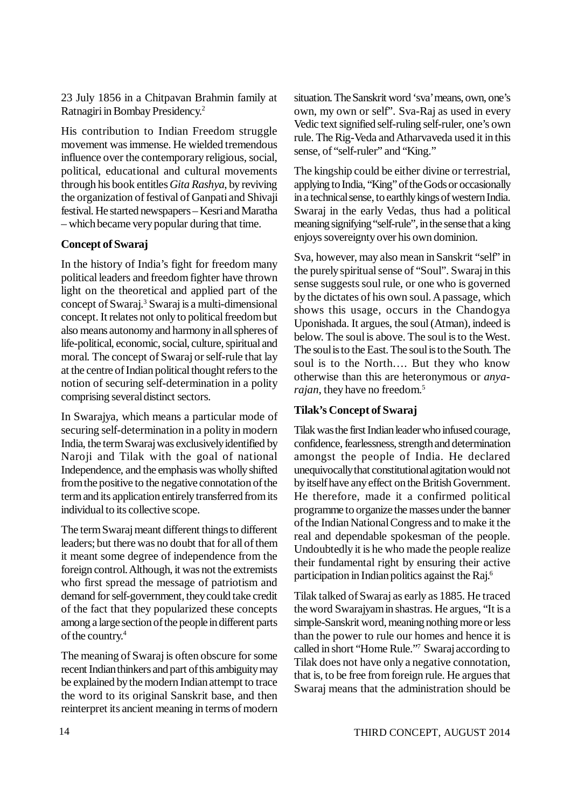23 July 1856 in a Chitpavan Brahmin family at Ratnagiri in Bombay Presidency.<sup>2</sup>

His contribution to Indian Freedom struggle movement was immense. He wielded tremendous influence over the contemporary religious, social, political, educational and cultural movements through his book entitles *Gita Rashya*, by reviving the organization of festival of Ganpati and Shivaji festival. He started newspapers – Kesri and Maratha – which became very popular during that time.

# **Concept of Swaraj**

In the history of India's fight for freedom many political leaders and freedom fighter have thrown light on the theoretical and applied part of the concept of Swaraj.<sup>3</sup> Swaraj is a multi-dimensional concept. It relates not only to political freedom but also means autonomy and harmony in all spheres of life-political, economic, social, culture, spiritual and moral. The concept of Swaraj or self-rule that lay at the centre of Indian political thought refers to the notion of securing self-determination in a polity comprising several distinct sectors.

In Swarajya, which means a particular mode of securing self-determination in a polity in modern India, the term Swaraj was exclusively identified by Naroji and Tilak with the goal of national Independence, and the emphasis was wholly shifted from the positive to the negative connotation of the term and its application entirely transferred from its individual to its collective scope.

The term Swaraj meant different things to different leaders; but there was no doubt that for all of them it meant some degree of independence from the foreign control. Although, it was not the extremists who first spread the message of patriotism and demand for self-government, they could take credit of the fact that they popularized these concepts among a large section of the people in different parts of the country.<sup>4</sup>

The meaning of Swaraj is often obscure for some recent Indian thinkers and part of this ambiguity may be explained by the modern Indian attempt to trace the word to its original Sanskrit base, and then reinterpret its ancient meaning in terms of modern situation. The Sanskrit word 'sva' means, own, one's own, my own or self". Sva-Raj as used in every Vedic text signified self-ruling self-ruler, one's own rule. The Rig-Veda and Atharvaveda used it in this sense, of "self-ruler" and "King."

The kingship could be either divine or terrestrial, applying to India, "King" of the Gods or occasionally in a technical sense, to earthly kings of western India. Swaraj in the early Vedas, thus had a political meaning signifying "self-rule", in the sense that a king enjoys sovereignty over his own dominion.

Sva, however, may also mean in Sanskrit "self" in the purely spiritual sense of "Soul". Swaraj in this sense suggests soul rule, or one who is governed by the dictates of his own soul. A passage, which shows this usage, occurs in the Chandogya Uponishada. It argues, the soul (Atman), indeed is below. The soul is above. The soul is to the West. The soul is to the East. The soul is to the South. The soul is to the North…. But they who know otherwise than this are heteronymous or *anyarajan*, they have no freedom.<sup>5</sup>

## **Tilak's Concept of Swaraj**

Tilak was the first Indian leader who infused courage, confidence, fearlessness, strength and determination amongst the people of India. He declared unequivocally that constitutional agitation would not by itself have any effect on the British Government. He therefore, made it a confirmed political programme to organize the masses under the banner of the Indian National Congress and to make it the real and dependable spokesman of the people. Undoubtedly it is he who made the people realize their fundamental right by ensuring their active participation in Indian politics against the Raj.<sup>6</sup>

Tilak talked of Swaraj as early as 1885. He traced the word Swarajyam in shastras. He argues, "It is a simple-Sanskrit word, meaning nothing more or less than the power to rule our homes and hence it is called in short "Home Rule."<sup>7</sup> Swaraj according to Tilak does not have only a negative connotation, that is, to be free from foreign rule. He argues that Swaraj means that the administration should be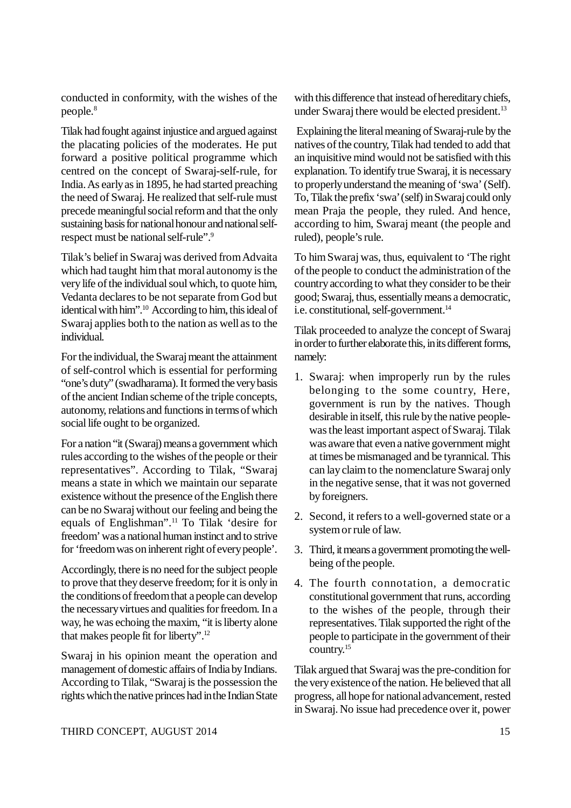conducted in conformity, with the wishes of the people.<sup>8</sup>

Tilak had fought against injustice and argued against the placating policies of the moderates. He put forward a positive political programme which centred on the concept of Swaraj-self-rule, for India. As early as in 1895, he had started preaching the need of Swaraj. He realized that self-rule must precede meaningful social reform and that the only sustaining basis for national honour and national selfrespect must be national self-rule".<sup>9</sup>

Tilak's belief in Swaraj was derived from Advaita which had taught him that moral autonomy is the very life of the individual soul which, to quote him, Vedanta declares to be not separate from God but identical with him".10 According to him, this ideal of Swaraj applies both to the nation as well as to the individual.

For the individual, the Swaraj meant the attainment of self-control which is essential for performing "one's duty" (swadharama). It formed the very basis of the ancient Indian scheme of the triple concepts, autonomy, relations and functions in terms of which social life ought to be organized.

For a nation "it (Swaraj) means a government which rules according to the wishes of the people or their representatives". According to Tilak, "Swaraj means a state in which we maintain our separate existence without the presence of the English there can be no Swaraj without our feeling and being the equals of Englishman".<sup>11</sup> To Tilak 'desire for freedom' was a national human instinct and to strive for 'freedom was on inherent right of every people'.

Accordingly, there is no need for the subject people to prove that they deserve freedom; for it is only in the conditions of freedom that a people can develop the necessary virtues and qualities for freedom. In a way, he was echoing the maxim, "it is liberty alone that makes people fit for liberty".<sup>12</sup>

Swaraj in his opinion meant the operation and management of domestic affairs of India by Indians. According to Tilak, "Swaraj is the possession the rights which the native princes had in the Indian State

with this difference that instead of hereditary chiefs, under Swaraj there would be elected president.<sup>13</sup>

 Explaining the literal meaning of Swaraj-rule by the natives of the country, Tilak had tended to add that an inquisitive mind would not be satisfied with this explanation. To identify true Swaraj, it is necessary to properly understand the meaning of 'swa' (Self). To, Tilak the prefix 'swa' (self) in Swaraj could only mean Praja the people, they ruled. And hence, according to him, Swaraj meant (the people and ruled), people's rule.

To him Swaraj was, thus, equivalent to 'The right of the people to conduct the administration of the country according to what they consider to be their good; Swaraj, thus, essentially means a democratic, i.e. constitutional, self-government.<sup>14</sup>

Tilak proceeded to analyze the concept of Swaraj in order to further elaborate this, in its different forms, namely:

- 1. Swaraj: when improperly run by the rules belonging to the some country, Here, government is run by the natives. Though desirable in itself, this rule by the native peoplewas the least important aspect of Swaraj. Tilak was aware that even a native government might at times be mismanaged and be tyrannical. This can lay claim to the nomenclature Swaraj only in the negative sense, that it was not governed by foreigners.
- 2. Second, it refers to a well-governed state or a system or rule of law.
- 3. Third, it means a government promoting the wellbeing of the people.
- 4. The fourth connotation, a democratic constitutional government that runs, according to the wishes of the people, through their representatives. Tilak supported the right of the people to participate in the government of their country.<sup>15</sup>

Tilak argued that Swaraj was the pre-condition for the very existence of the nation. He believed that all progress, all hope for national advancement, rested in Swaraj. No issue had precedence over it, power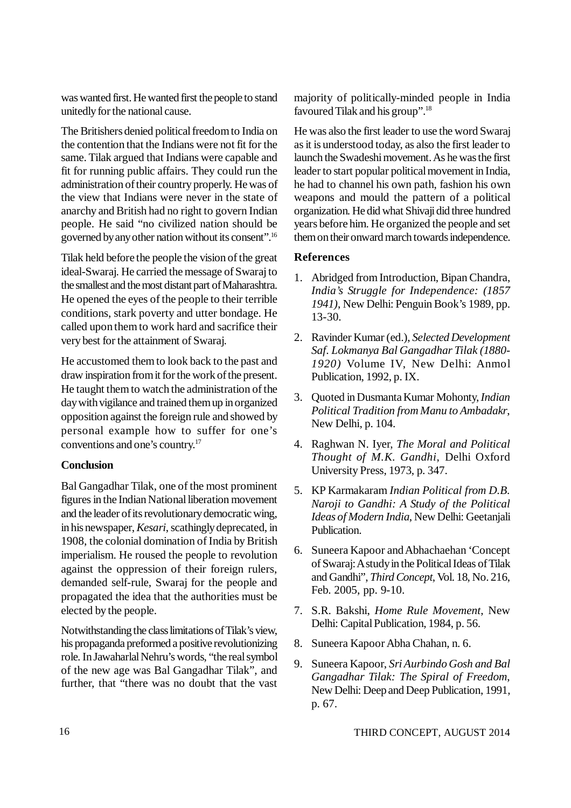was wanted first. He wanted first the people to stand unitedly for the national cause.

The Britishers denied political freedom to India on the contention that the Indians were not fit for the same. Tilak argued that Indians were capable and fit for running public affairs. They could run the administration of their country properly. He was of the view that Indians were never in the state of anarchy and British had no right to govern Indian people. He said "no civilized nation should be governed by any other nation without its consent".<sup>16</sup>

Tilak held before the people the vision of the great ideal-Swaraj. He carried the message of Swaraj to the smallest and the most distant part of Maharashtra. He opened the eyes of the people to their terrible conditions, stark poverty and utter bondage. He called upon them to work hard and sacrifice their very best for the attainment of Swaraj.

He accustomed them to look back to the past and draw inspiration from it for the work of the present. He taught them to watch the administration of the day with vigilance and trained them up in organized opposition against the foreign rule and showed by personal example how to suffer for one's conventions and one's country.<sup>17</sup>

# **Conclusion**

Bal Gangadhar Tilak, one of the most prominent figures in the Indian National liberation movement and the leader of its revolutionary democratic wing, in his newspaper, *Kesari*, scathingly deprecated, in 1908, the colonial domination of India by British imperialism. He roused the people to revolution against the oppression of their foreign rulers, demanded self-rule, Swaraj for the people and propagated the idea that the authorities must be elected by the people.

Notwithstanding the class limitations of Tilak's view, his propaganda preformed a positive revolutionizing role. In Jawaharlal Nehru's words, "the real symbol of the new age was Bal Gangadhar Tilak", and further, that "there was no doubt that the vast

majority of politically-minded people in India favoured Tilak and his group".<sup>18</sup>

He was also the first leader to use the word Swaraj as it is understood today, as also the first leader to launch the Swadeshi movement. As he was the first leader to start popular political movement in India, he had to channel his own path, fashion his own weapons and mould the pattern of a political organization. He did what Shivaji did three hundred years before him. He organized the people and set them on their onward march towards independence.

## **References**

- 1. Abridged from Introduction, Bipan Chandra, *India's Struggle for Independence: (1857 1941)*, New Delhi: Penguin Book's 1989, pp. 13-30.
- 2. Ravinder Kumar (ed.), *Selected Development Saf. Lokmanya Bal Gangadhar Tilak (1880- 1920)* Volume IV, New Delhi: Anmol Publication, 1992, p. IX.
- 3. Quoted in Dusmanta Kumar Mohonty, *Indian Political Tradition from Manu to Ambadakr*, New Delhi, p. 104.
- 4. Raghwan N. Iyer, *The Moral and Political Thought of M.K. Gandhi*, Delhi Oxford University Press, 1973, p. 347.
- 5. KP Karmakaram *Indian Political from D.B. Naroji to Gandhi: A Study of the Political Ideas of Modern India*, New Delhi: Geetanjali Publication.
- 6. Suneera Kapoor and Abhachaehan 'Concept of Swaraj: A study in the Political Ideas of Tilak and Gandhi", *Third Concept*, Vol. 18, No. 216, Feb. 2005, pp. 9-10.
- 7. S.R. Bakshi, *Home Rule Movement*, New Delhi: Capital Publication, 1984, p. 56.
- 8. Suneera Kapoor Abha Chahan, n. 6.
- 9. Suneera Kapoor, *Sri Aurbindo Gosh and Bal Gangadhar Tilak: The Spiral of Freedom*, New Delhi: Deep and Deep Publication, 1991, p. 67.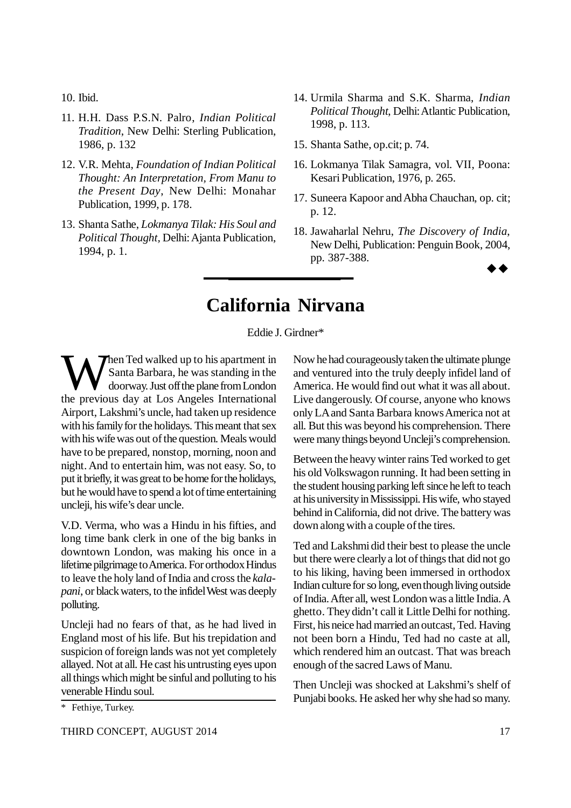10. Ibid.

- 11. H.H. Dass P.S.N. Palro, *Indian Political Tradition*, New Delhi: Sterling Publication, 1986, p. 132
- 12. V.R. Mehta, *Foundation of Indian Political Thought: An Interpretation, From Manu to the Present Day*, New Delhi: Monahar Publication, 1999, p. 178.
- 13. Shanta Sathe, *Lokmanya Tilak: His Soul and Political Thought,* Delhi: Ajanta Publication, 1994, p. 1.
- 14. Urmila Sharma and S.K. Sharma, *Indian Political Thought*, Delhi: Atlantic Publication, 1998, p. 113.
- 15. Shanta Sathe, op.cit; p. 74.
- 16. Lokmanya Tilak Samagra, vol. VII, Poona: Kesari Publication, 1976, p. 265.
- 17. Suneera Kapoor and Abha Chauchan, op. cit; p. 12.
- 18. Jawaharlal Nehru, *The Discovery of India*, New Delhi, Publication: Penguin Book, 2004, pp. 387-388.



# **California Nirvana**

Eddie J. Girdner\*

When Ted walked up to his apartment in<br>Santa Barbara, he was standing in the<br>doorway. Just off the plane from London<br>the previous day at Los Angeles International Then Ted walked up to his apartment in Santa Barbara, he was standing in the doorway. Just off the plane from London Airport, Lakshmi's uncle, had taken up residence with his family for the holidays. This meant that sex with his wife was out of the question. Meals would have to be prepared, nonstop, morning, noon and night. And to entertain him, was not easy. So, to put it briefly, it was great to be home for the holidays, but he would have to spend a lot of time entertaining uncleji, his wife's dear uncle.

V.D. Verma, who was a Hindu in his fifties, and long time bank clerk in one of the big banks in downtown London, was making his once in a lifetime pilgrimage to America. For orthodox Hindus to leave the holy land of India and cross the *kalapani*, or black waters, to the infidel West was deeply polluting.

Uncleji had no fears of that, as he had lived in England most of his life. But his trepidation and suspicion of foreign lands was not yet completely allayed. Not at all. He cast his untrusting eyes upon all things which might be sinful and polluting to his venerable Hindu soul.

\* Fethiye, Turkey.

Now he had courageously taken the ultimate plunge and ventured into the truly deeply infidel land of America. He would find out what it was all about. Live dangerously. Of course, anyone who knows only LA and Santa Barbara knows America not at all. But this was beyond his comprehension. There were many things beyond Uncleji's comprehension.

Between the heavy winter rains Ted worked to get his old Volkswagon running. It had been setting in the student housing parking left since he left to teach at his university in Mississippi. His wife, who stayed behind in California, did not drive. The battery was down along with a couple of the tires.

Ted and Lakshmi did their best to please the uncle but there were clearly a lot of things that did not go to his liking, having been immersed in orthodox Indian culture for so long, even though living outside of India. After all, west London was a little India. A ghetto. They didn't call it Little Delhi for nothing. First, his neice had married an outcast, Ted. Having not been born a Hindu, Ted had no caste at all, which rendered him an outcast. That was breach enough of the sacred Laws of Manu.

Then Uncleji was shocked at Lakshmi's shelf of Punjabi books. He asked her why she had so many.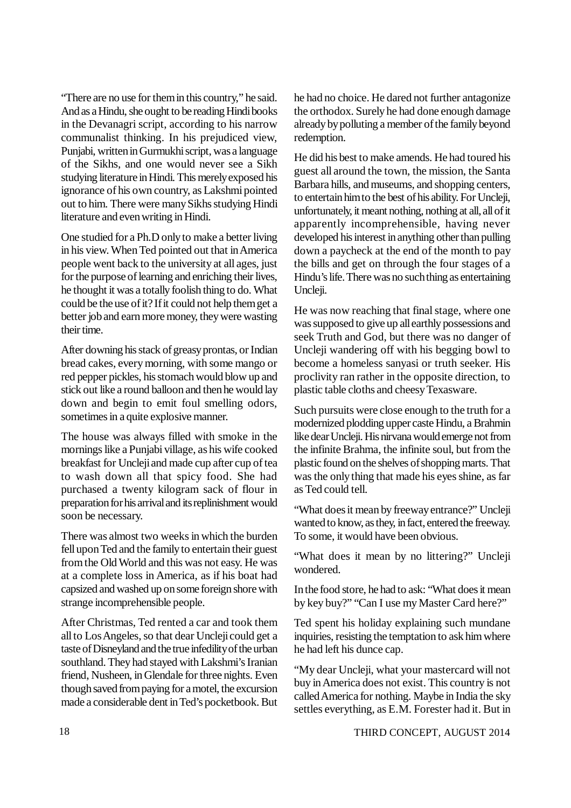"There are no use for them in this country," he said. And as a Hindu, she ought to be reading Hindi books in the Devanagri script, according to his narrow communalist thinking. In his prejudiced view, Punjabi, written in Gurmukhi script, was a language of the Sikhs, and one would never see a Sikh studying literature in Hindi. This merely exposed his ignorance of his own country, as Lakshmi pointed out to him. There were many Sikhs studying Hindi literature and even writing in Hindi.

One studied for a Ph.D only to make a better living in his view. When Ted pointed out that in America people went back to the university at all ages, just for the purpose of learning and enriching their lives, he thought it was a totally foolish thing to do. What could be the use of it? If it could not help them get a better job and earn more money, they were wasting their time.

After downing his stack of greasy prontas, or Indian bread cakes, every morning, with some mango or red pepper pickles, his stomach would blow up and stick out like a round balloon and then he would lay down and begin to emit foul smelling odors, sometimes in a quite explosive manner.

The house was always filled with smoke in the mornings like a Punjabi village, as his wife cooked breakfast for Uncleji and made cup after cup of tea to wash down all that spicy food. She had purchased a twenty kilogram sack of flour in preparation for his arrival and its replinishment would soon be necessary.

There was almost two weeks in which the burden fell upon Ted and the family to entertain their guest from the Old World and this was not easy. He was at a complete loss in America, as if his boat had capsized and washed up on some foreign shore with strange incomprehensible people.

After Christmas, Ted rented a car and took them all to Los Angeles, so that dear Uncleji could get a taste of Disneyland and the true infedility of the urban southland. They had stayed with Lakshmi's Iranian friend, Nusheen, in Glendale for three nights. Even though saved from paying for a motel, the excursion made a considerable dent in Ted's pocketbook. But

he had no choice. He dared not further antagonize the orthodox. Surely he had done enough damage already by polluting a member of the family beyond redemption.

He did his best to make amends. He had toured his guest all around the town, the mission, the Santa Barbara hills, and museums, and shopping centers, to entertain him to the best of his ability. For Uncleji, unfortunately, it meant nothing, nothing at all, all of it apparently incomprehensible, having never developed his interest in anything other than pulling down a paycheck at the end of the month to pay the bills and get on through the four stages of a Hindu's life. There was no such thing as entertaining Uncleji.

He was now reaching that final stage, where one was supposed to give up all earthly possessions and seek Truth and God, but there was no danger of Uncleji wandering off with his begging bowl to become a homeless sanyasi or truth seeker. His proclivity ran rather in the opposite direction, to plastic table cloths and cheesy Texasware.

Such pursuits were close enough to the truth for a modernized plodding upper caste Hindu, a Brahmin like dear Uncleji. His nirvana would emerge not from the infinite Brahma, the infinite soul, but from the plastic found on the shelves of shopping marts. That was the only thing that made his eyes shine, as far as Ted could tell.

"What does it mean by freeway entrance?" Uncleji wanted to know, as they, in fact, entered the freeway. To some, it would have been obvious.

"What does it mean by no littering?" Uncleji wondered.

In the food store, he had to ask: "What does it mean by key buy?" "Can I use my Master Card here?"

Ted spent his holiday explaining such mundane inquiries, resisting the temptation to ask him where he had left his dunce cap.

"My dear Uncleji, what your mastercard will not buy in America does not exist. This country is not called America for nothing. Maybe in India the sky settles everything, as E.M. Forester had it. But in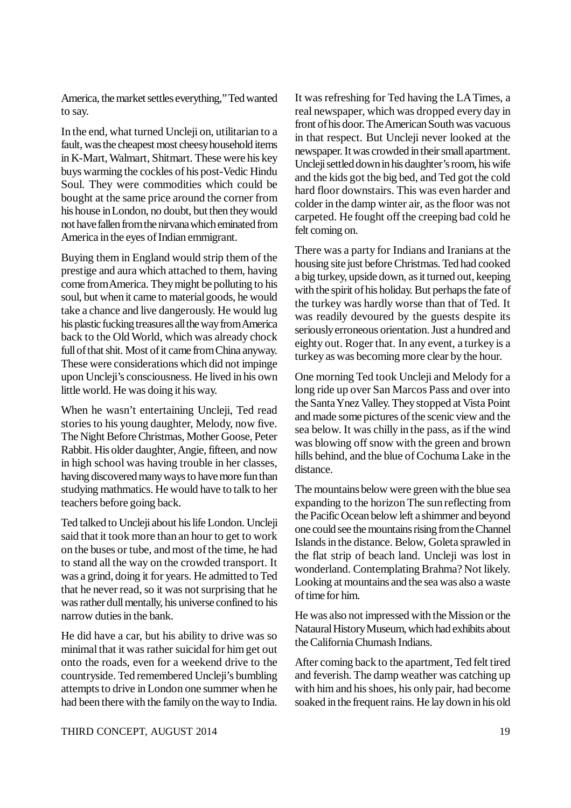America, the market settles everything," Ted wanted to say.

In the end, what turned Uncleji on, utilitarian to a fault, was the cheapest most cheesy household items in K-Mart, Walmart, Shitmart. These were his key buys warming the cockles of his post-Vedic Hindu Soul. They were commodities which could be bought at the same price around the corner from his house in London, no doubt, but then they would not have fallen from the nirvana which eminated from America in the eyes of Indian emmigrant.

Buying them in England would strip them of the prestige and aura which attached to them, having come from America. They might be polluting to his soul, but when it came to material goods, he would take a chance and live dangerously. He would lug his plastic fucking treasures all the way from America back to the Old World, which was already chock full of that shit. Most of it came from China anyway. These were considerations which did not impinge upon Uncleji's consciousness. He lived in his own little world. He was doing it his way.

When he wasn't entertaining Uncleji, Ted read stories to his young daughter, Melody, now five. The Night Before Christmas, Mother Goose, Peter Rabbit. His older daughter, Angie, fifteen, and now in high school was having trouble in her classes, having discovered many ways to have more fun than studying mathmatics. He would have to talk to her teachers before going back.

Ted talked to Uncleji about his life London. Uncleji said that it took more than an hour to get to work on the buses or tube, and most of the time, he had to stand all the way on the crowded transport. It was a grind, doing it for years. He admitted to Ted that he never read, so it was not surprising that he was rather dull mentally, his universe confined to his narrow duties in the bank.

He did have a car, but his ability to drive was so minimal that it was rather suicidal for him get out onto the roads, even for a weekend drive to the countryside. Ted remembered Uncleji's bumbling attempts to drive in London one summer when he had been there with the family on the way to India.

It was refreshing for Ted having the LA Times, a real newspaper, which was dropped every day in front of his door. The American South was vacuous in that respect. But Uncleji never looked at the newspaper. It was crowded in their small apartment. Uncleji settled down in his daughter's room, his wife and the kids got the big bed, and Ted got the cold hard floor downstairs. This was even harder and colder in the damp winter air, as the floor was not carpeted. He fought off the creeping bad cold he felt coming on.

There was a party for Indians and Iranians at the housing site just before Christmas. Ted had cooked a big turkey, upside down, as it turned out, keeping with the spirit of his holiday. But perhaps the fate of the turkey was hardly worse than that of Ted. It was readily devoured by the guests despite its seriously erroneous orientation. Just a hundred and eighty out. Roger that. In any event, a turkey is a turkey as was becoming more clear by the hour.

One morning Ted took Uncleji and Melody for a long ride up over San Marcos Pass and over into the Santa Ynez Valley. They stopped at Vista Point and made some pictures of the scenic view and the sea below. It was chilly in the pass, as if the wind was blowing off snow with the green and brown hills behind, and the blue of Cochuma Lake in the distance.

The mountains below were green with the blue sea expanding to the horizon The sun reflecting from the Pacific Ocean below left a shimmer and beyond one could see the mountains rising from the Channel Islands in the distance. Below, Goleta sprawled in the flat strip of beach land. Uncleji was lost in wonderland. Contemplating Brahma? Not likely. Looking at mountains and the sea was also a waste of time for him.

He was also not impressed with the Mission or the Nataural History Museum, which had exhibits about the California Chumash Indians.

After coming back to the apartment, Ted felt tired and feverish. The damp weather was catching up with him and his shoes, his only pair, had become soaked in the frequent rains. He lay down in his old

#### THIRD CONCEPT, AUGUST 2014 19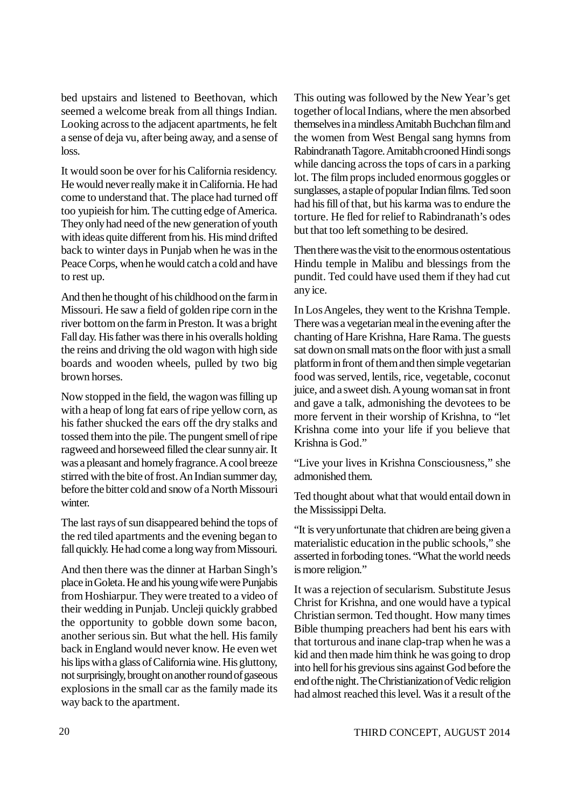bed upstairs and listened to Beethovan, which seemed a welcome break from all things Indian. Looking across to the adjacent apartments, he felt a sense of deja vu, after being away, and a sense of loss.

It would soon be over for his California residency. He would never really make it in California. He had come to understand that. The place had turned off too yupieish for him. The cutting edge of America. They only had need of the new generation of youth with ideas quite different from his. His mind drifted back to winter days in Punjab when he was in the Peace Corps, when he would catch a cold and have to rest up.

And then he thought of his childhood on the farm in Missouri. He saw a field of golden ripe corn in the river bottom on the farm in Preston. It was a bright Fall day. His father was there in his overalls holding the reins and driving the old wagon with high side boards and wooden wheels, pulled by two big brown horses.

Now stopped in the field, the wagon was filling up with a heap of long fat ears of ripe yellow corn, as his father shucked the ears off the dry stalks and tossed them into the pile. The pungent smell of ripe ragweed and horseweed filled the clear sunny air. It was a pleasant and homely fragrance. A cool breeze stirred with the bite of frost. An Indian summer day, before the bitter cold and snow of a North Missouri winter.

The last rays of sun disappeared behind the tops of the red tiled apartments and the evening began to fall quickly. He had come a long way from Missouri.

And then there was the dinner at Harban Singh's place in Goleta. He and his young wife were Punjabis from Hoshiarpur. They were treated to a video of their wedding in Punjab. Uncleji quickly grabbed the opportunity to gobble down some bacon, another serious sin. But what the hell. His family back in England would never know. He even wet his lips with a glass of California wine. His gluttony, not surprisingly, brought on another round of gaseous explosions in the small car as the family made its way back to the apartment.

This outing was followed by the New Year's get together of local Indians, where the men absorbed themselves in a mindless Amitabh Buchchan film and the women from West Bengal sang hymns from Rabindranath Tagore. Amitabh crooned Hindi songs while dancing across the tops of cars in a parking lot. The film props included enormous goggles or sunglasses, a staple of popular Indian films. Ted soon had his fill of that, but his karma was to endure the torture. He fled for relief to Rabindranath's odes but that too left something to be desired.

Then there was the visit to the enormous ostentatious Hindu temple in Malibu and blessings from the pundit. Ted could have used them if they had cut any ice.

In Los Angeles, they went to the Krishna Temple. There was a vegetarian meal in the evening after the chanting of Hare Krishna, Hare Rama. The guests sat down on small mats on the floor with just a small platform in front of them and then simple vegetarian food was served, lentils, rice, vegetable, coconut juice, and a sweet dish. A young woman sat in front and gave a talk, admonishing the devotees to be more fervent in their worship of Krishna, to "let Krishna come into your life if you believe that Krishna is God."

"Live your lives in Krishna Consciousness," she admonished them.

Ted thought about what that would entail down in the Mississippi Delta.

"It is very unfortunate that chidren are being given a materialistic education in the public schools," she asserted in forboding tones. "What the world needs is more religion."

It was a rejection of secularism. Substitute Jesus Christ for Krishna, and one would have a typical Christian sermon. Ted thought. How many times Bible thumping preachers had bent his ears with that torturous and inane clap-trap when he was a kid and then made him think he was going to drop into hell for his grevious sins against God before the end of the night. The Christianization of Vedic religion had almost reached this level. Was it a result of the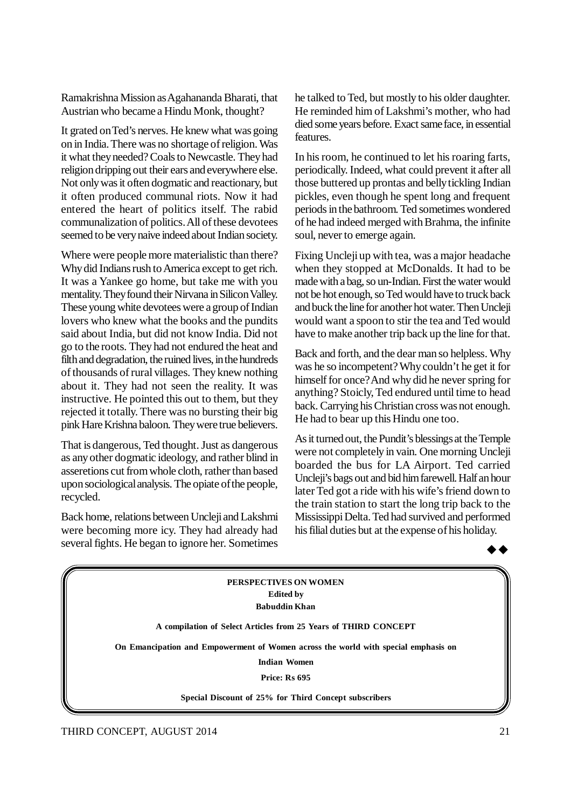Ramakrishna Mission as Agahananda Bharati, that Austrian who became a Hindu Monk, thought?

It grated on Ted's nerves. He knew what was going on in India. There was no shortage of religion. Was it what they needed? Coals to Newcastle. They had religion dripping out their ears and everywhere else. Not only was it often dogmatic and reactionary, but it often produced communal riots. Now it had entered the heart of politics itself. The rabid communalization of politics. All of these devotees seemed to be very naive indeed about Indian society.

Where were people more materialistic than there? Why did Indians rush to America except to get rich. It was a Yankee go home, but take me with you mentality. They found their Nirvana in Silicon Valley. These young white devotees were a group of Indian lovers who knew what the books and the pundits said about India, but did not know India. Did not go to the roots. They had not endured the heat and filth and degradation, the ruined lives, in the hundreds of thousands of rural villages. They knew nothing about it. They had not seen the reality. It was instructive. He pointed this out to them, but they rejected it totally. There was no bursting their big pink Hare Krishna baloon. They were true believers.

That is dangerous, Ted thought. Just as dangerous as any other dogmatic ideology, and rather blind in asseretions cut from whole cloth, rather than based upon sociological analysis. The opiate of the people, recycled.

Back home, relations between Uncleji and Lakshmi were becoming more icy. They had already had several fights. He began to ignore her. Sometimes he talked to Ted, but mostly to his older daughter. He reminded him of Lakshmi's mother, who had died some years before. Exact same face, in essential features.

In his room, he continued to let his roaring farts, periodically. Indeed, what could prevent it after all those buttered up prontas and belly tickling Indian pickles, even though he spent long and frequent periods in the bathroom. Ted sometimes wondered of he had indeed merged with Brahma, the infinite soul, never to emerge again.

Fixing Uncleji up with tea, was a major headache when they stopped at McDonalds. It had to be made with a bag, so un-Indian. First the water would not be hot enough, so Ted would have to truck back and buck the line for another hot water. Then Uncleji would want a spoon to stir the tea and Ted would have to make another trip back up the line for that.

Back and forth, and the dear man so helpless. Why was he so incompetent? Why couldn't he get it for himself for once? And why did he never spring for anything? Stoicly, Ted endured until time to head back. Carrying his Christian cross was not enough. He had to bear up this Hindu one too.

As it turned out, the Pundit's blessings at the Temple were not completely in vain. One morning Uncleji boarded the bus for LA Airport. Ted carried Uncleji's bags out and bid him farewell. Half an hour later Ted got a ride with his wife's friend down to the train station to start the long trip back to the Mississippi Delta. Ted had survived and performed his filial duties but at the expense of his holiday.



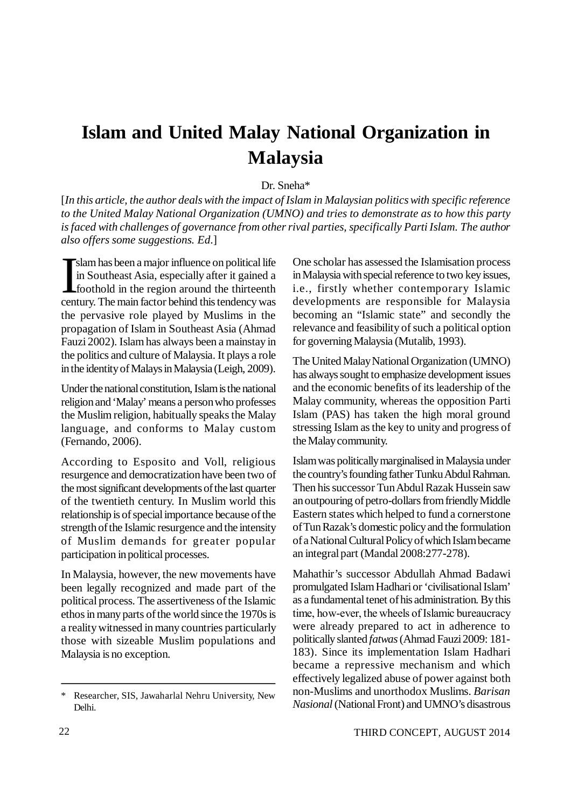# **Islam and United Malay National Organization in Malaysia**

## Dr. Sneha\*

[*In this article, the author deals with the impact of Islam in Malaysian politics with specific reference to the United Malay National Organization (UMNO) and tries to demonstrate as to how this party is faced with challenges of governance from other rival parties, specifically Parti Islam. The author also offers some suggestions. Ed*.]

I slam has been a major influence on political life<br>in Southeast Asia, especially after it gained a<br>foothold in the region around the thirteenth<br>century. The main factor behind this tendency was slam has been a major influence on political life in Southeast Asia, especially after it gained a foothold in the region around the thirteenth the pervasive role played by Muslims in the propagation of Islam in Southeast Asia (Ahmad Fauzi 2002). Islam has always been a mainstay in the politics and culture of Malaysia. It plays a role in the identity of Malays in Malaysia (Leigh, 2009).

Under the national constitution, Islam is the national religion and 'Malay' means a person who professes the Muslim religion, habitually speaks the Malay language, and conforms to Malay custom (Fernando, 2006).

According to Esposito and Voll, religious resurgence and democratization have been two of the most significant developments of the last quarter of the twentieth century. In Muslim world this relationship is of special importance because of the strength of the Islamic resurgence and the intensity of Muslim demands for greater popular participation in political processes.

In Malaysia, however, the new movements have been legally recognized and made part of the political process. The assertiveness of the Islamic ethos in many parts of the world since the 1970s is a reality witnessed in many countries particularly those with sizeable Muslim populations and Malaysia is no exception.

One scholar has assessed the Islamisation process in Malaysia with special reference to two key issues, i.e., firstly whether contemporary Islamic developments are responsible for Malaysia becoming an "Islamic state" and secondly the relevance and feasibility of such a political option for governing Malaysia (Mutalib, 1993).

The United Malay National Organization (UMNO) has always sought to emphasize development issues and the economic benefits of its leadership of the Malay community, whereas the opposition Parti Islam (PAS) has taken the high moral ground stressing Islam as the key to unity and progress of the Malay community.

Islam was politically marginalised in Malaysia under the country's founding father Tunku Abdul Rahman. Then his successor Tun Abdul Razak Hussein saw an outpouring of petro-dollars from friendly Middle Eastern states which helped to fund a cornerstone of Tun Razak's domestic policy and the formulation of a National Cultural Policy of which Islam became an integral part (Mandal 2008:277-278).

Mahathir's successor Abdullah Ahmad Badawi promulgated Islam Hadhari or 'civilisational Islam' as a fundamental tenet of his administration. By this time, how-ever, the wheels of Islamic bureaucracy were already prepared to act in adherence to politically slanted *fatwas* (Ahmad Fauzi 2009: 181- 183). Since its implementation Islam Hadhari became a repressive mechanism and which effectively legalized abuse of power against both non-Muslims and unorthodox Muslims. *Barisan Nasional* (National Front) and UMNO's disastrous

<sup>\*</sup> Researcher, SIS, Jawaharlal Nehru University, New Delhi.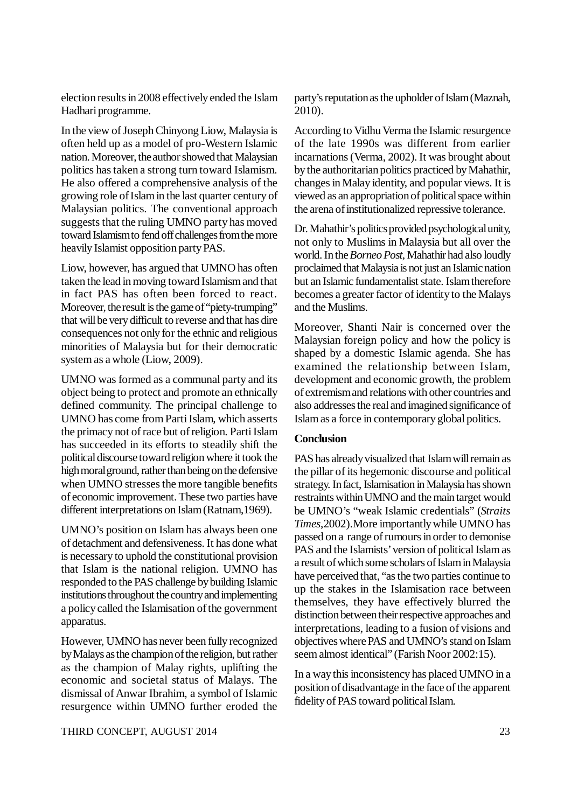election results in 2008 effectively ended the Islam Hadhari programme.

In the view of Joseph Chinyong Liow, Malaysia is often held up as a model of pro-Western Islamic nation. Moreover, the author showed that Malaysian politics has taken a strong turn toward Islamism. He also offered a comprehensive analysis of the growing role of Islam in the last quarter century of Malaysian politics. The conventional approach suggests that the ruling UMNO party has moved toward Islamism to fend off challenges from the more heavily Islamist opposition party PAS.

Liow, however, has argued that UMNO has often taken the lead in moving toward Islamism and that in fact PAS has often been forced to react. Moreover, the result is the game of "piety-trumping" that will be very difficult to reverse and that has dire consequences not only for the ethnic and religious minorities of Malaysia but for their democratic system as a whole (Liow, 2009).

UMNO was formed as a communal party and its object being to protect and promote an ethnically defined community. The principal challenge to UMNO has come from Parti Islam, which asserts the primacy not of race but of religion. Parti Islam has succeeded in its efforts to steadily shift the political discourse toward religion where it took the high moral ground, rather than being on the defensive when UMNO stresses the more tangible benefits of economic improvement. These two parties have different interpretations on Islam (Ratnam,1969).

UMNO's position on Islam has always been one of detachment and defensiveness. It has done what is necessary to uphold the constitutional provision that Islam is the national religion. UMNO has responded to the PAS challenge by building Islamic institutions throughout the country and implementing a policy called the Islamisation of the government apparatus.

However, UMNO has never been fully recognized by Malays as the champion of the religion, but rather as the champion of Malay rights, uplifting the economic and societal status of Malays. The dismissal of Anwar Ibrahim, a symbol of Islamic resurgence within UMNO further eroded the

party's reputation as the upholder of Islam (Maznah, 2010).

According to Vidhu Verma the Islamic resurgence of the late 1990s was different from earlier incarnations (Verma, 2002). It was brought about by the authoritarian politics practiced by Mahathir, changes in Malay identity, and popular views. It is viewed as an appropriation of political space within the arena of institutionalized repressive tolerance.

Dr. Mahathir's politics provided psychological unity, not only to Muslims in Malaysia but all over the world. In the *Borneo Post*, Mahathir had also loudly proclaimed that Malaysia is not just an Islamic nation but an Islamic fundamentalist state. Islam therefore becomes a greater factor of identity to the Malays and the Muslims.

Moreover, Shanti Nair is concerned over the Malaysian foreign policy and how the policy is shaped by a domestic Islamic agenda. She has examined the relationship between Islam, development and economic growth, the problem of extremism and relations with other countries and also addresses the real and imagined significance of Islam as a force in contemporary global politics.

#### **Conclusion**

PAS has already visualized that Islam will remain as the pillar of its hegemonic discourse and political strategy. In fact, Islamisation in Malaysia has shown restraints within UMNO and the main target would be UMNO's "weak Islamic credentials" (*Straits Times*,2002).More importantly while UMNO has passed on a range of rumours in order to demonise PAS and the Islamists' version of political Islam as a result of which some scholars of Islam in Malaysia have perceived that, "as the two parties continue to up the stakes in the Islamisation race between themselves, they have effectively blurred the distinction between their respective approaches and interpretations, leading to a fusion of visions and objectives where PAS and UMNO's stand on Islam seem almost identical" (Farish Noor 2002:15).

In a way this inconsistency has placed UMNO in a position of disadvantage in the face of the apparent fidelity of PAS toward political Islam.

## THIRD CONCEPT, AUGUST 2014 23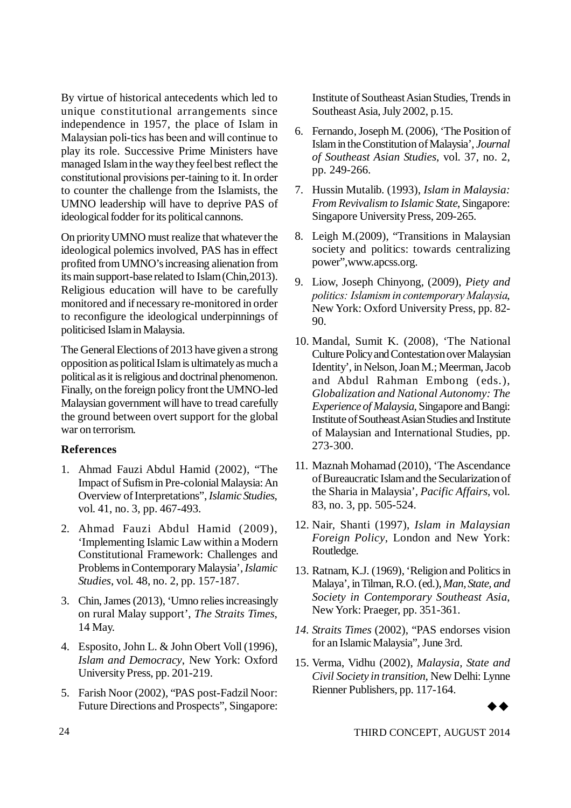By virtue of historical antecedents which led to unique constitutional arrangements since independence in 1957, the place of Islam in Malaysian poli-tics has been and will continue to play its role. Successive Prime Ministers have managed Islam in the way they feel best reflect the constitutional provisions per-taining to it. In order to counter the challenge from the Islamists, the UMNO leadership will have to deprive PAS of ideological fodder for its political cannons.

On priority UMNO must realize that whatever the ideological polemics involved, PAS has in effect profited from UMNO's increasing alienation from its main support-base related to Islam (Chin,2013). Religious education will have to be carefully monitored and if necessary re-monitored in order to reconfigure the ideological underpinnings of politicised Islam in Malaysia.

The General Elections of 2013 have given a strong opposition as political Islam is ultimately as much a political as it is religious and doctrinal phenomenon. Finally, on the foreign policy front the UMNO-led Malaysian government will have to tread carefully the ground between overt support for the global war on terrorism.

# **References**

- 1. Ahmad Fauzi Abdul Hamid (2002), "The Impact of Sufism in Pre-colonial Malaysia: An Overview of Interpretations", *Islamic Studies*, vol. 41, no. 3, pp. 467-493.
- 2. Ahmad Fauzi Abdul Hamid (2009), 'Implementing Islamic Law within a Modern Constitutional Framework: Challenges and Problems in Contemporary Malaysia', *Islamic Studies*, vol. 48, no. 2, pp. 157-187.
- 3. Chin, James (2013), 'Umno relies increasingly on rural Malay support', *The Straits Times*, 14 May.
- 4. Esposito, John L. & John Obert Voll (1996), *Islam and Democracy*, New York: Oxford University Press, pp. 201-219.
- 5. Farish Noor (2002), "PAS post-Fadzil Noor: Future Directions and Prospects", Singapore:

Institute of Southeast Asian Studies, Trends in Southeast Asia, July 2002, p.15.

- 6. Fernando, Joseph M. (2006), 'The Position of Islam in the Constitution of Malaysia', *Journal of Southeast Asian Studies*, vol. 37, no. 2, pp. 249-266.
- 7. Hussin Mutalib. (1993), *Islam in Malaysia: From Revivalism to Islamic State*, Singapore: Singapore University Press, 209-265.
- 8. Leigh M.(2009), "Transitions in Malaysian society and politics: towards centralizing power",www.apcss.org.
- 9. Liow, Joseph Chinyong, (2009), *Piety and politics: Islamism in contemporary Malaysia*, New York: Oxford University Press, pp. 82- 90.
- 10. Mandal, Sumit K. (2008), 'The National Culture Policy and Contestation over Malaysian Identity', in Nelson, Joan M.; Meerman, Jacob and Abdul Rahman Embong (eds.), *Globalization and National Autonomy: The Experience of Malaysia*, Singapore and Bangi: Institute of Southeast Asian Studies and Institute of Malaysian and International Studies, pp. 273-300.
- 11. Maznah Mohamad (2010), 'The Ascendance of Bureaucratic Islam and the Secularization of the Sharia in Malaysia', *Pacific Affairs*, vol. 83, no. 3, pp. 505-524.
- 12. Nair, Shanti (1997), *Islam in Malaysian Foreign Policy*, London and New York: Routledge.
- 13. Ratnam, K.J. (1969), 'Religion and Politics in Malaya', in Tilman, R.O. (ed.), *Man, State, and Society in Contemporary Southeast Asia*, New York: Praeger, pp. 351-361.
- *14. Straits Times* (2002), "PAS endorses vision for an Islamic Malaysia", June 3rd.
- 15. Verma, Vidhu (2002), *Malaysia, State and Civil Society in transition*, New Delhi: Lynne Rienner Publishers, pp. 117-164.

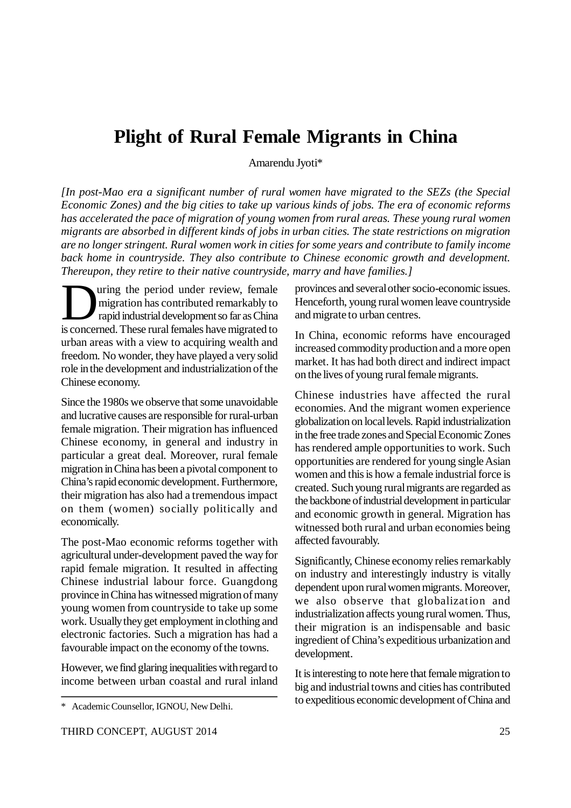# **Plight of Rural Female Migrants in China**

Amarendu Jyoti\*

*[In post-Mao era a significant number of rural women have migrated to the SEZs (the Special Economic Zones) and the big cities to take up various kinds of jobs. The era of economic reforms has accelerated the pace of migration of young women from rural areas. These young rural women migrants are absorbed in different kinds of jobs in urban cities. The state restrictions on migration are no longer stringent. Rural women work in cities for some years and contribute to family income back home in countryside. They also contribute to Chinese economic growth and development. Thereupon, they retire to their native countryside, marry and have families.]*

Ultimation has contributed remarkably to rapid industrial development so far as China is concerned. These rural females have migrated to uring the period under review, female migration has contributed remarkably to rapid industrial development so far as China urban areas with a view to acquiring wealth and freedom. No wonder, they have played a very solid role in the development and industrialization of the Chinese economy.

Since the 1980s we observe that some unavoidable and lucrative causes are responsible for rural-urban female migration. Their migration has influenced Chinese economy, in general and industry in particular a great deal. Moreover, rural female migration in China has been a pivotal component to China's rapid economic development. Furthermore, their migration has also had a tremendous impact on them (women) socially politically and economically.

The post-Mao economic reforms together with agricultural under-development paved the way for rapid female migration. It resulted in affecting Chinese industrial labour force. Guangdong province in China has witnessed migration of many young women from countryside to take up some work. Usually they get employment in clothing and electronic factories. Such a migration has had a favourable impact on the economy of the towns.

However, we find glaring inequalities with regard to income between urban coastal and rural inland

provinces and several other socio-economic issues. Henceforth, young rural women leave countryside and migrate to urban centres.

In China, economic reforms have encouraged increased commodity production and a more open market. It has had both direct and indirect impact on the lives of young rural female migrants.

Chinese industries have affected the rural economies. And the migrant women experience globalization on local levels. Rapid industrialization in the free trade zones and Special Economic Zones has rendered ample opportunities to work. Such opportunities are rendered for young single Asian women and this is how a female industrial force is created. Such young rural migrants are regarded as the backbone of industrial development in particular and economic growth in general. Migration has witnessed both rural and urban economies being affected favourably.

Significantly, Chinese economy relies remarkably on industry and interestingly industry is vitally dependent upon rural women migrants. Moreover, we also observe that globalization and industrialization affects young rural women. Thus, their migration is an indispensable and basic ingredient of China's expeditious urbanization and development.

It is interesting to note here that female migration to big and industrial towns and cities has contributed to expeditious economic development of China and

<sup>\*</sup> Academic Counsellor, IGNOU, New Delhi.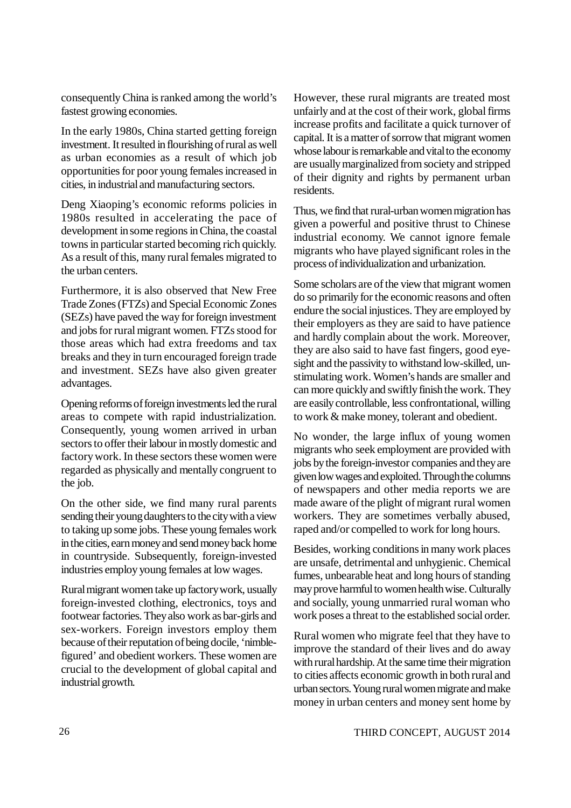consequently China is ranked among the world's fastest growing economies.

In the early 1980s, China started getting foreign investment. It resulted in flourishing of rural as well as urban economies as a result of which job opportunities for poor young females increased in cities, in industrial and manufacturing sectors.

Deng Xiaoping's economic reforms policies in 1980s resulted in accelerating the pace of development in some regions in China, the coastal towns in particular started becoming rich quickly. As a result of this, many rural females migrated to the urban centers.

Furthermore, it is also observed that New Free Trade Zones (FTZs) and Special Economic Zones (SEZs) have paved the way for foreign investment and jobs for rural migrant women. FTZs stood for those areas which had extra freedoms and tax breaks and they in turn encouraged foreign trade and investment. SEZs have also given greater advantages.

Opening reforms of foreign investments led the rural areas to compete with rapid industrialization. Consequently, young women arrived in urban sectors to offer their labour in mostly domestic and factory work. In these sectors these women were regarded as physically and mentally congruent to the job.

On the other side, we find many rural parents sending their young daughters to the city with a view to taking up some jobs. These young females work in the cities, earn money and send money back home in countryside. Subsequently, foreign-invested industries employ young females at low wages.

Rural migrant women take up factory work, usually foreign-invested clothing, electronics, toys and footwear factories. They also work as bar-girls and sex-workers. Foreign investors employ them because of their reputation of being docile, 'nimblefigured' and obedient workers. These women are crucial to the development of global capital and industrial growth.

However, these rural migrants are treated most unfairly and at the cost of their work, global firms increase profits and facilitate a quick turnover of capital. It is a matter of sorrow that migrant women whose labour is remarkable and vital to the economy are usually marginalized from society and stripped of their dignity and rights by permanent urban residents.

Thus, we find that rural-urban women migration has given a powerful and positive thrust to Chinese industrial economy. We cannot ignore female migrants who have played significant roles in the process of individualization and urbanization.

Some scholars are of the view that migrant women do so primarily for the economic reasons and often endure the social injustices. They are employed by their employers as they are said to have patience and hardly complain about the work. Moreover, they are also said to have fast fingers, good eyesight and the passivity to withstand low-skilled, unstimulating work. Women's hands are smaller and can more quickly and swiftly finish the work. They are easily controllable, less confrontational, willing to work & make money, tolerant and obedient.

No wonder, the large influx of young women migrants who seek employment are provided with jobs by the foreign-investor companies and they are given low wages and exploited. Through the columns of newspapers and other media reports we are made aware of the plight of migrant rural women workers. They are sometimes verbally abused, raped and/or compelled to work for long hours.

Besides, working conditions in many work places are unsafe, detrimental and unhygienic. Chemical fumes, unbearable heat and long hours of standing may prove harmful to women health wise. Culturally and socially, young unmarried rural woman who work poses a threat to the established social order.

Rural women who migrate feel that they have to improve the standard of their lives and do away with rural hardship. At the same time their migration to cities affects economic growth in both rural and urban sectors. Young rural women migrate and make money in urban centers and money sent home by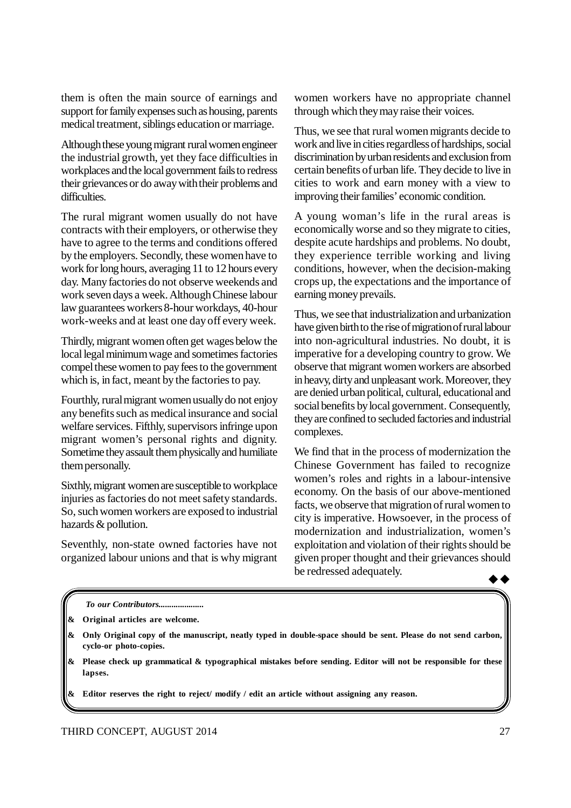them is often the main source of earnings and support for family expenses such as housing, parents medical treatment, siblings education or marriage.

Although these young migrant rural women engineer the industrial growth, yet they face difficulties in workplaces and the local government fails to redress their grievances or do away with their problems and difficulties.

The rural migrant women usually do not have contracts with their employers, or otherwise they have to agree to the terms and conditions offered by the employers. Secondly, these women have to work for long hours, averaging 11 to 12 hours every day. Many factories do not observe weekends and work seven days a week. Although Chinese labour law guarantees workers 8-hour workdays, 40-hour work-weeks and at least one day off every week.

Thirdly, migrant women often get wages below the local legal minimum wage and sometimes factories compel these women to pay fees to the government which is, in fact, meant by the factories to pay.

Fourthly, rural migrant women usually do not enjoy any benefits such as medical insurance and social welfare services. Fifthly, supervisors infringe upon migrant women's personal rights and dignity. Sometime they assault them physically and humiliate them personally.

Sixthly, migrant women are susceptible to workplace injuries as factories do not meet safety standards. So, such women workers are exposed to industrial hazards & pollution.

Seventhly, non-state owned factories have not organized labour unions and that is why migrant women workers have no appropriate channel through which they may raise their voices.

Thus, we see that rural women migrants decide to work and live in cities regardless of hardships, social discrimination by urban residents and exclusion from certain benefits of urban life. They decide to live in cities to work and earn money with a view to improving their families' economic condition.

A young woman's life in the rural areas is economically worse and so they migrate to cities, despite acute hardships and problems. No doubt, they experience terrible working and living conditions, however, when the decision-making crops up, the expectations and the importance of earning money prevails.

Thus, we see that industrialization and urbanization have given birth to the rise of migration of rural labour into non-agricultural industries. No doubt, it is imperative for a developing country to grow. We observe that migrant women workers are absorbed in heavy, dirty and unpleasant work. Moreover, they are denied urban political, cultural, educational and social benefits by local government. Consequently, they are confined to secluded factories and industrial complexes.

We find that in the process of modernization the Chinese Government has failed to recognize women's roles and rights in a labour-intensive economy. On the basis of our above-mentioned facts, we observe that migration of rural women to city is imperative. Howsoever, in the process of modernization and industrialization, women's exploitation and violation of their rights should be given proper thought and their grievances should be redressed adequately.



 *To our Contributors.....................*

**& Original articles are welcome.**

**& Only Original copy of the manuscript, neatly typed in double-space should be sent. Please do not send carbon, cyclo-or photo-copies.**

- **& Please check up grammatical & typographical mistakes before sending. Editor will not be responsible for these lapses.**
- **& Editor reserves the right to reject/ modify / edit an article without assigning any reason.**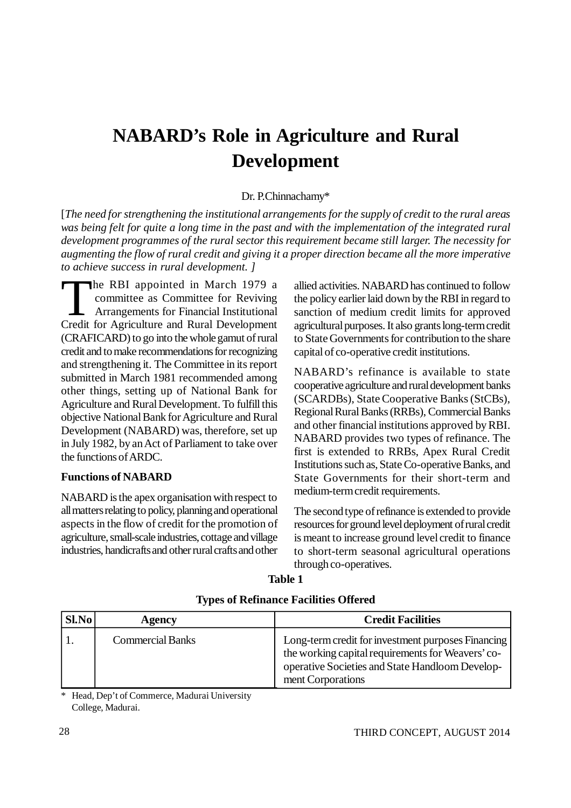# **NABARD's Role in Agriculture and Rural Development**

### Dr. P.Chinnachamy\*

[*The need for strengthening the institutional arrangements for the supply of credit to the rural areas was being felt for quite a long time in the past and with the implementation of the integrated rural development programmes of the rural sector this requirement became still larger. The necessity for augmenting the flow of rural credit and giving it a proper direction became all the more imperative to achieve success in rural development. ]*

The RBI appointed in March 1979 a<br>committee as Committee for Reviving<br>Arrangements for Financial Institutional<br>Credit for Agriculture and Rural Development The RBI appointed in March 1979 a committee as Committee for Reviving Arrangements for Financial Institutional (CRAFICARD) to go into the whole gamut of rural credit and to make recommendations for recognizing and strengthening it. The Committee in its report submitted in March 1981 recommended among other things, setting up of National Bank for Agriculture and Rural Development. To fulfill this objective National Bank for Agriculture and Rural Development (NABARD) was, therefore, set up in July 1982, by an Act of Parliament to take over the functions of ARDC.

### **Functions of NABARD**

NABARD is the apex organisation with respect to all matters relating to policy, planning and operational aspects in the flow of credit for the promotion of agriculture, small-scale industries, cottage and village industries, handicrafts and other rural crafts and other

allied activities. NABARD has continued to follow the policy earlier laid down by the RBI in regard to sanction of medium credit limits for approved agricultural purposes. It also grants long-term credit to State Governments for contribution to the share capital of co-operative credit institutions.

NABARD's refinance is available to state cooperative agriculture and rural development banks (SCARDBs), State Cooperative Banks (StCBs), Regional Rural Banks (RRBs), Commercial Banks and other financial institutions approved by RBI. NABARD provides two types of refinance. The first is extended to RRBs, Apex Rural Credit Institutions such as, State Co-operative Banks, and State Governments for their short-term and medium-term credit requirements.

The second type of refinance is extended to provide resources for ground level deployment of rural credit is meant to increase ground level credit to finance to short-term seasonal agricultural operations through co-operatives.

| anı |  |
|-----|--|
|-----|--|

| Sl.No | Agency                  | <b>Credit Facilities</b>                                                                                                                                                        |
|-------|-------------------------|---------------------------------------------------------------------------------------------------------------------------------------------------------------------------------|
|       | <b>Commercial Banks</b> | Long-term credit for investment purposes Financing<br>the working capital requirements for Weavers' co-<br>operative Societies and State Handloom Develop-<br>ment Corporations |

## **Types of Refinance Facilities Offered**

\* Head, Dep't of Commerce, Madurai University College, Madurai.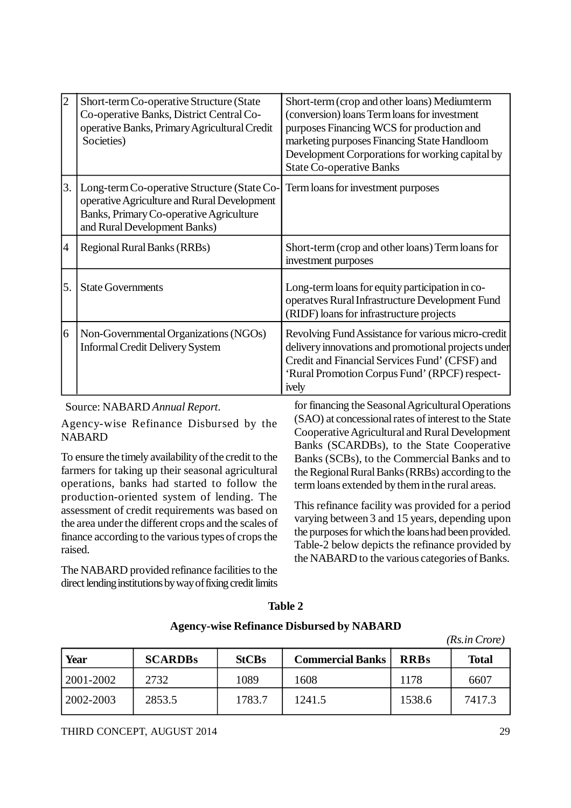| 2              | Short-term Co-operative Structure (State<br>Co-operative Banks, District Central Co-<br>operative Banks, Primary Agricultural Credit<br>Societies)                    | Short-term (crop and other loans) Mediumterm<br>(conversion) loans Term loans for investment<br>purposes Financing WCS for production and<br>marketing purposes Financing State Handloom<br>Development Corporations for working capital by<br><b>State Co-operative Banks</b> |
|----------------|-----------------------------------------------------------------------------------------------------------------------------------------------------------------------|--------------------------------------------------------------------------------------------------------------------------------------------------------------------------------------------------------------------------------------------------------------------------------|
| 3.             | Long-term Co-operative Structure (State Co-<br>operative Agriculture and Rural Development<br>Banks, Primary Co-operative Agriculture<br>and Rural Development Banks) | Term loans for investment purposes                                                                                                                                                                                                                                             |
| $\overline{4}$ | Regional Rural Banks (RRBs)                                                                                                                                           | Short-term (crop and other loans) Term loans for<br>investment purposes                                                                                                                                                                                                        |
| 5.             | <b>State Governments</b>                                                                                                                                              | Long-term loans for equity participation in co-<br>operatves Rural Infrastructure Development Fund<br>(RIDF) loans for infrastructure projects                                                                                                                                 |
| 6              | Non-Governmental Organizations (NGOs)<br><b>Informal Credit Delivery System</b>                                                                                       | Revolving Fund Assistance for various micro-credit<br>delivery innovations and promotional projects under<br>Credit and Financial Services Fund' (CFSF) and<br>'Rural Promotion Corpus Fund' (RPCF) respect-<br>ively                                                          |

Source: NABARD *Annual Report*.

Agency-wise Refinance Disbursed by the NABARD

To ensure the timely availability of the credit to the farmers for taking up their seasonal agricultural operations, banks had started to follow the production-oriented system of lending. The assessment of credit requirements was based on the area under the different crops and the scales of finance according to the various types of crops the raised.

The NABARD provided refinance facilities to the direct lending institutions by way of fixing credit limits for financing the Seasonal Agricultural Operations (SAO) at concessional rates of interest to the State Cooperative Agricultural and Rural Development Banks (SCARDBs), to the State Cooperative Banks (SCBs), to the Commercial Banks and to the Regional Rural Banks (RRBs) according to the term loans extended by them in the rural areas.

This refinance facility was provided for a period varying between 3 and 15 years, depending upon the purposes for which the loans had been provided. Table-2 below depicts the refinance provided by the NABARD to the various categories of Banks.

| וחו<br>я<br>ı |  |
|---------------|--|
|---------------|--|

# **Agency-wise Refinance Disbursed by NABARD**

| <b>Year</b>    | <b>SCARDBs</b> | <b>StCBs</b> | <b>Commercial Banks</b> | <b>RRBs</b> | Total  |
|----------------|----------------|--------------|-------------------------|-------------|--------|
| $12001 - 2002$ | 2732           | 1089         | 1608                    | 1178        | 6607   |
| 2002-2003      | 2853.5         | 1783.7       | 1241.5                  | 1538.6      | 7417.3 |

THIRD CONCEPT, AUGUST 2014 29

*(Rs.in Crore)*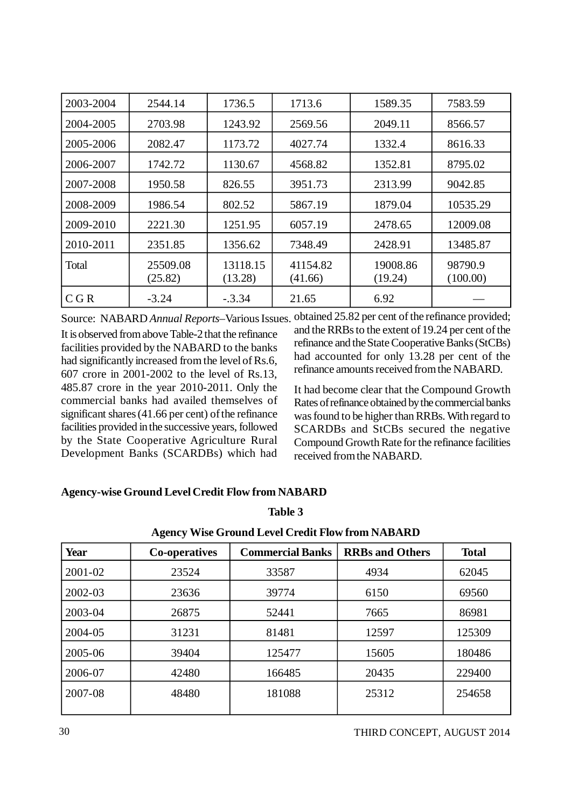| 2003-2004 | 2544.14             | 1736.5              | 1713.6              | 1589.35             | 7583.59             |
|-----------|---------------------|---------------------|---------------------|---------------------|---------------------|
| 2004-2005 | 2703.98             | 1243.92             | 2569.56             | 2049.11             | 8566.57             |
| 2005-2006 | 2082.47             | 1173.72             | 4027.74             | 1332.4              | 8616.33             |
| 2006-2007 | 1742.72             | 1130.67             | 4568.82             | 1352.81             | 8795.02             |
| 2007-2008 | 1950.58             | 826.55              | 3951.73             | 2313.99             | 9042.85             |
| 2008-2009 | 1986.54             | 802.52              | 5867.19             | 1879.04             | 10535.29            |
| 2009-2010 | 2221.30             | 1251.95             | 6057.19             | 2478.65             | 12009.08            |
| 2010-2011 | 2351.85             | 1356.62             | 7348.49             | 2428.91             | 13485.87            |
| Total     | 25509.08<br>(25.82) | 13118.15<br>(13.28) | 41154.82<br>(41.66) | 19008.86<br>(19.24) | 98790.9<br>(100.00) |
| C G R     | $-3.24$             | $-.3.34$            | 21.65               | 6.92                |                     |

Source: NABARD *Annual Reports*–Various Issues. obtained 25.82 per cent of the refinance provided; It is observed from above Table-2 that the refinance facilities provided by the NABARD to the banks had significantly increased from the level of Rs.6, 607 crore in 2001-2002 to the level of Rs.13, 485.87 crore in the year 2010-2011. Only the commercial banks had availed themselves of significant shares (41.66 per cent) of the refinance facilities provided in the successive years, followed by the State Cooperative Agriculture Rural Development Banks (SCARDBs) which had

and the RRBs to the extent of 19.24 per cent of the refinance and the State Cooperative Banks (StCBs) had accounted for only 13.28 per cent of the refinance amounts received from the NABARD.

It had become clear that the Compound Growth Rates of refinance obtained by the commercial banks was found to be higher than RRBs. With regard to SCARDBs and StCBs secured the negative Compound Growth Rate for the refinance facilities received from the NABARD.

### **Agency-wise Ground Level Credit Flow from NABARD**

| lable |  |
|-------|--|
|-------|--|

| <b>Year</b> | <b>Co-operatives</b> | <b>Commercial Banks</b> | <b>RRBs and Others</b> | <b>Total</b> |
|-------------|----------------------|-------------------------|------------------------|--------------|
| 2001-02     | 23524                | 33587                   | 4934                   | 62045        |
| 2002-03     | 23636                | 39774                   | 6150                   | 69560        |
| 2003-04     | 26875                | 52441                   | 7665                   | 86981        |
| 2004-05     | 31231                | 81481                   | 12597                  | 125309       |
| 2005-06     | 39404                | 125477                  | 15605                  | 180486       |
| 2006-07     | 42480                | 166485                  | 20435                  | 229400       |
| 2007-08     | 48480                | 181088                  | 25312                  | 254658       |
|             |                      |                         |                        |              |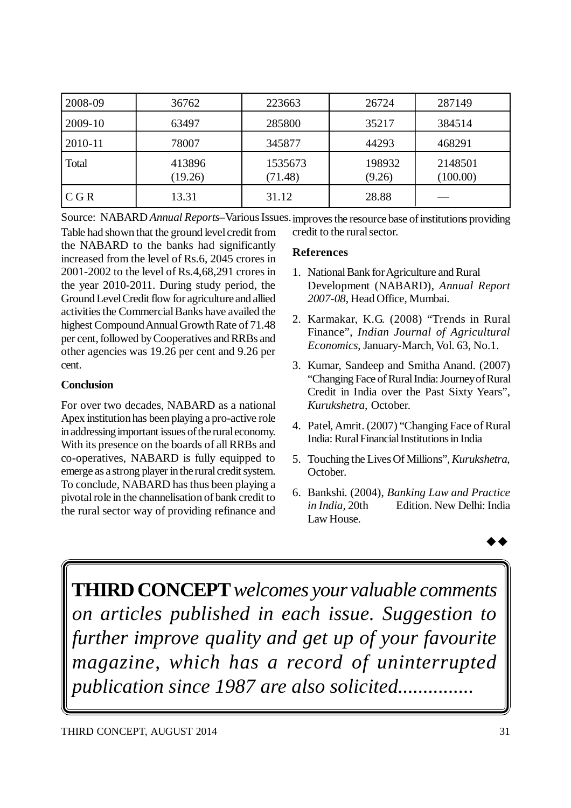| 2008-09 | 36762                    | 223663             | 26724            | 287149              |
|---------|--------------------------|--------------------|------------------|---------------------|
| 2009-10 | 285800<br>63497<br>35217 |                    |                  | 384514              |
| 2010-11 | 78007                    | 345877             | 44293            | 468291              |
| Total   | 413896<br>(19.26)        | 1535673<br>(71.48) | 198932<br>(9.26) | 2148501<br>(100.00) |
| C G R   | 13.31                    | 31.12              | 28.88            |                     |

Source: NABARD *Annual Reports*–Various Issues. improves the resource base of institutions providing credit to the rural sector.

Table had shown that the ground level credit from the NABARD to the banks had significantly increased from the level of Rs.6, 2045 crores in 2001-2002 to the level of Rs.4,68,291 crores in the year 2010-2011. During study period, the Ground Level Credit flow for agriculture and allied activities the Commercial Banks have availed the highest Compound Annual Growth Rate of 71.48 per cent, followed by Cooperatives and RRBs and other agencies was 19.26 per cent and 9.26 per cent.

# **Conclusion**

For over two decades, NABARD as a national Apex institution has been playing a pro-active role in addressing important issues of the rural economy. With its presence on the boards of all RRBs and co-operatives, NABARD is fully equipped to emerge as a strong player in the rural credit system. To conclude, NABARD has thus been playing a pivotal role in the channelisation of bank credit to the rural sector way of providing refinance and

# **References**

- 1. National Bank for Agriculture and Rural Development (NABARD), *Annual Report 2007-08*, Head Office, Mumbai.
- 2. Karmakar, K.G. (2008) "Trends in Rural Finance", *Indian Journal of Agricultural Economics*, January-March, Vol. 63, No.1.
- 3. Kumar, Sandeep and Smitha Anand. (2007) "Changing Face of Rural India: Journey of Rural Credit in India over the Past Sixty Years", *Kurukshetra*, October.
- 4. Patel, Amrit. (2007) "Changing Face of Rural India: Rural Financial Institutions in India
- 5. Touching the Lives Of Millions", *Kurukshetra*, October.
- 6. Bankshi. (2004), *Banking Law and Practice in India,* 20th Edition. New Delhi: India Law House.



**THIRD CONCEPT***welcomes your valuable comments on articles published in each issue. Suggestion to further improve quality and get up of your favourite magazine, which has a record of uninterrupted publication since 1987 are also solicited...............*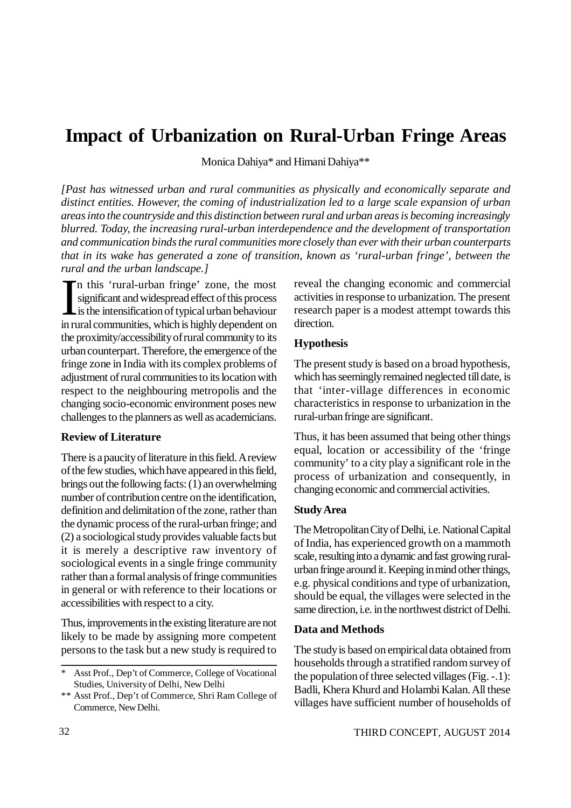# **Impact of Urbanization on Rural-Urban Fringe Areas**

Monica Dahiya\* and Himani Dahiya\*\*

*[Past has witnessed urban and rural communities as physically and economically separate and distinct entities. However, the coming of industrialization led to a large scale expansion of urban areas into the countryside and this distinction between rural and urban areas is becoming increasingly blurred. Today, the increasing rural-urban interdependence and the development of transportation and communication binds the rural communities more closely than ever with their urban counterparts that in its wake has generated a zone of transition, known as 'rural-urban fringe', between the rural and the urban landscape.]*

In this 'rural-urban fringe' zone, the most significant and widespread effect of this process is the intensification of typical urban behaviour in rural communities, which is highly dependent on n this 'rural-urban fringe' zone, the most significant and widespread effect of this process  $\overline{\phantom{a}}$  is the intensification of typical urban behaviour the proximity/accessibility of rural community to its urban counterpart. Therefore, the emergence of the fringe zone in India with its complex problems of adjustment of rural communities to its location with respect to the neighbouring metropolis and the changing socio-economic environment poses new challenges to the planners as well as academicians.

## **Review of Literature**

There is a paucity of literature in this field. A review of the few studies, which have appeared in this field, brings out the following facts: (1) an overwhelming number of contribution centre on the identification, definition and delimitation of the zone, rather than the dynamic process of the rural-urban fringe; and (2) a sociological study provides valuable facts but it is merely a descriptive raw inventory of sociological events in a single fringe community rather than a formal analysis of fringe communities in general or with reference to their locations or accessibilities with respect to a city.

Thus, improvements in the existing literature are not likely to be made by assigning more competent persons to the task but a new study is required to reveal the changing economic and commercial activities in response to urbanization. The present research paper is a modest attempt towards this direction.

## **Hypothesis**

The present study is based on a broad hypothesis, which has seemingly remained neglected till date, is that 'inter-village differences in economic characteristics in response to urbanization in the rural-urban fringe are significant.

Thus, it has been assumed that being other things equal, location or accessibility of the 'fringe community' to a city play a significant role in the process of urbanization and consequently, in changing economic and commercial activities.

## **Study Area**

The Metropolitan City of Delhi, i.e. National Capital of India, has experienced growth on a mammoth scale, resulting into a dynamic and fast growing ruralurban fringe around it. Keeping in mind other things, e.g. physical conditions and type of urbanization, should be equal, the villages were selected in the same direction, i.e. in the northwest district of Delhi.

## **Data and Methods**

The study is based on empirical data obtained from households through a stratified random survey of the population of three selected villages (Fig. -.1): Badli, Khera Khurd and Holambi Kalan. All these villages have sufficient number of households of

Asst Prof., Dep't of Commerce, College of Vocational Studies, University of Delhi, New Delhi

<sup>\*\*</sup> Asst Prof., Dep't of Commerce, Shri Ram College of Commerce, New Delhi.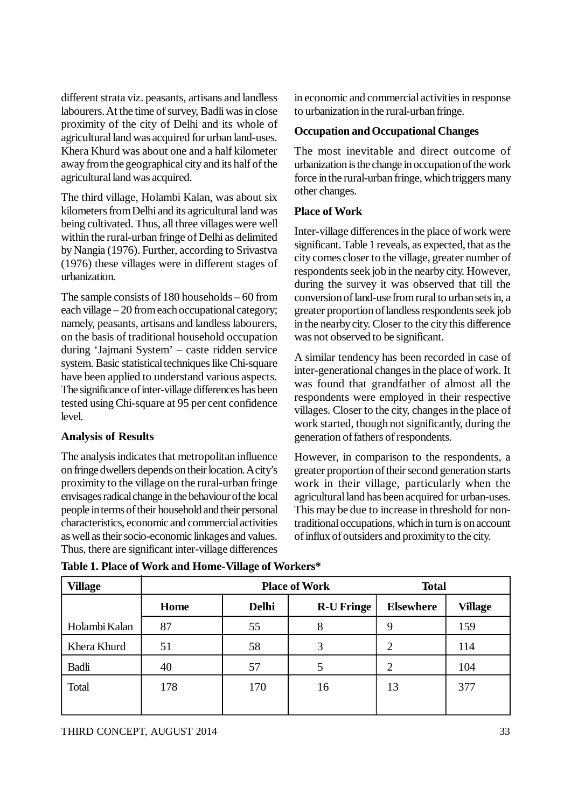different strata viz. peasants, artisans and landless labourers. At the time of survey, Badli was in close proximity of the city of Delhi and its whole of agricultural land was acquired for urban land-uses. Khera Khurd was about one and a half kilometer away from the geographical city and its half of the agricultural land was acquired.

The third village, Holambi Kalan, was about six kilometers from Delhi and its agricultural land was being cultivated. Thus, all three villages were well within the rural-urban fringe of Delhi as delimited by Nangia (1976). Further, according to Srivastva (1976) these villages were in different stages of urbanization.

The sample consists of 180 households – 60 from each village – 20 from each occupational category; namely, peasants, artisans and landless labourers, on the basis of traditional household occupation during 'Jajmani System' – caste ridden service system. Basic statistical techniques like Chi-square have been applied to understand various aspects. The significance of inter-village differences has been tested using Chi-square at 95 per cent confidence level.

## **Analysis of Results**

The analysis indicates that metropolitan influence on fringe dwellers depends on their location. A city's proximity to the village on the rural-urban fringe envisages radical change in the behaviour of the local people in terms of their household and their personal characteristics, economic and commercial activities as well as their socio-economic linkages and values. Thus, there are significant inter-village differences in economic and commercial activities in response to urbanization in the rural-urban fringe.

### **Occupation and Occupational Changes**

The most inevitable and direct outcome of urbanization is the change in occupation of the work force in the rural-urban fringe, which triggers many other changes.

### **Place of Work**

Inter-village differences in the place of work were significant. Table 1 reveals, as expected, that as the city comes closer to the village, greater number of respondents seek job in the nearby city. However, during the survey it was observed that till the conversion of land-use from rural to urban sets in, a greater proportion of landless respondents seek job in the nearby city. Closer to the city this difference was not observed to be significant.

A similar tendency has been recorded in case of inter-generational changes in the place of work. It was found that grandfather of almost all the respondents were employed in their respective villages. Closer to the city, changes in the place of work started, though not significantly, during the generation of fathers of respondents.

However, in comparison to the respondents, a greater proportion of their second generation starts work in their village, particularly when the agricultural land has been acquired for urban-uses. This may be due to increase in threshold for nontraditional occupations, which in turn is on account of influx of outsiders and proximity to the city.

| <b>Village</b> | <b>Place of Work</b> |                                   |    | <b>Total</b>     |                |
|----------------|----------------------|-----------------------------------|----|------------------|----------------|
|                | Home                 | <b>R-U Fringe</b><br><b>Delhi</b> |    | <b>Elsewhere</b> | <b>Village</b> |
| Holambi Kalan  | 87                   | 55                                |    |                  | 159            |
| Khera Khurd    | 51                   | 58                                |    |                  | 114            |
| Badli          | 40                   | 57                                |    |                  | 104            |
| Total          | 178                  | 170                               | 16 | 13               | 377            |
|                |                      |                                   |    |                  |                |

**Table 1. Place of Work and Home-Village of Workers\***

THIRD CONCEPT, AUGUST 2014 33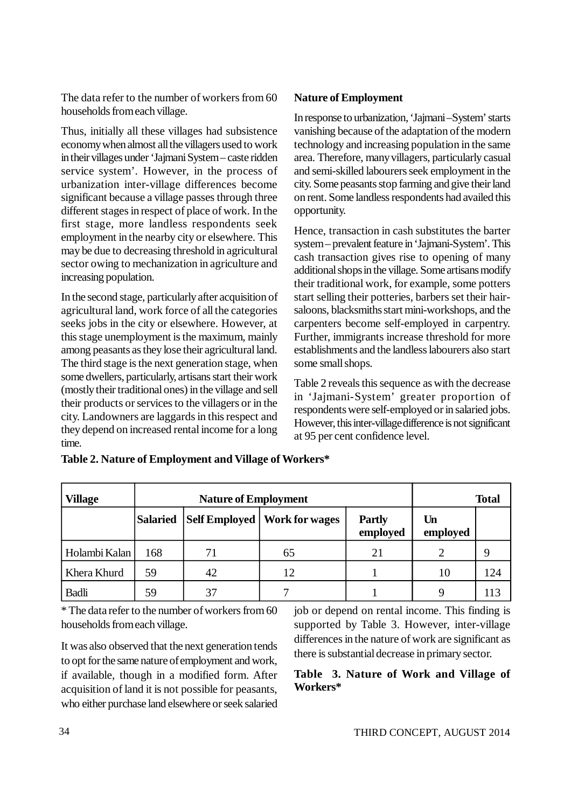The data refer to the number of workers from 60 households from each village.

Thus, initially all these villages had subsistence economy when almost all the villagers used to work in their villages under 'Jajmani System – caste ridden service system'. However, in the process of urbanization inter-village differences become significant because a village passes through three different stages in respect of place of work. In the first stage, more landless respondents seek employment in the nearby city or elsewhere. This may be due to decreasing threshold in agricultural sector owing to mechanization in agriculture and increasing population.

In the second stage, particularly after acquisition of agricultural land, work force of all the categories seeks jobs in the city or elsewhere. However, at this stage unemployment is the maximum, mainly among peasants as they lose their agricultural land. The third stage is the next generation stage, when some dwellers, particularly, artisans start their work (mostly their traditional ones) in the village and sell their products or services to the villagers or in the city. Landowners are laggards in this respect and they depend on increased rental income for a long time.

## **Nature of Employment**

In response to urbanization, 'Jajmani –System' starts vanishing because of the adaptation of the modern technology and increasing population in the same area. Therefore, many villagers, particularly casual and semi-skilled labourers seek employment in the city. Some peasants stop farming and give their land on rent. Some landless respondents had availed this opportunity.

Hence, transaction in cash substitutes the barter system – prevalent feature in 'Jajmani-System'. This cash transaction gives rise to opening of many additional shops in the village. Some artisans modify their traditional work, for example, some potters start selling their potteries, barbers set their hairsaloons, blacksmiths start mini-workshops, and the carpenters become self-employed in carpentry. Further, immigrants increase threshold for more establishments and the landless labourers also start some small shops.

Table 2 reveals this sequence as with the decrease in 'Jajmani-System' greater proportion of respondents were self-employed or in salaried jobs. However, this inter-village difference is not significant at 95 per cent confidence level.

| <b>Village</b> |                 | <b>Nature of Employment</b> | <b>Total</b>                          |                           |                |     |
|----------------|-----------------|-----------------------------|---------------------------------------|---------------------------|----------------|-----|
|                | <b>Salaried</b> |                             | <b>Self Employed   Work for wages</b> | <b>Partly</b><br>employed | Un<br>employed |     |
| Holambi Kalan  | 168             |                             | 65                                    | 21                        |                |     |
| Khera Khurd    | 59              | 42                          | 12                                    |                           | 10             | 124 |
| <b>Badli</b>   | 59              | 37                          |                                       |                           |                | 113 |

**Table 2. Nature of Employment and Village of Workers\***

\* The data refer to the number of workers from 60 households from each village.

It was also observed that the next generation tends to opt for the same nature of employment and work, if available, though in a modified form. After acquisition of land it is not possible for peasants, who either purchase land elsewhere or seek salaried job or depend on rental income. This finding is supported by Table 3. However, inter-village differences in the nature of work are significant as there is substantial decrease in primary sector.

# **Table 3. Nature of Work and Village of Workers\***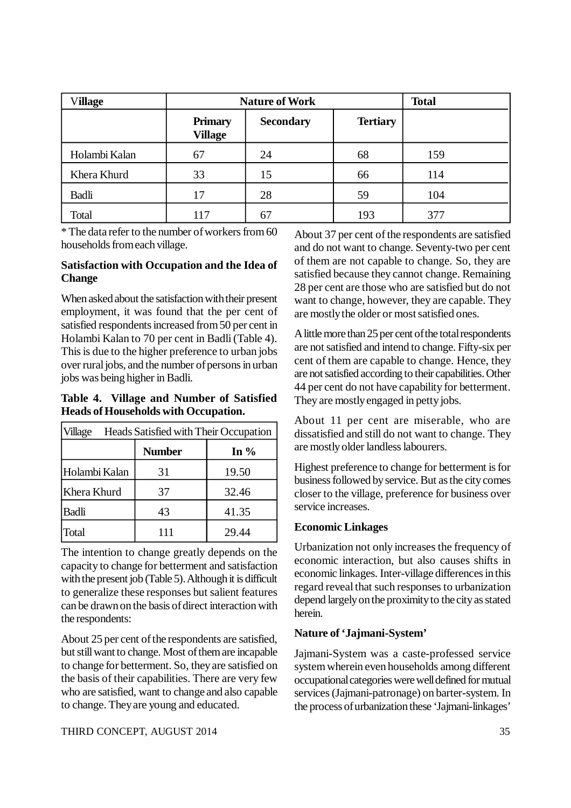| Village       | <b>Nature of Work</b>            |                  |                 | <b>Total</b> |
|---------------|----------------------------------|------------------|-----------------|--------------|
|               | <b>Primary</b><br><b>Village</b> | <b>Secondary</b> | <b>Tertiary</b> |              |
| Holambi Kalan | 67                               | 24               | 68              | 159          |
| Khera Khurd   | 33                               | 15               | 66              | 114          |
| Badli         | 17                               | 28               | 59              | 104          |
| Total         | 117                              | 67               | 193             | 377          |

\* The data refer to the number of workers from 60 households from each village.

## **Satisfaction with Occupation and the Idea of Change**

When asked about the satisfaction with their present employment, it was found that the per cent of satisfied respondents increased from 50 per cent in Holambi Kalan to 70 per cent in Badli (Table 4). This is due to the higher preference to urban jobs over rural jobs, and the number of persons in urban jobs was being higher in Badli.

**Table 4. Village and Number of Satisfied Heads of Households with Occupation.**

| Village<br>Heads Satisfied with Their Occupation |               |        |  |  |  |  |
|--------------------------------------------------|---------------|--------|--|--|--|--|
|                                                  | <b>Number</b> | In $%$ |  |  |  |  |
| Holambi Kalan                                    | 31            | 19.50  |  |  |  |  |
| Khera Khurd                                      | 37            | 32.46  |  |  |  |  |
| Badli                                            | 43            | 41.35  |  |  |  |  |
| Total                                            | 111           | 29.44  |  |  |  |  |

The intention to change greatly depends on the capacity to change for betterment and satisfaction with the present job (Table 5). Although it is difficult to generalize these responses but salient features can be drawn on the basis of direct interaction with the respondents:

About 25 per cent of the respondents are satisfied, but still want to change. Most of them are incapable to change for betterment. So, they are satisfied on the basis of their capabilities. There are very few who are satisfied, want to change and also capable to change. They are young and educated.

About 37 per cent of the respondents are satisfied and do not want to change. Seventy-two per cent of them are not capable to change. So, they are satisfied because they cannot change. Remaining 28 per cent are those who are satisfied but do not want to change, however, they are capable. They are mostly the older or most satisfied ones.

A little more than 25 per cent of the total respondents are not satisfied and intend to change. Fifty-six per cent of them are capable to change. Hence, they are not satisfied according to their capabilities. Other 44 per cent do not have capability for betterment. They are mostly engaged in petty jobs.

About 11 per cent are miserable, who are dissatisfied and still do not want to change. They are mostly older landless labourers.

Highest preference to change for betterment is for business followed by service. But as the city comes closer to the village, preference for business over service increases.

## **Economic Linkages**

Urbanization not only increases the frequency of economic interaction, but also causes shifts in economic linkages. Inter-village differences in this regard reveal that such responses to urbanization depend largely on the proximity to the city as stated herein.

## **Nature of 'Jajmani-System'**

Jajmani-System was a caste-professed service system wherein even households among different occupational categories were well defined for mutual services (Jajmani-patronage) on barter-system. In the process of urbanization these 'Jajmani-linkages'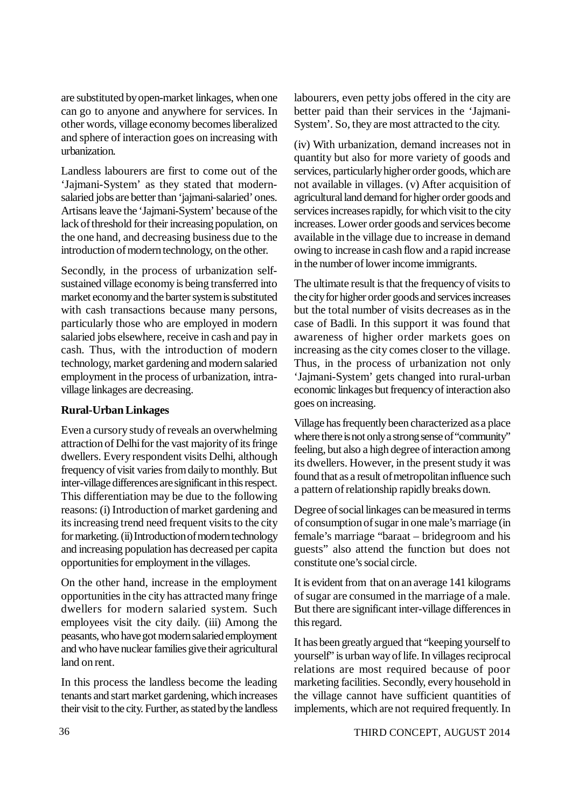are substituted by open-market linkages, when one can go to anyone and anywhere for services. In other words, village economy becomes liberalized and sphere of interaction goes on increasing with urbanization.

Landless labourers are first to come out of the 'Jajmani-System' as they stated that modernsalaried jobs are better than 'jajmani-salaried' ones. Artisans leave the 'Jajmani-System' because of the lack of threshold for their increasing population, on the one hand, and decreasing business due to the introduction of modern technology, on the other.

Secondly, in the process of urbanization selfsustained village economy is being transferred into market economy and the barter system is substituted with cash transactions because many persons, particularly those who are employed in modern salaried jobs elsewhere, receive in cash and pay in cash. Thus, with the introduction of modern technology, market gardening and modern salaried employment in the process of urbanization, intravillage linkages are decreasing.

#### **Rural-Urban Linkages**

Even a cursory study of reveals an overwhelming attraction of Delhi for the vast majority of its fringe dwellers. Every respondent visits Delhi, although frequency of visit varies from daily to monthly. But inter-village differences are significant in this respect. This differentiation may be due to the following reasons: (i) Introduction of market gardening and its increasing trend need frequent visits to the city for marketing. (ii) Introduction of modern technology and increasing population has decreased per capita opportunities for employment in the villages.

On the other hand, increase in the employment opportunities in the city has attracted many fringe dwellers for modern salaried system. Such employees visit the city daily. (iii) Among the peasants, who have got modern salaried employment and who have nuclear families give their agricultural land on rent.

In this process the landless become the leading tenants and start market gardening, which increases their visit to the city. Further, as stated by the landless labourers, even petty jobs offered in the city are better paid than their services in the 'Jajmani-System'. So, they are most attracted to the city.

(iv) With urbanization, demand increases not in quantity but also for more variety of goods and services, particularly higher order goods, which are not available in villages. (v) After acquisition of agricultural land demand for higher order goods and services increases rapidly, for which visit to the city increases. Lower order goods and services become available in the village due to increase in demand owing to increase in cash flow and a rapid increase in the number of lower income immigrants.

The ultimate result is that the frequency of visits to the city for higher order goods and services increases but the total number of visits decreases as in the case of Badli. In this support it was found that awareness of higher order markets goes on increasing as the city comes closer to the village. Thus, in the process of urbanization not only 'Jajmani-System' gets changed into rural-urban economic linkages but frequency of interaction also goes on increasing.

Village has frequently been characterized as a place where there is not only a strong sense of "community" feeling, but also a high degree of interaction among its dwellers. However, in the present study it was found that as a result of metropolitan influence such a pattern of relationship rapidly breaks down.

Degree of social linkages can be measured in terms of consumption of sugar in one male's marriage (in female's marriage "baraat – bridegroom and his guests" also attend the function but does not constitute one's social circle.

It is evident from that on an average 141 kilograms of sugar are consumed in the marriage of a male. But there are significant inter-village differences in this regard.

It has been greatly argued that "keeping yourself to yourself" is urban way of life. In villages reciprocal relations are most required because of poor marketing facilities. Secondly, every household in the village cannot have sufficient quantities of implements, which are not required frequently. In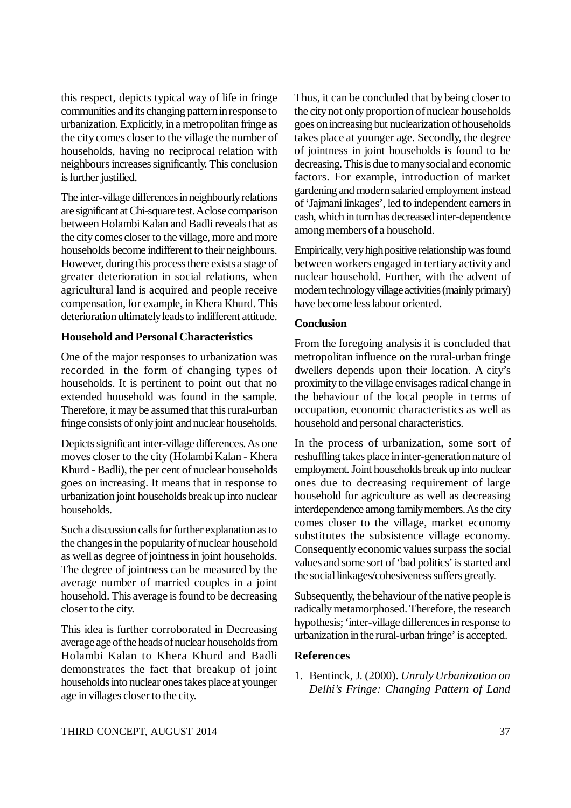this respect, depicts typical way of life in fringe communities and its changing pattern in response to urbanization. Explicitly, in a metropolitan fringe as the city comes closer to the village the number of households, having no reciprocal relation with neighbours increases significantly. This conclusion is further justified.

The inter-village differences in neighbourly relations are significant at Chi-square test. A close comparison between Holambi Kalan and Badli reveals that as the city comes closer to the village, more and more households become indifferent to their neighbours. However, during this process there exists a stage of greater deterioration in social relations, when agricultural land is acquired and people receive compensation, for example, in Khera Khurd. This deterioration ultimately leads to indifferent attitude.

#### **Household and Personal Characteristics**

One of the major responses to urbanization was recorded in the form of changing types of households. It is pertinent to point out that no extended household was found in the sample. Therefore, it may be assumed that this rural-urban fringe consists of only joint and nuclear households.

Depicts significant inter-village differences. As one moves closer to the city (Holambi Kalan - Khera Khurd - Badli), the per cent of nuclear households goes on increasing. It means that in response to urbanization joint households break up into nuclear households.

Such a discussion calls for further explanation as to the changes in the popularity of nuclear household as well as degree of jointness in joint households. The degree of jointness can be measured by the average number of married couples in a joint household. This average is found to be decreasing closer to the city.

This idea is further corroborated in Decreasing average age of the heads of nuclear households from Holambi Kalan to Khera Khurd and Badli demonstrates the fact that breakup of joint households into nuclear ones takes place at younger age in villages closer to the city.

Thus, it can be concluded that by being closer to the city not only proportion of nuclear households goes on increasing but nuclearization of households takes place at younger age. Secondly, the degree of jointness in joint households is found to be decreasing. This is due to many social and economic factors. For example, introduction of market gardening and modern salaried employment instead of 'Jajmani linkages', led to independent earners in cash, which in turn has decreased inter-dependence among members of a household.

Empirically, very high positive relationship was found between workers engaged in tertiary activity and nuclear household. Further, with the advent of modern technology village activities (mainly primary) have become less labour oriented.

### **Conclusion**

From the foregoing analysis it is concluded that metropolitan influence on the rural-urban fringe dwellers depends upon their location. A city's proximity to the village envisages radical change in the behaviour of the local people in terms of occupation, economic characteristics as well as household and personal characteristics.

In the process of urbanization, some sort of reshuffling takes place in inter-generation nature of employment. Joint households break up into nuclear ones due to decreasing requirement of large household for agriculture as well as decreasing interdependence among family members. As the city comes closer to the village, market economy substitutes the subsistence village economy. Consequently economic values surpass the social values and some sort of 'bad politics' is started and the social linkages/cohesiveness suffers greatly.

Subsequently, the behaviour of the native people is radically metamorphosed. Therefore, the research hypothesis; 'inter-village differences in response to urbanization in the rural-urban fringe' is accepted.

#### **References**

1. Bentinck, J. (2000). *Unruly Urbanization on Delhi's Fringe: Changing Pattern of Land*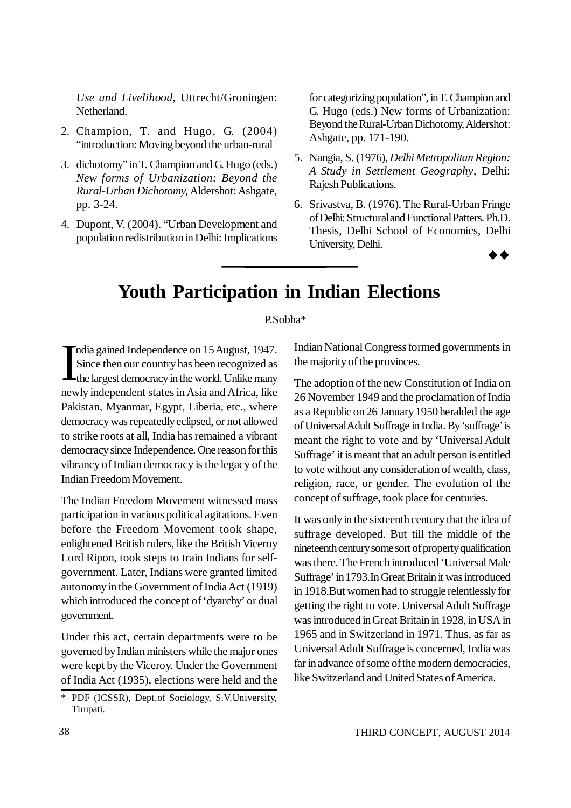*Use and Livelihood*, Uttrecht/Groningen: Netherland.

- 2. Champion, T. and Hugo, G. (2004) "introduction: Moving beyond the urban-rural
- 3. dichotomy" in T. Champion and G. Hugo (eds.) *New forms of Urbanization: Beyond the Rural-Urban Dichotomy,* Aldershot: Ashgate, pp. 3-24.
- 4. Dupont, V. (2004). "Urban Development and population redistribution in Delhi: Implications

for categorizing population", in T. Champion and G. Hugo (eds.) New forms of Urbanization: Beyond the Rural-Urban Dichotomy, Aldershot: Ashgate, pp. 171-190.

- 5. Nangia, S. (1976), *Delhi Metropolitan Region: A Study in Settlement Geography*, Delhi: Rajesh Publications.
- 6. Srivastva, B. (1976). The Rural-Urban Fringe of Delhi: Structural and Functional Patters. Ph.D. Thesis, Delhi School of Economics, Delhi University, Delhi.  $\rightarrow \rightarrow$

# **Youth Participation in Indian Elections**

P.Sobha\*

India gained Independence on 15 August, 1947.<br>Since then our country has been recognized as<br>the largest democracy in the world. Unlike many ndia gained Independence on 15 August, 1947. Since then our country has been recognized as newly independent states in Asia and Africa, like Pakistan, Myanmar, Egypt, Liberia, etc., where democracy was repeatedly eclipsed, or not allowed to strike roots at all, India has remained a vibrant democracy since Independence. One reason for this vibrancy of Indian democracy is the legacy of the Indian Freedom Movement.

The Indian Freedom Movement witnessed mass participation in various political agitations. Even before the Freedom Movement took shape, enlightened British rulers, like the British Viceroy Lord Ripon, took steps to train Indians for selfgovernment. Later, Indians were granted limited autonomy in the Government of India Act (1919) which introduced the concept of 'dyarchy' or dual government.

Under this act, certain departments were to be governed by Indian ministers while the major ones were kept by the Viceroy. Under the Government of India Act (1935), elections were held and the Indian National Congress formed governments in the majority of the provinces.

The adoption of the new Constitution of India on 26 November 1949 and the proclamation of India as a Republic on 26 January 1950 heralded the age of Universal Adult Suffrage in India. By 'suffrage' is meant the right to vote and by 'Universal Adult Suffrage' it is meant that an adult person is entitled to vote without any consideration of wealth, class, religion, race, or gender. The evolution of the concept of suffrage, took place for centuries.

It was only in the sixteenth century that the idea of suffrage developed. But till the middle of the nineteenth century some sort of property qualification was there. The French introduced 'Universal Male Suffrage' in 1793.In Great Britain it was introduced in 1918.But women had to struggle relentlessly for getting the right to vote. Universal Adult Suffrage was introduced in Great Britain in 1928, in USA in 1965 and in Switzerland in 1971. Thus, as far as Universal Adult Suffrage is concerned, India was far in advance of some of the modern democracies, like Switzerland and United States of America.

<sup>\*</sup> PDF (ICSSR), Dept.of Sociology, S.V.University, Tirupati.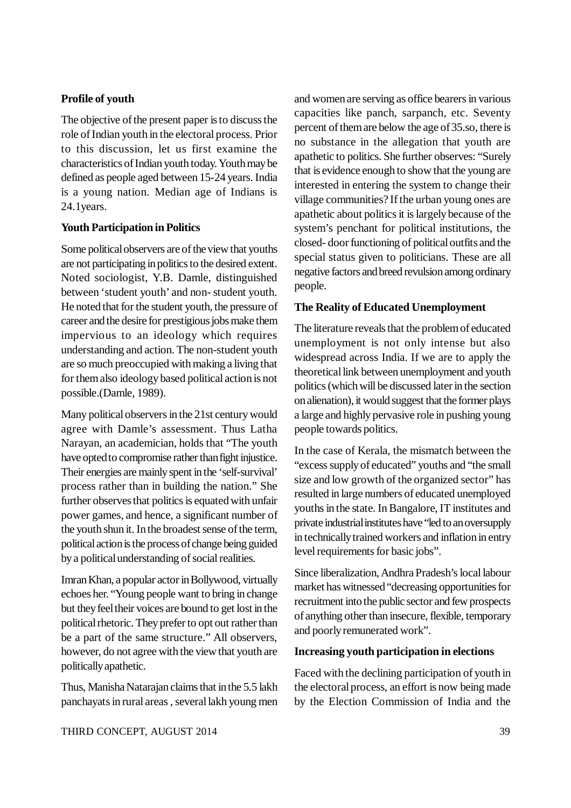## **Profile of youth**

The objective of the present paper is to discuss the role of Indian youth in the electoral process. Prior to this discussion, let us first examine the characteristics of Indian youth today. Youth may be defined as people aged between 15-24 years. India is a young nation. Median age of Indians is 24.1years.

## **Youth Participation in Politics**

Some political observers are of the view that youths are not participating in politics to the desired extent. Noted sociologist, Y.B. Damle, distinguished between 'student youth' and non- student youth. He noted that for the student youth, the pressure of career and the desire for prestigious jobs make them impervious to an ideology which requires understanding and action. The non-student youth are so much preoccupied with making a living that for them also ideology based political action is not possible.(Damle, 1989).

Many political observers in the 21st century would agree with Damle's assessment. Thus Latha Narayan, an academician, holds that "The youth have opted to compromise rather than fight injustice. Their energies are mainly spent in the 'self-survival' process rather than in building the nation." She further observes that politics is equated with unfair power games, and hence, a significant number of the youth shun it. In the broadest sense of the term, political action is the process of change being guided by a political understanding of social realities.

Imran Khan, a popular actor in Bollywood, virtually echoes her. "Young people want to bring in change but they feel their voices are bound to get lost in the political rhetoric. They prefer to opt out rather than be a part of the same structure." All observers, however, do not agree with the view that youth are politically apathetic.

Thus, Manisha Natarajan claims that in the 5.5 lakh panchayats in rural areas , several lakh young men

and women are serving as office bearers in various capacities like panch, sarpanch, etc. Seventy percent of them are below the age of 35.so, there is no substance in the allegation that youth are apathetic to politics. She further observes: "Surely that is evidence enough to show that the young are interested in entering the system to change their village communities? If the urban young ones are apathetic about politics it is largely because of the system's penchant for political institutions, the closed- door functioning of political outfits and the special status given to politicians. These are all negative factors and breed revulsion among ordinary people.

## **The Reality of Educated Unemployment**

The literature reveals that the problem of educated unemployment is not only intense but also widespread across India. If we are to apply the theoretical link between unemployment and youth politics (which will be discussed later in the section on alienation), it would suggest that the former plays a large and highly pervasive role in pushing young people towards politics.

In the case of Kerala, the mismatch between the "excess supply of educated" youths and "the small size and low growth of the organized sector" has resulted in large numbers of educated unemployed youths in the state. In Bangalore, IT institutes and private industrial institutes have "led to an oversupply in technically trained workers and inflation in entry level requirements for basic jobs".

Since liberalization, Andhra Pradesh's local labour market has witnessed "decreasing opportunities for recruitment into the public sector and few prospects of anything other than insecure, flexible, temporary and poorly remunerated work".

## **Increasing youth participation in elections**

Faced with the declining participation of youth in the electoral process, an effort is now being made by the Election Commission of India and the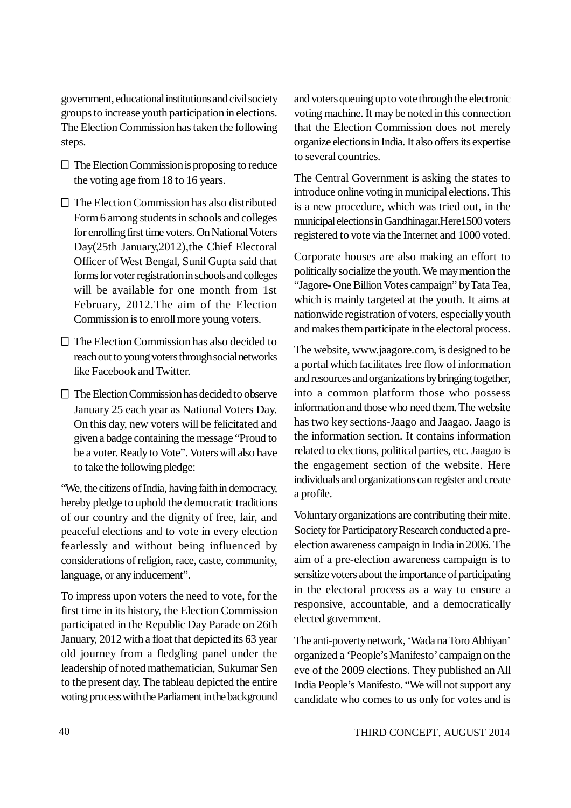government, educational institutions and civil society groups to increase youth participation in elections. The Election Commission has taken the following steps.

- $\Box$  The Election Commission is proposing to reduce the voting age from 18 to 16 years.
- $\square$  The Election Commission has also distributed Form 6 among students in schools and colleges for enrolling first time voters. On National Voters Day(25th January,2012),the Chief Electoral Officer of West Bengal, Sunil Gupta said that forms for voter registration in schools and colleges will be available for one month from 1st February, 2012.The aim of the Election Commission is to enroll more young voters.
- $\Box$  The Election Commission has also decided to reach out to young voters through social networks like Facebook and Twitter.
- $\Box$  The Election Commission has decided to observe January 25 each year as National Voters Day. On this day, new voters will be felicitated and given a badge containing the message "Proud to be a voter. Ready to Vote". Voters will also have to take the following pledge:

"We, the citizens of India, having faith in democracy, hereby pledge to uphold the democratic traditions of our country and the dignity of free, fair, and peaceful elections and to vote in every election fearlessly and without being influenced by considerations of religion, race, caste, community, language, or any inducement".

To impress upon voters the need to vote, for the first time in its history, the Election Commission participated in the Republic Day Parade on 26th January, 2012 with a float that depicted its 63 year old journey from a fledgling panel under the leadership of noted mathematician, Sukumar Sen to the present day. The tableau depicted the entire voting process with the Parliament in the background

and voters queuing up to vote through the electronic voting machine. It may be noted in this connection that the Election Commission does not merely organize elections in India. It also offers its expertise to several countries.

The Central Government is asking the states to introduce online voting in municipal elections. This is a new procedure, which was tried out, in the municipal elections in Gandhinagar.Here1500 voters registered to vote via the Internet and 1000 voted.

Corporate houses are also making an effort to politically socialize the youth. We may mention the "Jagore- One Billion Votes campaign" by Tata Tea, which is mainly targeted at the youth. It aims at nationwide registration of voters, especially youth and makes them participate in the electoral process.

The website, www.jaagore.com, is designed to be a portal which facilitates free flow of information and resources and organizations by bringing together, into a common platform those who possess information and those who need them. The website has two key sections-Jaago and Jaagao. Jaago is the information section. It contains information related to elections, political parties, etc. Jaagao is the engagement section of the website. Here individuals and organizations can register and create a profile.

Voluntary organizations are contributing their mite. Society for Participatory Research conducted a preelection awareness campaign in India in 2006. The aim of a pre-election awareness campaign is to sensitize voters about the importance of participating in the electoral process as a way to ensure a responsive, accountable, and a democratically elected government.

The anti-poverty network, 'Wada na Toro Abhiyan' organized a 'People's Manifesto' campaign on the eve of the 2009 elections. They published an All India People's Manifesto. "We will not support any candidate who comes to us only for votes and is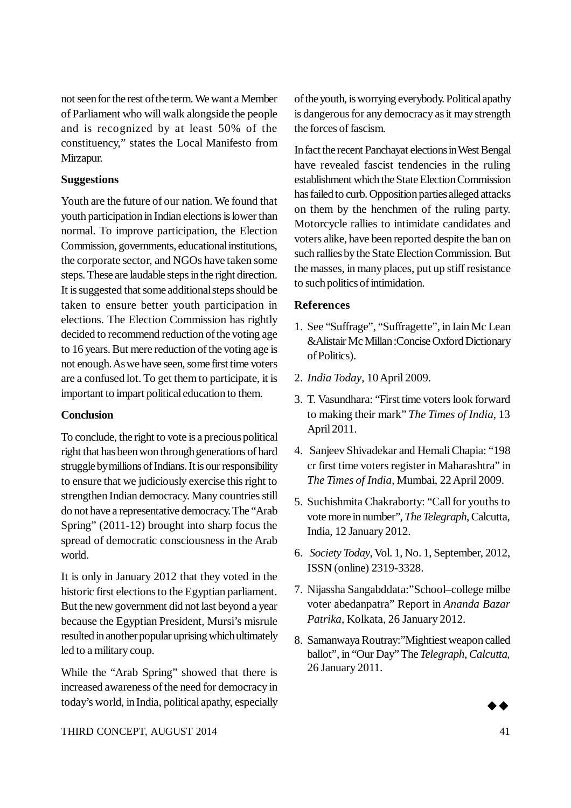not seen for the rest of the term. We want a Member of Parliament who will walk alongside the people and is recognized by at least 50% of the constituency," states the Local Manifesto from Mirzapur.

### **Suggestions**

Youth are the future of our nation. We found that youth participation in Indian elections is lower than normal. To improve participation, the Election Commission, governments, educational institutions, the corporate sector, and NGOs have taken some steps. These are laudable steps in the right direction. It is suggested that some additional steps should be taken to ensure better youth participation in elections. The Election Commission has rightly decided to recommend reduction of the voting age to 16 years. But mere reduction of the voting age is not enough. As we have seen, some first time voters are a confused lot. To get them to participate, it is important to impart political education to them.

## **Conclusion**

To conclude, the right to vote is a precious political right that has been won through generations of hard struggle by millions of Indians. It is our responsibility to ensure that we judiciously exercise this right to strengthen Indian democracy. Many countries still do not have a representative democracy. The "Arab Spring" (2011-12) brought into sharp focus the spread of democratic consciousness in the Arab world.

It is only in January 2012 that they voted in the historic first elections to the Egyptian parliament. But the new government did not last beyond a year because the Egyptian President, Mursi's misrule resulted in another popular uprising which ultimately led to a military coup.

While the "Arab Spring" showed that there is increased awareness of the need for democracy in today's world, in India, political apathy, especially of the youth, is worrying everybody. Political apathy is dangerous for any democracy as it may strength the forces of fascism.

In fact the recent Panchayat elections in West Bengal have revealed fascist tendencies in the ruling establishment which the State Election Commission has failed to curb. Opposition parties alleged attacks on them by the henchmen of the ruling party. Motorcycle rallies to intimidate candidates and voters alike, have been reported despite the ban on such rallies by the State Election Commission. But the masses, in many places, put up stiff resistance to such politics of intimidation.

### **References**

- 1. See "Suffrage", "Suffragette", in Iain Mc Lean &Alistair Mc Millan :Concise Oxford Dictionary of Politics).
- 2. *India Today*, 10 April 2009.
- 3. T. Vasundhara: "First time voters look forward to making their mark" *The Times of India*, 13 April 2011.
- 4. Sanjeev Shivadekar and Hemali Chapia: "198 cr first time voters register in Maharashtra" in *The Times of India*, Mumbai, 22 April 2009.
- 5. Suchishmita Chakraborty: "Call for youths to vote more in number", *The Telegraph*, Calcutta, India, 12 January 2012.
- 6. *Society Today*, Vol. 1, No. 1, September, 2012, ISSN (online) 2319-3328.
- 7. Nijassha Sangabddata:"School–college milbe voter abedanpatra" Report in *Ananda Bazar Patrika*, Kolkata, 26 January 2012.
- 8. Samanwaya Routray:"Mightiest weapon called ballot", in "Our Day" The *Telegraph, Calcutta*, 26 January 2011.

 $\rightarrow \rightarrow$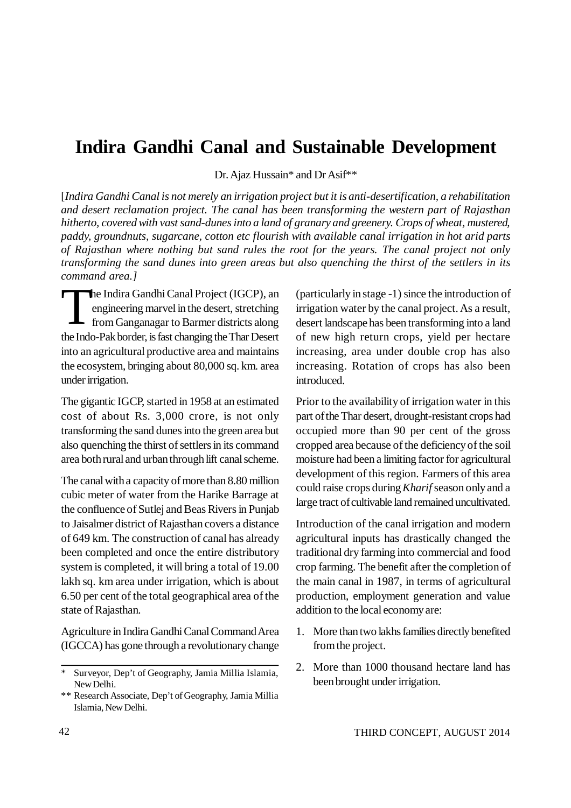# **Indira Gandhi Canal and Sustainable Development**

Dr. Ajaz Hussain\* and Dr Asif\*\*

[*Indira Gandhi Canal is not merely an irrigation project but it is anti-desertification, a rehabilitation and desert reclamation project. The canal has been transforming the western part of Rajasthan hitherto, covered with vast sand-dunes into a land of granary and greenery. Crops of wheat, mustered, paddy, groundnuts, sugarcane, cotton etc flourish with available canal irrigation in hot arid parts of Rajasthan where nothing but sand rules the root for the years. The canal project not only transforming the sand dunes into green areas but also quenching the thirst of the settlers in its command area.]*

T he Indira Gandhi Canal Project (IGCP), an engineering marvel in the desert, stretching from Ganganagar to Barmer districts along the Indo-Pak border, is fast changing the Thar Desert into an agricultural productive area and maintains the ecosystem, bringing about 80,000 sq. km. area under irrigation.

The gigantic IGCP, started in 1958 at an estimated cost of about Rs. 3,000 crore, is not only transforming the sand dunes into the green area but also quenching the thirst of settlers in its command area both rural and urban through lift canal scheme.

The canal with a capacity of more than 8.80 million cubic meter of water from the Harike Barrage at the confluence of Sutlej and Beas Rivers in Punjab to Jaisalmer district of Rajasthan covers a distance of 649 km. The construction of canal has already been completed and once the entire distributory system is completed, it will bring a total of 19.00 lakh sq. km area under irrigation, which is about 6.50 per cent of the total geographical area of the state of Rajasthan.

Agriculture in Indira Gandhi Canal Command Area (IGCCA) has gone through a revolutionary change

(particularly in stage -1) since the introduction of irrigation water by the canal project. As a result, desert landscape has been transforming into a land of new high return crops, yield per hectare increasing, area under double crop has also increasing. Rotation of crops has also been introduced.

Prior to the availability of irrigation water in this part of the Thar desert, drought-resistant crops had occupied more than 90 per cent of the gross cropped area because of the deficiency of the soil moisture had been a limiting factor for agricultural development of this region. Farmers of this area could raise crops during *Kharif* season only and a large tract of cultivable land remained uncultivated.

Introduction of the canal irrigation and modern agricultural inputs has drastically changed the traditional dry farming into commercial and food crop farming. The benefit after the completion of the main canal in 1987, in terms of agricultural production, employment generation and value addition to the local economy are:

- 1. More than two lakhs families directly benefited from the project.
- 2. More than 1000 thousand hectare land has been brought under irrigation.

Surveyor, Dep't of Geography, Jamia Millia Islamia, New Delhi.

<sup>\*\*</sup> Research Associate, Dep't of Geography, Jamia Millia Islamia, New Delhi.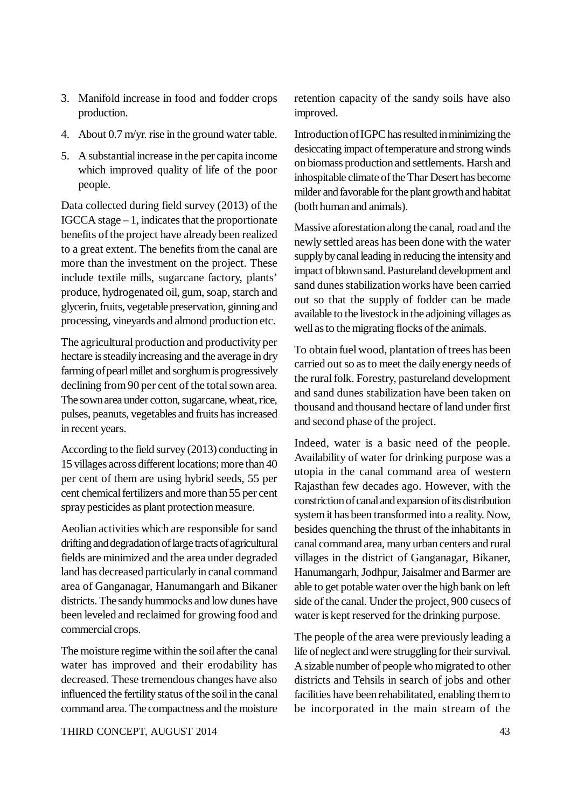- 3. Manifold increase in food and fodder crops production.
- 4. About 0.7 m/yr. rise in the ground water table.
- 5. A substantial increase in the per capita income which improved quality of life of the poor people.

Data collected during field survey (2013) of the IGCCA stage – 1, indicates that the proportionate benefits of the project have already been realized to a great extent. The benefits from the canal are more than the investment on the project. These include textile mills, sugarcane factory, plants' produce, hydrogenated oil, gum, soap, starch and glycerin, fruits, vegetable preservation, ginning and processing, vineyards and almond production etc.

The agricultural production and productivity per hectare is steadily increasing and the average in dry farming of pearl millet and sorghum is progressively declining from 90 per cent of the total sown area. The sown area under cotton, sugarcane, wheat, rice, pulses, peanuts, vegetables and fruits has increased in recent years.

According to the field survey (2013) conducting in 15 villages across different locations; more than 40 per cent of them are using hybrid seeds, 55 per cent chemical fertilizers and more than 55 per cent spray pesticides as plant protection measure.

Aeolian activities which are responsible for sand drifting and degradation of large tracts of agricultural fields are minimized and the area under degraded land has decreased particularly in canal command area of Ganganagar, Hanumangarh and Bikaner districts. The sandy hummocks and low dunes have been leveled and reclaimed for growing food and commercial crops.

The moisture regime within the soil after the canal water has improved and their erodability has decreased. These tremendous changes have also influenced the fertility status of the soil in the canal command area. The compactness and the moisture

THIRD CONCEPT, AUGUST 2014 43

retention capacity of the sandy soils have also improved.

Introduction of IGPC has resulted in minimizing the desiccating impact of temperature and strong winds on biomass production and settlements. Harsh and inhospitable climate of the Thar Desert has become milder and favorable for the plant growth and habitat (both human and animals).

Massive aforestation along the canal, road and the newly settled areas has been done with the water supply by canal leading in reducing the intensity and impact of blown sand. Pastureland development and sand dunes stabilization works have been carried out so that the supply of fodder can be made available to the livestock in the adjoining villages as well as to the migrating flocks of the animals.

To obtain fuel wood, plantation of trees has been carried out so as to meet the daily energy needs of the rural folk. Forestry, pastureland development and sand dunes stabilization have been taken on thousand and thousand hectare of land under first and second phase of the project.

Indeed, water is a basic need of the people. Availability of water for drinking purpose was a utopia in the canal command area of western Rajasthan few decades ago. However, with the constriction of canal and expansion of its distribution system it has been transformed into a reality. Now, besides quenching the thrust of the inhabitants in canal command area, many urban centers and rural villages in the district of Ganganagar, Bikaner, Hanumangarh, Jodhpur, Jaisalmer and Barmer are able to get potable water over the high bank on left side of the canal. Under the project, 900 cusecs of water is kept reserved for the drinking purpose.

The people of the area were previously leading a life of neglect and were struggling for their survival. A sizable number of people who migrated to other districts and Tehsils in search of jobs and other facilities have been rehabilitated, enabling them to be incorporated in the main stream of the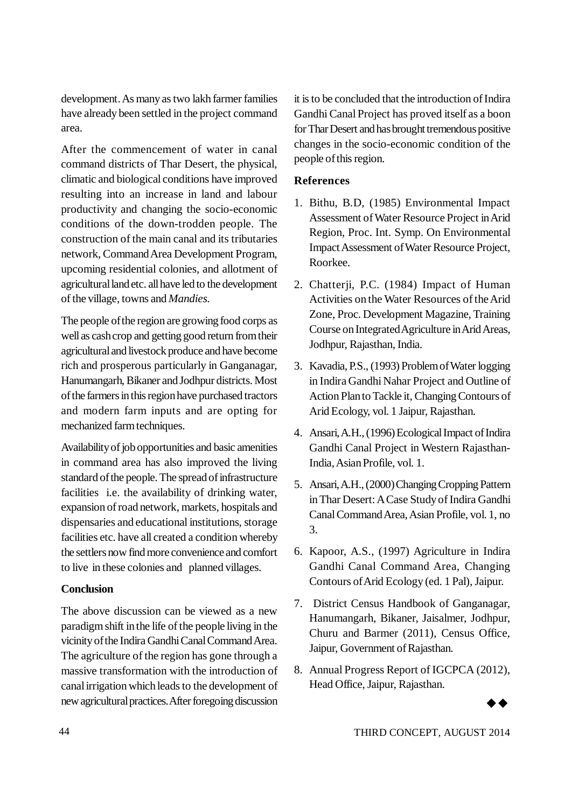development. As many as two lakh farmer families have already been settled in the project command area.

After the commencement of water in canal command districts of Thar Desert, the physical, climatic and biological conditions have improved resulting into an increase in land and labour productivity and changing the socio-economic conditions of the down-trodden people. The construction of the main canal and its tributaries network, Command Area Development Program, upcoming residential colonies, and allotment of agricultural land etc. all have led to the development of the village, towns and *Mandies*.

The people of the region are growing food corps as well as cash crop and getting good return from their agricultural and livestock produce and have become rich and prosperous particularly in Ganganagar, Hanumangarh, Bikaner and Jodhpur districts. Most of the farmers in this region have purchased tractors and modern farm inputs and are opting for mechanized farm techniques.

Availability of job opportunities and basic amenities in command area has also improved the living standard of the people. The spread of infrastructure facilities i.e. the availability of drinking water, expansion of road network, markets, hospitals and dispensaries and educational institutions, storage facilities etc. have all created a condition whereby the settlers now find more convenience and comfort to live in these colonies and planned villages.

## **Conclusion**

The above discussion can be viewed as a new paradigm shift in the life of the people living in the vicinity of the Indira Gandhi Canal Command Area. The agriculture of the region has gone through a massive transformation with the introduction of canal irrigation which leads to the development of new agricultural practices. After foregoing discussion it is to be concluded that the introduction of Indira Gandhi Canal Project has proved itself as a boon for Thar Desert and has brought tremendous positive changes in the socio-economic condition of the people of this region.

# **References**

- 1. Bithu, B.D, (1985) Environmental Impact Assessment of Water Resource Project in Arid Region, Proc. Int. Symp. On Environmental Impact Assessment of Water Resource Project, Roorkee.
- 2. Chatterji, P.C. (1984) Impact of Human Activities on the Water Resources of the Arid Zone, Proc. Development Magazine, Training Course on Integrated Agriculture in Arid Areas, Jodhpur, Rajasthan, India.
- 3. Kavadia, P.S., (1993) Problem of Water logging in Indira Gandhi Nahar Project and Outline of Action Plan to Tackle it, Changing Contours of Arid Ecology, vol. 1 Jaipur, Rajasthan.
- 4. Ansari, A.H., (1996) Ecological Impact of Indira Gandhi Canal Project in Western Rajasthan-India, Asian Profile, vol. 1.
- 5. Ansari, A.H., (2000) Changing Cropping Pattern in Thar Desert: A Case Study of Indira Gandhi Canal Command Area, Asian Profile, vol. 1, no 3.
- 6. Kapoor, A.S., (1997) Agriculture in Indira Gandhi Canal Command Area, Changing Contours of Arid Ecology (ed. 1 Pal), Jaipur.
- 7. District Census Handbook of Ganganagar, Hanumangarh, Bikaner, Jaisalmer, Jodhpur, Churu and Barmer (2011), Census Office, Jaipur, Government of Rajasthan.
- 8. Annual Progress Report of IGCPCA (2012), Head Office, Jaipur, Rajasthan.

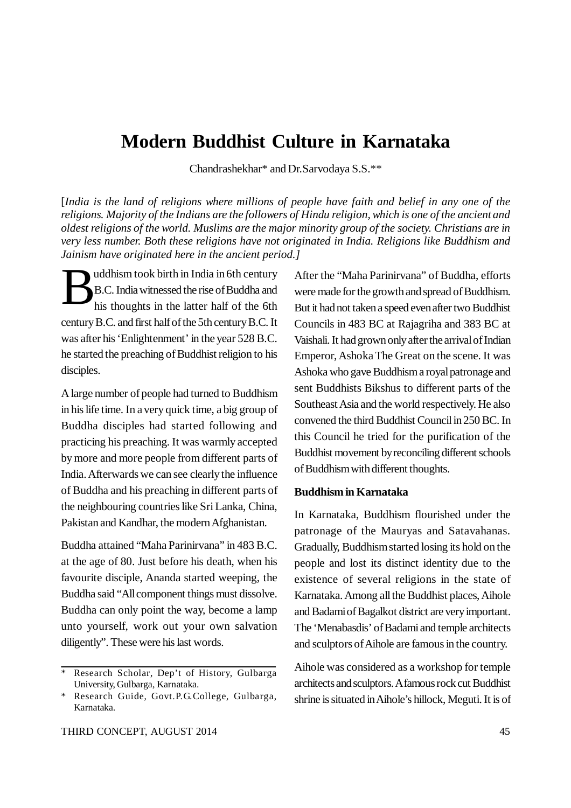# **Modern Buddhist Culture in Karnataka**

Chandrashekhar\* and Dr.Sarvodaya S.S.\*\*

[*India is the land of religions where millions of people have faith and belief in any one of the religions. Majority of the Indians are the followers of Hindu religion, which is one of the ancient and oldest religions of the world. Muslims are the major minority group of the society. Christians are in very less number. Both these religions have not originated in India. Religions like Buddhism and Jainism have originated here in the ancient period.]*

B uddhism took birth in India in 6th century B.C. India witnessed the rise of Buddha and his thoughts in the latter half of the 6th century B.C. and first half of the 5th century B.C. It was after his 'Enlightenment' in the year 528 B.C. he started the preaching of Buddhist religion to his disciples.

A large number of people had turned to Buddhism in his life time. In a very quick time, a big group of Buddha disciples had started following and practicing his preaching. It was warmly accepted by more and more people from different parts of India. Afterwards we can see clearly the influence of Buddha and his preaching in different parts of the neighbouring countries like Sri Lanka, China, Pakistan and Kandhar, the modern Afghanistan.

Buddha attained "Maha Parinirvana" in 483 B.C. at the age of 80. Just before his death, when his favourite disciple, Ananda started weeping, the Buddha said "All component things must dissolve. Buddha can only point the way, become a lamp unto yourself, work out your own salvation diligently". These were his last words.

After the "Maha Parinirvana" of Buddha, efforts were made for the growth and spread of Buddhism. But it had not taken a speed even after two Buddhist Councils in 483 BC at Rajagriha and 383 BC at Vaishali. It had grown only after the arrival of Indian Emperor, Ashoka The Great on the scene. It was Ashoka who gave Buddhism a royal patronage and sent Buddhists Bikshus to different parts of the Southeast Asia and the world respectively. He also convened the third Buddhist Council in 250 BC. In this Council he tried for the purification of the Buddhist movement by reconciling different schools of Buddhism with different thoughts.

## **Buddhism in Karnataka**

In Karnataka, Buddhism flourished under the patronage of the Mauryas and Satavahanas. Gradually, Buddhism started losing its hold on the people and lost its distinct identity due to the existence of several religions in the state of Karnataka. Among all the Buddhist places, Aihole and Badami of Bagalkot district are very important. The 'Menabasdis' of Badami and temple architects and sculptors of Aihole are famous in the country.

Aihole was considered as a workshop for temple architects and sculptors. A famous rock cut Buddhist shrine is situated in Aihole's hillock, Meguti. It is of

Research Scholar, Dep't of History, Gulbarga University, Gulbarga, Karnataka.

Research Guide, Govt.P.G.College, Gulbarga, Karnataka.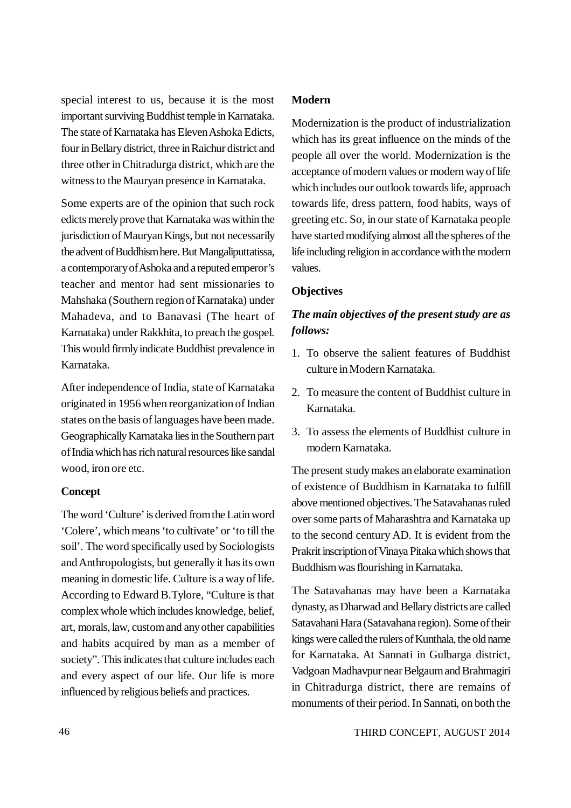special interest to us, because it is the most important surviving Buddhist temple in Karnataka. The state of Karnataka has Eleven Ashoka Edicts, four in Bellary district, three in Raichur district and three other in Chitradurga district, which are the witness to the Mauryan presence in Karnataka.

Some experts are of the opinion that such rock edicts merely prove that Karnataka was within the jurisdiction of Mauryan Kings, but not necessarily the advent of Buddhism here. But Mangaliputtatissa, a contemporary of Ashoka and a reputed emperor's teacher and mentor had sent missionaries to Mahshaka (Southern region of Karnataka) under Mahadeva, and to Banavasi (The heart of Karnataka) under Rakkhita, to preach the gospel. This would firmly indicate Buddhist prevalence in Karnataka.

After independence of India, state of Karnataka originated in 1956 when reorganization of Indian states on the basis of languages have been made. Geographically Karnataka lies in the Southern part of India which has rich natural resources like sandal wood, iron ore etc.

#### **Concept**

The word 'Culture' is derived from the Latin word 'Colere', which means 'to cultivate' or 'to till the soil'. The word specifically used by Sociologists and Anthropologists, but generally it has its own meaning in domestic life. Culture is a way of life. According to Edward B.Tylore, "Culture is that complex whole which includes knowledge, belief, art, morals, law, custom and any other capabilities and habits acquired by man as a member of society". This indicates that culture includes each and every aspect of our life. Our life is more influenced by religious beliefs and practices.

### **Modern**

Modernization is the product of industrialization which has its great influence on the minds of the people all over the world. Modernization is the acceptance of modern values or modern way of life which includes our outlook towards life, approach towards life, dress pattern, food habits, ways of greeting etc. So, in our state of Karnataka people have started modifying almost all the spheres of the life including religion in accordance with the modern values.

## **Objectives**

# *The main objectives of the present study are as follows:*

- 1. To observe the salient features of Buddhist culture in Modern Karnataka.
- 2. To measure the content of Buddhist culture in Karnataka.
- 3. To assess the elements of Buddhist culture in modern Karnataka.

The present study makes an elaborate examination of existence of Buddhism in Karnataka to fulfill above mentioned objectives. The Satavahanas ruled over some parts of Maharashtra and Karnataka up to the second century AD. It is evident from the Prakrit inscription of Vinaya Pitaka which shows that Buddhism was flourishing in Karnataka.

The Satavahanas may have been a Karnataka dynasty, as Dharwad and Bellary districts are called Satavahani Hara (Satavahana region). Some of their kings were called the rulers of Kunthala, the old name for Karnataka. At Sannati in Gulbarga district, Vadgoan Madhavpur near Belgaum and Brahmagiri in Chitradurga district, there are remains of monuments of their period. In Sannati, on both the

46 THIRD CONCEPT, AUGUST 2014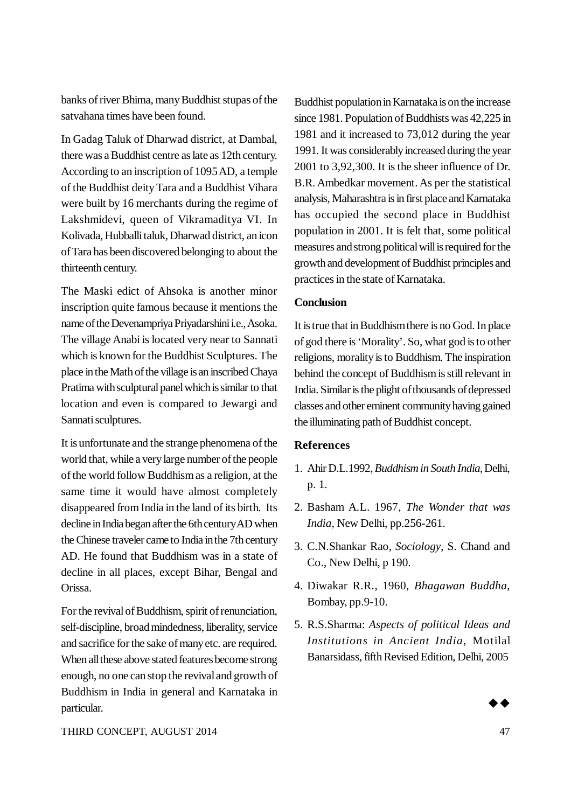banks of river Bhima, many Buddhist stupas of the satvahana times have been found.

In Gadag Taluk of Dharwad district, at Dambal, there was a Buddhist centre as late as 12th century. According to an inscription of 1095 AD, a temple of the Buddhist deity Tara and a Buddhist Vihara were built by 16 merchants during the regime of Lakshmidevi, queen of Vikramaditya VI. In Kolivada, Hubballi taluk, Dharwad district, an icon of Tara has been discovered belonging to about the thirteenth century.

The Maski edict of Ahsoka is another minor inscription quite famous because it mentions the name of the Devenampriya Priyadarshini i.e., Asoka. The village Anabi is located very near to Sannati which is known for the Buddhist Sculptures. The place in the Math of the village is an inscribed Chaya Pratima with sculptural panel which is similar to that location and even is compared to Jewargi and Sannati sculptures.

It is unfortunate and the strange phenomena of the world that, while a very large number of the people of the world follow Buddhism as a religion, at the same time it would have almost completely disappeared from India in the land of its birth. Its decline in India began after the 6th century AD when the Chinese traveler came to India in the 7th century AD. He found that Buddhism was in a state of decline in all places, except Bihar, Bengal and Orissa.

For the revival of Buddhism, spirit of renunciation, self-discipline, broad mindedness, liberality, service and sacrifice for the sake of many etc. are required. When all these above stated features become strong enough, no one can stop the revival and growth of Buddhism in India in general and Karnataka in particular.

Buddhist population in Karnataka is on the increase since 1981. Population of Buddhists was 42,225 in 1981 and it increased to 73,012 during the year 1991. It was considerably increased during the year 2001 to 3,92,300. It is the sheer influence of Dr. B.R. Ambedkar movement. As per the statistical analysis, Maharashtra is in first place and Karnataka has occupied the second place in Buddhist population in 2001. It is felt that, some political measures and strong political will is required for the growth and development of Buddhist principles and practices in the state of Karnataka.

### **Conclusion**

It is true that in Buddhism there is no God. In place of god there is 'Morality'. So, what god is to other religions, morality is to Buddhism. The inspiration behind the concept of Buddhism is still relevant in India. Similar is the plight of thousands of depressed classes and other eminent community having gained the illuminating path of Buddhist concept.

## **References**

- 1. Ahir D.L.1992, *Buddhism in South India*, Delhi, p. 1.
- 2. Basham A.L. 1967, *The Wonder that was India*, New Delhi, pp.256-261.
- 3. C.N.Shankar Rao, *Sociology*, S. Chand and Co., New Delhi, p 190.
- 4. Diwakar R.R., 1960, *Bhagawan Buddha*, Bombay, pp.9-10.
- 5. R.S.Sharma: *Aspects of political Ideas and Institutions in Ancient India*, Motilal Banarsidass, fifth Revised Edition, Delhi, 2005

 $\rightarrow \rightarrow$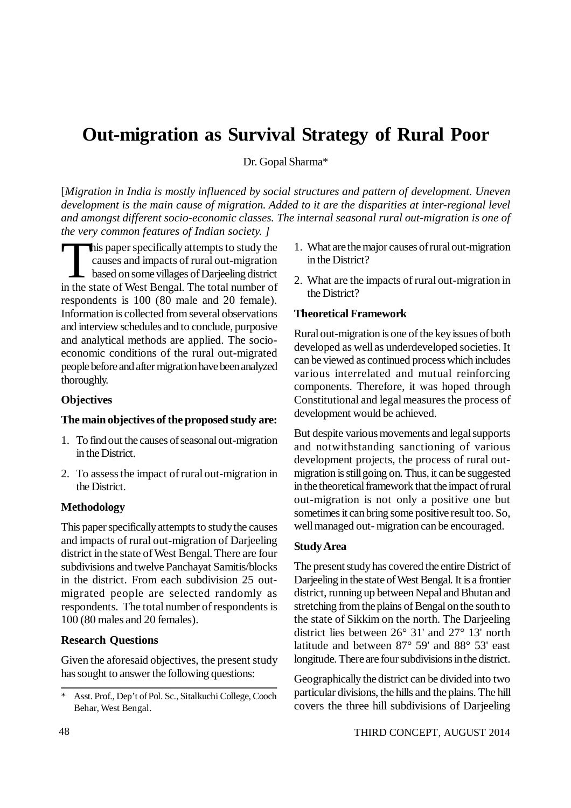# **Out-migration as Survival Strategy of Rural Poor**

Dr. Gopal Sharma\*

[*Migration in India is mostly influenced by social structures and pattern of development. Uneven development is the main cause of migration. Added to it are the disparities at inter-regional level and amongst different socio-economic classes. The internal seasonal rural out-migration is one of the very common features of Indian society. ]*

This paper specifically attempts to study the<br>causes and impacts of rural out-migration<br>based on some villages of Darjeeling district<br>in the state of West Bengal. The total number of **h** his paper specifically attempts to study the causes and impacts of rural out-migration based on some villages of Darjeeling district respondents is 100 (80 male and 20 female). Information is collected from several observations and interview schedules and to conclude, purposive and analytical methods are applied. The socioeconomic conditions of the rural out-migrated people before and after migration have been analyzed thoroughly.

## **Objectives**

#### **The main objectives of the proposed study are:**

- 1. To find out the causes of seasonal out-migration in the District.
- 2. To assess the impact of rural out-migration in the District.

## **Methodology**

This paper specifically attempts to study the causes and impacts of rural out-migration of Darjeeling district in the state of West Bengal. There are four subdivisions and twelve Panchayat Samitis/blocks in the district. From each subdivision 25 outmigrated people are selected randomly as respondents. The total number of respondents is 100 (80 males and 20 females).

# **Research Questions**

Given the aforesaid objectives, the present study has sought to answer the following questions:

- 1. What are the major causes of rural out-migration in the District?
- 2. What are the impacts of rural out-migration in the District?

## **Theoretical Framework**

Rural out-migration is one of the key issues of both developed as well as underdeveloped societies. It can be viewed as continued process which includes various interrelated and mutual reinforcing components. Therefore, it was hoped through Constitutional and legal measures the process of development would be achieved.

But despite various movements and legal supports and notwithstanding sanctioning of various development projects, the process of rural outmigration is still going on. Thus, it can be suggested in the theoretical framework that the impact of rural out-migration is not only a positive one but sometimes it can bring some positive result too. So, well managed out- migration can be encouraged.

## **Study Area**

The present study has covered the entire District of Darjeeling in the state of West Bengal. It is a frontier district, running up between Nepal and Bhutan and stretching from the plains of Bengal on the south to the state of Sikkim on the north. The Darjeeling district lies between 26° 31' and 27° 13' north latitude and between 87° 59' and 88° 53' east longitude. There are four subdivisions in the district.

Geographically the district can be divided into two particular divisions, the hills and the plains. The hill covers the three hill subdivisions of Darjeeling

Asst. Prof., Dep't of Pol. Sc., Sitalkuchi College, Cooch Behar, West Bengal.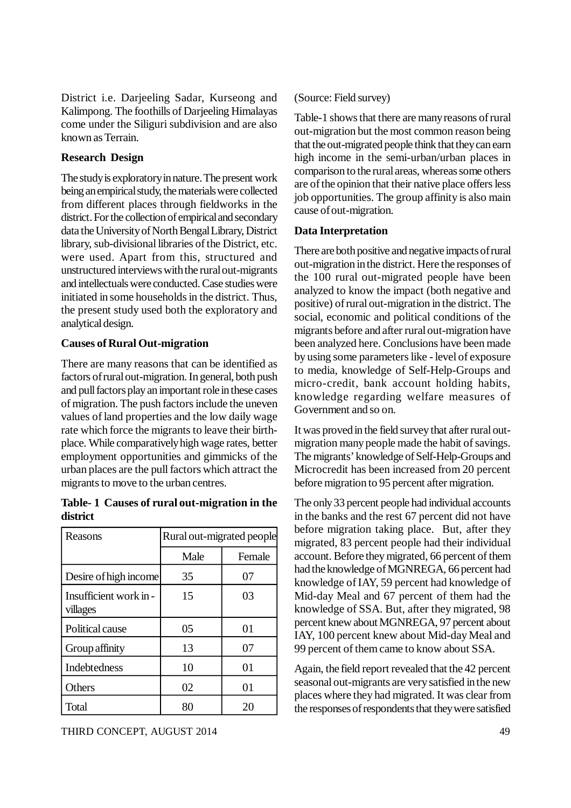District i.e. Darjeeling Sadar, Kurseong and Kalimpong. The foothills of Darjeeling Himalayas come under the Siliguri subdivision and are also known as Terrain.

### **Research Design**

The study is exploratory in nature. The present work being an empirical study, the materials were collected from different places through fieldworks in the district. For the collection of empirical and secondary data the University of North Bengal Library, District library, sub-divisional libraries of the District, etc. were used. Apart from this, structured and unstructured interviews with the rural out-migrants and intellectuals were conducted. Case studies were initiated in some households in the district. Thus, the present study used both the exploratory and analytical design.

## **Causes of Rural Out-migration**

There are many reasons that can be identified as factors of rural out-migration. In general, both push and pull factors play an important role in these cases of migration. The push factors include the uneven values of land properties and the low daily wage rate which force the migrants to leave their birthplace. While comparatively high wage rates, better employment opportunities and gimmicks of the urban places are the pull factors which attract the migrants to move to the urban centres.

### **Table- 1 Causes of rural out-migration in the district**

| Reasons                            | Rural out-migrated people |        |  |
|------------------------------------|---------------------------|--------|--|
|                                    | Male                      | Female |  |
| Desire of high income              | 35                        | 07     |  |
| Insufficient work in -<br>villages | 15                        | 03     |  |
| Political cause                    | 05                        | 01     |  |
| Group affinity                     | 13                        | 07     |  |
| <b>Indebtedness</b>                | 10                        | 01     |  |
| Others                             | 02                        | 01     |  |
| Total                              | 80                        | 20     |  |

THIRD CONCEPT, AUGUST 2014 49

### (Source: Field survey)

Table-1 shows that there are many reasons of rural out-migration but the most common reason being that the out-migrated people think that they can earn high income in the semi-urban/urban places in comparison to the rural areas, whereas some others are of the opinion that their native place offers less job opportunities. The group affinity is also main cause of out-migration.

### **Data Interpretation**

There are both positive and negative impacts of rural out-migration in the district. Here the responses of the 100 rural out-migrated people have been analyzed to know the impact (both negative and positive) of rural out-migration in the district. The social, economic and political conditions of the migrants before and after rural out-migration have been analyzed here. Conclusions have been made by using some parameters like - level of exposure to media, knowledge of Self-Help-Groups and micro-credit, bank account holding habits, knowledge regarding welfare measures of Government and so on.

It was proved in the field survey that after rural outmigration many people made the habit of savings. The migrants' knowledge of Self-Help-Groups and Microcredit has been increased from 20 percent before migration to 95 percent after migration.

The only 33 percent people had individual accounts in the banks and the rest 67 percent did not have before migration taking place. But, after they migrated, 83 percent people had their individual account. Before they migrated, 66 percent of them had the knowledge of MGNREGA, 66 percent had knowledge of IAY, 59 percent had knowledge of Mid-day Meal and 67 percent of them had the knowledge of SSA. But, after they migrated, 98 percent knew about MGNREGA, 97 percent about IAY, 100 percent knew about Mid-day Meal and 99 percent of them came to know about SSA.

Again, the field report revealed that the 42 percent seasonal out-migrants are very satisfied in the new places where they had migrated. It was clear from the responses of respondents that they were satisfied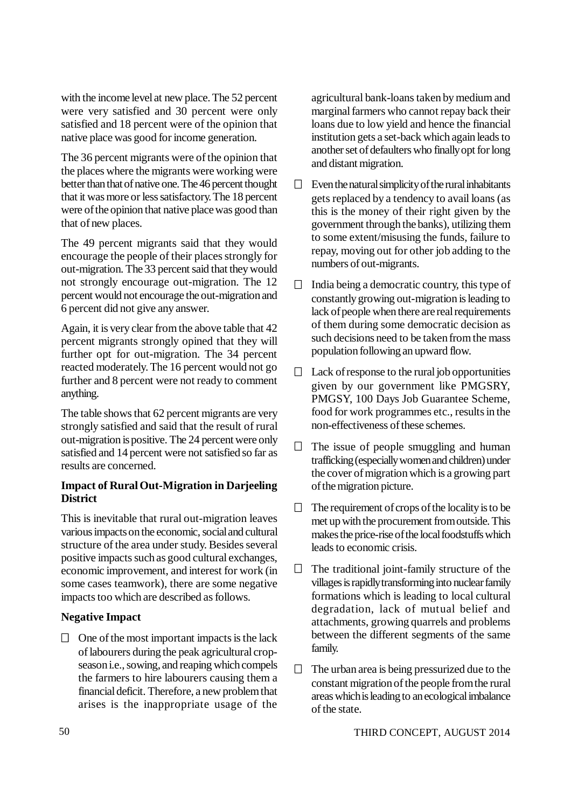with the income level at new place. The 52 percent were very satisfied and 30 percent were only satisfied and 18 percent were of the opinion that native place was good for income generation.

The 36 percent migrants were of the opinion that the places where the migrants were working were better than that of native one. The 46 percent thought that it was more or less satisfactory. The 18 percent were of the opinion that native place was good than that of new places.

The 49 percent migrants said that they would encourage the people of their places strongly for out-migration. The 33 percent said that they would not strongly encourage out-migration. The 12 percent would not encourage the out-migration and 6 percent did not give any answer.

Again, it is very clear from the above table that 42 percent migrants strongly opined that they will further opt for out-migration. The 34 percent reacted moderately. The 16 percent would not go further and 8 percent were not ready to comment anything.

The table shows that 62 percent migrants are very strongly satisfied and said that the result of rural out-migration is positive. The 24 percent were only satisfied and 14 percent were not satisfied so far as results are concerned.

## **Impact of Rural Out-Migration in Darjeeling District**

This is inevitable that rural out-migration leaves various impacts on the economic, social and cultural structure of the area under study. Besides several positive impacts such as good cultural exchanges, economic improvement, and interest for work (in some cases teamwork), there are some negative impacts too which are described as follows.

# **Negative Impact**

 $\Box$  One of the most important impacts is the lack of labourers during the peak agricultural cropseason i.e., sowing, and reaping which compels the farmers to hire labourers causing them a financial deficit. Therefore, a new problem that arises is the inappropriate usage of the agricultural bank-loans taken by medium and marginal farmers who cannot repay back their loans due to low yield and hence the financial institution gets a set-back which again leads to another set of defaulters who finally opt for long and distant migration.

- $\Box$  Even the natural simplicity of the rural inhabitants gets replaced by a tendency to avail loans (as this is the money of their right given by the government through the banks), utilizing them to some extent/misusing the funds, failure to repay, moving out for other job adding to the numbers of out-migrants.
- $\Box$  India being a democratic country, this type of constantly growing out-migration is leading to lack of people when there are real requirements of them during some democratic decision as such decisions need to be taken from the mass population following an upward flow.
- $\Box$  Lack of response to the rural job opportunities given by our government like PMGSRY, PMGSY, 100 Days Job Guarantee Scheme, food for work programmes etc., results in the non-effectiveness of these schemes.
- $\Box$  The issue of people smuggling and human trafficking (especially women and children) under the cover of migration which is a growing part of the migration picture.
- $\Box$  The requirement of crops of the locality is to be met up with the procurement from outside. This makes the price-rise of the local foodstuffs which leads to economic crisis.
- $\Box$  The traditional joint-family structure of the villages is rapidly transforming into nuclear family formations which is leading to local cultural degradation, lack of mutual belief and attachments, growing quarrels and problems between the different segments of the same family.
- $\Box$  The urban area is being pressurized due to the constant migration of the people from the rural areas which is leading to an ecological imbalance of the state.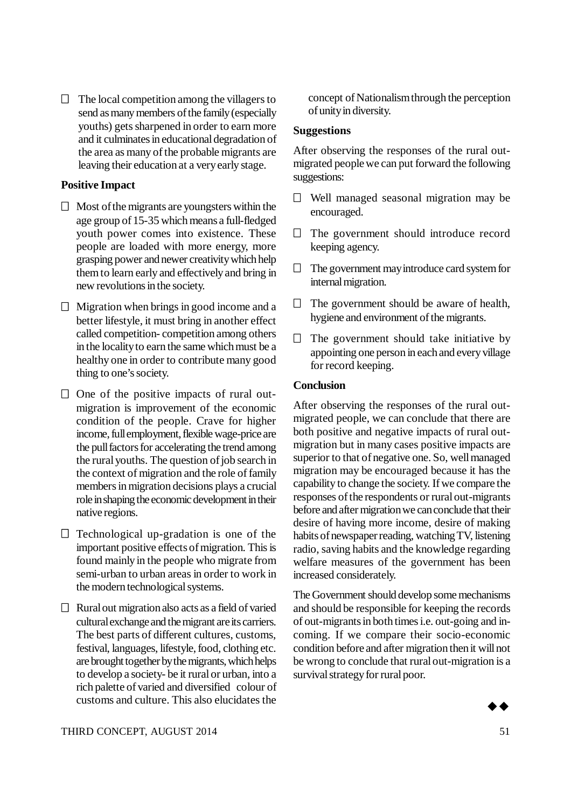$\Box$  The local competition among the villagers to send as many members of the family (especially youths) gets sharpened in order to earn more and it culminates in educational degradation of the area as many of the probable migrants are leaving their education at a very early stage.

## **Positive Impact**

- $\Box$  Most of the migrants are youngsters within the age group of 15-35 which means a full-fledged youth power comes into existence. These people are loaded with more energy, more grasping power and newer creativity which help them to learn early and effectively and bring in new revolutions in the society.
- $\Box$  Migration when brings in good income and a better lifestyle, it must bring in another effect called competition- competition among others in the locality to earn the same which must be a healthy one in order to contribute many good thing to one's society.
- $\Box$  One of the positive impacts of rural outmigration is improvement of the economic condition of the people. Crave for higher income, full employment, flexible wage-price are the pull factors for accelerating the trend among the rural youths. The question of job search in the context of migration and the role of family members in migration decisions plays a crucial role in shaping the economic development in their native regions.
- $\Box$  Technological up-gradation is one of the important positive effects of migration. This is found mainly in the people who migrate from semi-urban to urban areas in order to work in the modern technological systems.
- $\Box$  Rural out migration also acts as a field of varied cultural exchange and the migrant are its carriers. The best parts of different cultures, customs, festival, languages, lifestyle, food, clothing etc. are brought together by the migrants, which helps to develop a society- be it rural or urban, into a rich palette of varied and diversified colour of customs and culture. This also elucidates the

concept of Nationalism through the perception of unity in diversity.

### **Suggestions**

After observing the responses of the rural outmigrated people we can put forward the following suggestions:

- $\Box$  Well managed seasonal migration may be encouraged.
- $\Box$  The government should introduce record keeping agency.
- $\Box$  The government may introduce card system for internal migration.
- $\Box$  The government should be aware of health, hygiene and environment of the migrants.
- $\Box$  The government should take initiative by appointing one person in each and every village for record keeping.

### **Conclusion**

After observing the responses of the rural outmigrated people, we can conclude that there are both positive and negative impacts of rural outmigration but in many cases positive impacts are superior to that of negative one. So, well managed migration may be encouraged because it has the capability to change the society. If we compare the responses of the respondents or rural out-migrants before and after migration we can conclude that their desire of having more income, desire of making habits of newspaper reading, watching TV, listening radio, saving habits and the knowledge regarding welfare measures of the government has been increased considerately.

The Government should develop some mechanisms and should be responsible for keeping the records of out-migrants in both times i.e. out-going and incoming. If we compare their socio-economic condition before and after migration then it will not be wrong to conclude that rural out-migration is a survival strategy for rural poor.

## THIRD CONCEPT, AUGUST 2014 51

 $\rightarrow \rightarrow$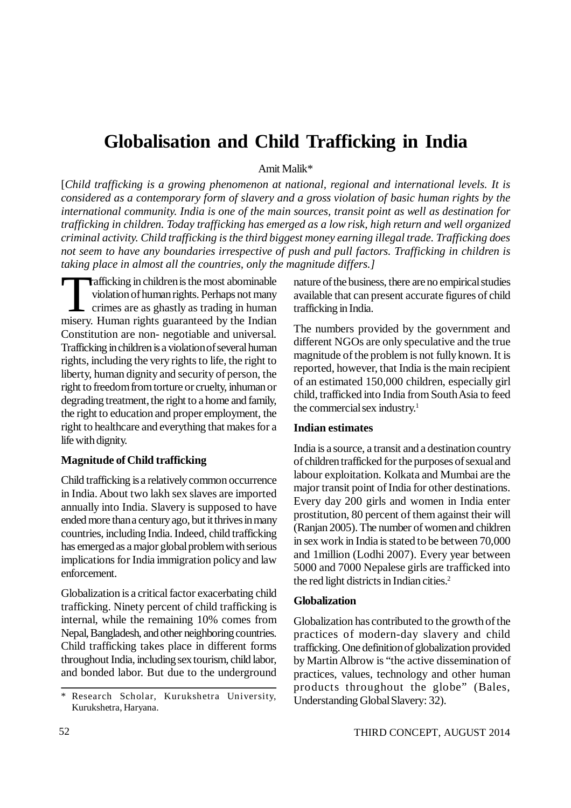# **Globalisation and Child Trafficking in India**

### Amit Malik\*

[*Child trafficking is a growing phenomenon at national, regional and international levels. It is considered as a contemporary form of slavery and a gross violation of basic human rights by the international community. India is one of the main sources, transit point as well as destination for trafficking in children. Today trafficking has emerged as a low risk, high return and well organized criminal activity. Child trafficking is the third biggest money earning illegal trade. Trafficking does not seem to have any boundaries irrespective of push and pull factors. Trafficking in children is taking place in almost all the countries, only the magnitude differs.]*

rafficking in children is the most abominable<br>violation of human rights. Perhaps not many<br>crimes are as ghastly as trading in human<br>misery. Human rights guaranteed by the Indian rafficking in children is the most abominable violation of human rights. Perhaps not many crimes are as ghastly as trading in human Constitution are non- negotiable and universal. Trafficking in children is a violation of several human rights, including the very rights to life, the right to liberty, human dignity and security of person, the right to freedom from torture or cruelty, inhuman or degrading treatment, the right to a home and family, the right to education and proper employment, the right to healthcare and everything that makes for a life with dignity.

### **Magnitude of Child trafficking**

Child trafficking is a relatively common occurrence in India. About two lakh sex slaves are imported annually into India. Slavery is supposed to have ended more than a century ago, but it thrives in many countries, including India. Indeed, child trafficking has emerged as a major global problem with serious implications for India immigration policy and law enforcement.

Globalization is a critical factor exacerbating child trafficking. Ninety percent of child trafficking is internal, while the remaining 10% comes from Nepal, Bangladesh, and other neighboring countries. Child trafficking takes place in different forms throughout India, including sex tourism, child labor, and bonded labor. But due to the underground nature of the business, there are no empirical studies available that can present accurate figures of child trafficking in India.

The numbers provided by the government and different NGOs are only speculative and the true magnitude of the problem is not fully known. It is reported, however, that India is the main recipient of an estimated 150,000 children, especially girl child, trafficked into India from South Asia to feed the commercial sex industry.<sup>1</sup>

### **Indian estimates**

India is a source, a transit and a destination country of children trafficked for the purposes of sexual and labour exploitation. Kolkata and Mumbai are the major transit point of India for other destinations. Every day 200 girls and women in India enter prostitution, 80 percent of them against their will (Ranjan 2005). The number of women and children in sex work in India is stated to be between 70,000 and 1million (Lodhi 2007). Every year between 5000 and 7000 Nepalese girls are trafficked into the red light districts in Indian cities.<sup>2</sup>

## **Globalization**

Globalization has contributed to the growth of the practices of modern-day slavery and child trafficking. One definition of globalization provided by Martin Albrow is "the active dissemination of practices, values, technology and other human products throughout the globe" (Bales, Understanding Global Slavery: 32).

<sup>\*</sup> Research Scholar, Kurukshetra University, Kurukshetra, Haryana.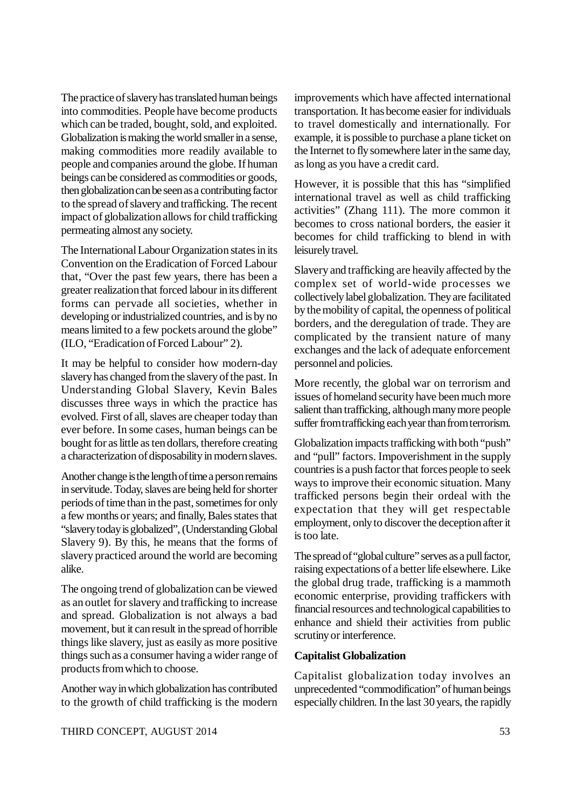The practice of slavery has translated human beings into commodities. People have become products which can be traded, bought, sold, and exploited. Globalization is making the world smaller in a sense, making commodities more readily available to people and companies around the globe. If human beings can be considered as commodities or goods, then globalization can be seen as a contributing factor to the spread of slavery and trafficking. The recent impact of globalization allows for child trafficking permeating almost any society.

The International Labour Organization states in its Convention on the Eradication of Forced Labour that, "Over the past few years, there has been a greater realization that forced labour in its different forms can pervade all societies, whether in developing or industrialized countries, and is by no means limited to a few pockets around the globe" (ILO, "Eradication of Forced Labour" 2).

It may be helpful to consider how modern-day slavery has changed from the slavery of the past. In Understanding Global Slavery, Kevin Bales discusses three ways in which the practice has evolved. First of all, slaves are cheaper today than ever before. In some cases, human beings can be bought for as little as ten dollars, therefore creating a characterization of disposability in modern slaves.

Another change is the length of time a person remains in servitude. Today, slaves are being held for shorter periods of time than in the past, sometimes for only a few months or years; and finally, Bales states that "slavery today is globalized", (Understanding Global Slavery 9). By this, he means that the forms of slavery practiced around the world are becoming alike.

The ongoing trend of globalization can be viewed as an outlet for slavery and trafficking to increase and spread. Globalization is not always a bad movement, but it can result in the spread of horrible things like slavery, just as easily as more positive things such as a consumer having a wider range of products from which to choose.

Another way in which globalization has contributed to the growth of child trafficking is the modern

improvements which have affected international transportation. It has become easier for individuals to travel domestically and internationally. For example, it is possible to purchase a plane ticket on the Internet to fly somewhere later in the same day, as long as you have a credit card.

However, it is possible that this has "simplified international travel as well as child trafficking activities" (Zhang 111). The more common it becomes to cross national borders, the easier it becomes for child trafficking to blend in with leisurely travel.

Slavery and trafficking are heavily affected by the complex set of world-wide processes we collectively label globalization. They are facilitated by the mobility of capital, the openness of political borders, and the deregulation of trade. They are complicated by the transient nature of many exchanges and the lack of adequate enforcement personnel and policies.

More recently, the global war on terrorism and issues of homeland security have been much more salient than trafficking, although many more people suffer from trafficking each year than from terrorism.

Globalization impacts trafficking with both "push" and "pull" factors. Impoverishment in the supply countries is a push factor that forces people to seek ways to improve their economic situation. Many trafficked persons begin their ordeal with the expectation that they will get respectable employment, only to discover the deception after it is too late.

The spread of "global culture" serves as a pull factor, raising expectations of a better life elsewhere. Like the global drug trade, trafficking is a mammoth economic enterprise, providing traffickers with financial resources and technological capabilities to enhance and shield their activities from public scrutiny or interference.

### **Capitalist Globalization**

Capitalist globalization today involves an unprecedented "commodification" of human beings especially children. In the last 30 years, the rapidly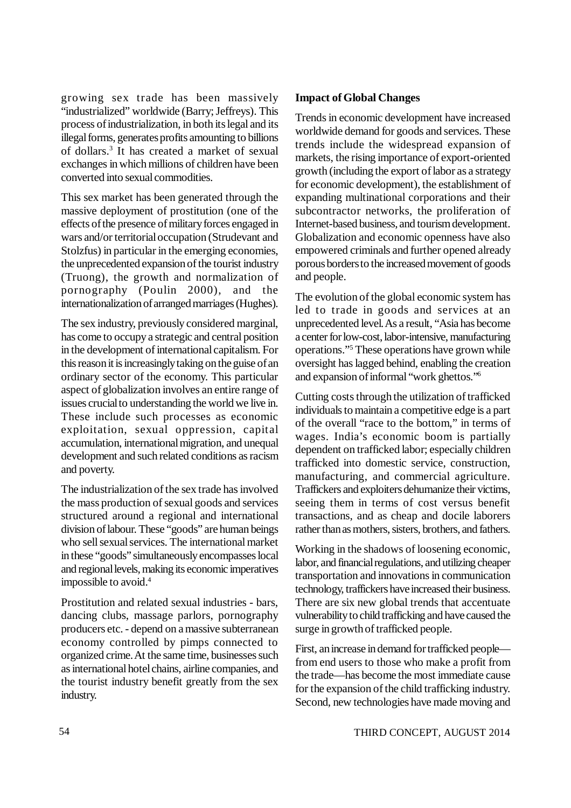growing sex trade has been massively "industrialized" worldwide (Barry; Jeffreys). This process of industrialization, in both its legal and its illegal forms, generates profits amounting to billions of dollars.<sup>3</sup> It has created a market of sexual exchanges in which millions of children have been converted into sexual commodities.

This sex market has been generated through the massive deployment of prostitution (one of the effects of the presence of military forces engaged in wars and/or territorial occupation (Strudevant and Stolzfus) in particular in the emerging economies, the unprecedented expansion of the tourist industry (Truong), the growth and normalization of pornography (Poulin 2000), and the internationalization of arranged marriages (Hughes).

The sex industry, previously considered marginal, has come to occupy a strategic and central position in the development of international capitalism. For this reason it is increasingly taking on the guise of an ordinary sector of the economy. This particular aspect of globalization involves an entire range of issues crucial to understanding the world we live in. These include such processes as economic exploitation, sexual oppression, capital accumulation, international migration, and unequal development and such related conditions as racism and poverty.

The industrialization of the sex trade has involved the mass production of sexual goods and services structured around a regional and international division of labour. These "goods" are human beings who sell sexual services. The international market in these "goods" simultaneously encompasses local and regional levels, making its economic imperatives impossible to avoid.<sup>4</sup>

Prostitution and related sexual industries - bars, dancing clubs, massage parlors, pornography producers etc. - depend on a massive subterranean economy controlled by pimps connected to organized crime. At the same time, businesses such as international hotel chains, airline companies, and the tourist industry benefit greatly from the sex industry.

# **Impact of Global Changes**

Trends in economic development have increased worldwide demand for goods and services. These trends include the widespread expansion of markets, the rising importance of export-oriented growth (including the export of labor as a strategy for economic development), the establishment of expanding multinational corporations and their subcontractor networks, the proliferation of Internet-based business, and tourism development. Globalization and economic openness have also empowered criminals and further opened already porous borders to the increased movement of goods and people.

The evolution of the global economic system has led to trade in goods and services at an unprecedented level. As a result, "Asia has become a center for low-cost, labor-intensive, manufacturing operations."<sup>5</sup> These operations have grown while oversight has lagged behind, enabling the creation and expansion of informal "work ghettos."<sup>6</sup>

Cutting costs through the utilization of trafficked individuals to maintain a competitive edge is a part of the overall "race to the bottom," in terms of wages. India's economic boom is partially dependent on trafficked labor; especially children trafficked into domestic service, construction, manufacturing, and commercial agriculture. Traffickers and exploiters dehumanize their victims, seeing them in terms of cost versus benefit transactions, and as cheap and docile laborers rather than as mothers, sisters, brothers, and fathers.

Working in the shadows of loosening economic, labor, and financial regulations, and utilizing cheaper transportation and innovations in communication technology, traffickers have increased their business. There are six new global trends that accentuate vulnerability to child trafficking and have caused the surge in growth of trafficked people.

First, an increase in demand for trafficked people from end users to those who make a profit from the trade—has become the most immediate cause for the expansion of the child trafficking industry. Second, new technologies have made moving and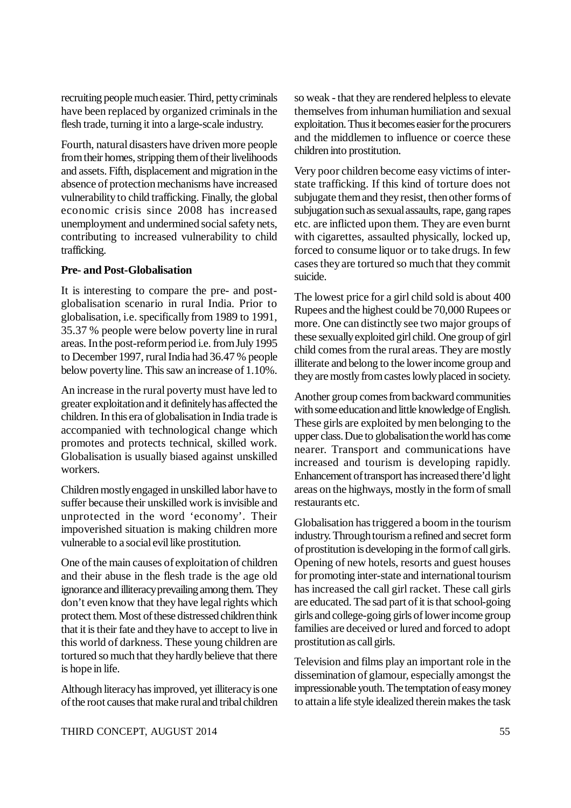recruiting people much easier. Third, petty criminals have been replaced by organized criminals in the flesh trade, turning it into a large-scale industry.

Fourth, natural disasters have driven more people from their homes, stripping them of their livelihoods and assets. Fifth, displacement and migration in the absence of protection mechanisms have increased vulnerability to child trafficking. Finally, the global economic crisis since 2008 has increased unemployment and undermined social safety nets, contributing to increased vulnerability to child trafficking.

### **Pre- and Post-Globalisation**

It is interesting to compare the pre- and postglobalisation scenario in rural India. Prior to globalisation, i.e. specifically from 1989 to 1991, 35.37 % people were below poverty line in rural areas. In the post-reform period i.e. from July 1995 to December 1997, rural India had 36.47 % people below poverty line. This saw an increase of 1.10%.

An increase in the rural poverty must have led to greater exploitation and it definitely has affected the children. In this era of globalisation in India trade is accompanied with technological change which promotes and protects technical, skilled work. Globalisation is usually biased against unskilled workers.

Children mostly engaged in unskilled labor have to suffer because their unskilled work is invisible and unprotected in the word 'economy'. Their impoverished situation is making children more vulnerable to a social evil like prostitution.

One of the main causes of exploitation of children and their abuse in the flesh trade is the age old ignorance and illiteracy prevailing among them. They don't even know that they have legal rights which protect them. Most of these distressed children think that it is their fate and they have to accept to live in this world of darkness. These young children are tortured so much that they hardly believe that there is hope in life.

Although literacy has improved, yet illiteracy is one of the root causes that make rural and tribal children

so weak - that they are rendered helpless to elevate themselves from inhuman humiliation and sexual exploitation. Thus it becomes easier for the procurers and the middlemen to influence or coerce these children into prostitution.

Very poor children become easy victims of interstate trafficking. If this kind of torture does not subjugate them and they resist, then other forms of subjugation such as sexual assaults, rape, gang rapes etc. are inflicted upon them. They are even burnt with cigarettes, assaulted physically, locked up, forced to consume liquor or to take drugs. In few cases they are tortured so much that they commit suicide.

The lowest price for a girl child sold is about 400 Rupees and the highest could be 70,000 Rupees or more. One can distinctly see two major groups of these sexually exploited girl child. One group of girl child comes from the rural areas. They are mostly illiterate and belong to the lower income group and they are mostly from castes lowly placed in society.

Another group comes from backward communities with some education and little knowledge of English. These girls are exploited by men belonging to the upper class. Due to globalisation the world has come nearer. Transport and communications have increased and tourism is developing rapidly. Enhancement of transport has increased there'd light areas on the highways, mostly in the form of small restaurants etc.

Globalisation has triggered a boom in the tourism industry. Through tourism a refined and secret form of prostitution is developing in the form of call girls. Opening of new hotels, resorts and guest houses for promoting inter-state and international tourism has increased the call girl racket. These call girls are educated. The sad part of it is that school-going girls and college-going girls of lower income group families are deceived or lured and forced to adopt prostitution as call girls.

Television and films play an important role in the dissemination of glamour, especially amongst the impressionable youth. The temptation of easy money to attain a life style idealized therein makes the task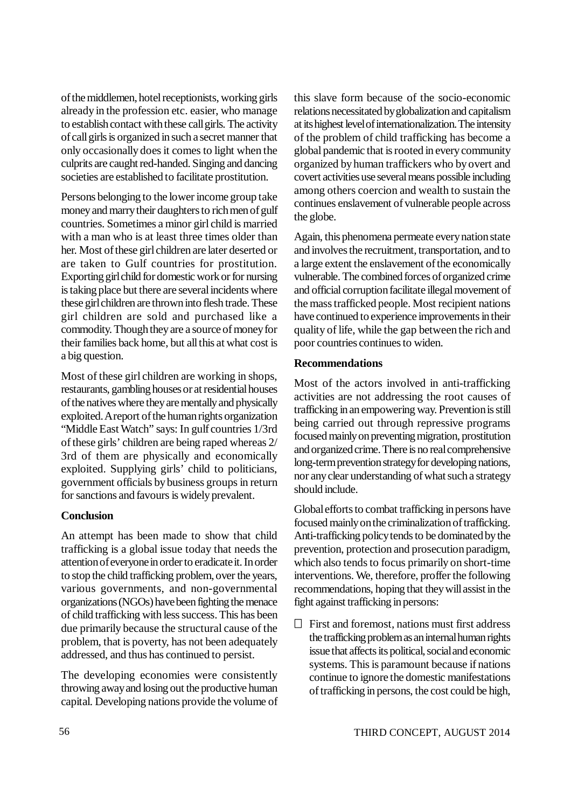of the middlemen, hotel receptionists, working girls already in the profession etc. easier, who manage to establish contact with these call girls. The activity of call girls is organized in such a secret manner that only occasionally does it comes to light when the culprits are caught red-handed. Singing and dancing societies are established to facilitate prostitution.

Persons belonging to the lower income group take money and marry their daughters to rich men of gulf countries. Sometimes a minor girl child is married with a man who is at least three times older than her. Most of these girl children are later deserted or are taken to Gulf countries for prostitution. Exporting girl child for domestic work or for nursing is taking place but there are several incidents where these girl children are thrown into flesh trade. These girl children are sold and purchased like a commodity. Though they are a source of money for their families back home, but all this at what cost is a big question.

Most of these girl children are working in shops, restaurants, gambling houses or at residential houses of the natives where they are mentally and physically exploited. A report of the human rights organization "Middle East Watch" says: In gulf countries 1/3rd of these girls' children are being raped whereas 2/ 3rd of them are physically and economically exploited. Supplying girls' child to politicians, government officials by business groups in return for sanctions and favours is widely prevalent.

## **Conclusion**

An attempt has been made to show that child trafficking is a global issue today that needs the attention of everyone in order to eradicate it. In order to stop the child trafficking problem, over the years, various governments, and non-governmental organizations (NGOs) have been fighting the menace of child trafficking with less success. This has been due primarily because the structural cause of the problem, that is poverty, has not been adequately addressed, and thus has continued to persist.

The developing economies were consistently throwing away and losing out the productive human capital. Developing nations provide the volume of this slave form because of the socio-economic relations necessitated by globalization and capitalism at its highest level of internationalization. The intensity of the problem of child trafficking has become a global pandemic that is rooted in every community organized by human traffickers who by overt and covert activities use several means possible including among others coercion and wealth to sustain the continues enslavement of vulnerable people across the globe.

Again, this phenomena permeate every nation state and involves the recruitment, transportation, and to a large extent the enslavement of the economically vulnerable. The combined forces of organized crime and official corruption facilitate illegal movement of the mass trafficked people. Most recipient nations have continued to experience improvements in their quality of life, while the gap between the rich and poor countries continues to widen.

### **Recommendations**

Most of the actors involved in anti-trafficking activities are not addressing the root causes of trafficking in an empowering way. Prevention is still being carried out through repressive programs focused mainly on preventing migration, prostitution and organized crime. There is no real comprehensive long-term prevention strategy for developing nations, nor any clear understanding of what such a strategy should include.

Global efforts to combat trafficking in persons have focused mainly on the criminalization of trafficking. Anti-trafficking policy tends to be dominated by the prevention, protection and prosecution paradigm, which also tends to focus primarily on short-time interventions. We, therefore, proffer the following recommendations, hoping that they will assist in the fight against trafficking in persons:

 $\Box$  First and foremost, nations must first address the trafficking problem as an internal human rights issue that affects its political, social and economic systems. This is paramount because if nations continue to ignore the domestic manifestations of trafficking in persons, the cost could be high,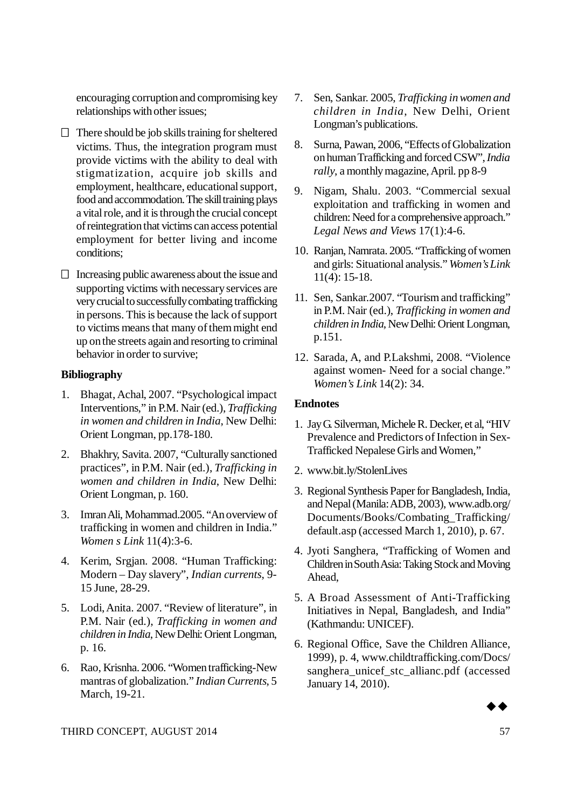encouraging corruption and compromising key relationships with other issues;

- $\Box$  There should be job skills training for sheltered victims. Thus, the integration program must provide victims with the ability to deal with stigmatization, acquire job skills and employment, healthcare, educational support, food and accommodation. The skill training plays a vital role, and it is through the crucial concept of reintegration that victims can access potential employment for better living and income conditions;
- $\Box$  Increasing public awareness about the issue and supporting victims with necessary services are very crucial to successfully combating trafficking in persons. This is because the lack of support to victims means that many of them might end up on the streets again and resorting to criminal behavior in order to survive;

### **Bibliography**

- 1. Bhagat, Achal, 2007. "Psychological impact Interventions," in P.M. Nair (ed.), *Trafficking in women and children in India*, New Delhi: Orient Longman, pp.178-180.
- 2. Bhakhry, Savita. 2007, "Culturally sanctioned practices", in P.M. Nair (ed.), *Trafficking in women and children in India*, New Delhi: Orient Longman, p. 160.
- 3. Imran Ali, Mohammad.2005. "An overview of trafficking in women and children in India." *Women s Link* 11(4):3-6.
- 4. Kerim, Srgjan. 2008. "Human Trafficking: Modern – Day slavery", *Indian currents*, 9- 15 June, 28-29.
- 5. Lodi, Anita. 2007. "Review of literature", in P.M. Nair (ed.), *Trafficking in women and children in India*, New Delhi: Orient Longman, p. 16.
- 6. Rao, Krisnha. 2006. "Women trafficking-New mantras of globalization." *Indian Currents*, 5 March, 19-21.
- 7. Sen, Sankar. 2005, *Trafficking in women and children in India*, New Delhi, Orient Longman's publications.
- 8. Surna, Pawan, 2006, "Effects of Globalization on human Trafficking and forced CSW", *India rally*, a monthly magazine, April. pp 8-9
- 9. Nigam, Shalu. 2003. "Commercial sexual exploitation and trafficking in women and children: Need for a comprehensive approach." *Legal News and Views* 17(1):4-6.
- 10. Ranjan, Namrata. 2005. "Trafficking of women and girls: Situational analysis." *Women's Link* 11(4): 15-18.
- 11. Sen, Sankar.2007. "Tourism and trafficking" in P.M. Nair (ed.), *Trafficking in women and children in India*, New Delhi: Orient Longman, p.151.
- 12. Sarada, A, and P.Lakshmi, 2008. "Violence against women- Need for a social change." *Women's Link* 14(2): 34.

### **Endnotes**

- 1. Jay G. Silverman, Michele R. Decker, et al, "HIV Prevalence and Predictors of Infection in Sex-Trafficked Nepalese Girls and Women,"
- 2. www.bit.ly/StolenLives
- 3. Regional Synthesis Paper for Bangladesh, India, and Nepal (Manila: ADB, 2003), www.adb.org/ Documents/Books/Combating\_Trafficking/ default.asp (accessed March 1, 2010), p. 67.
- 4. Jyoti Sanghera, "Trafficking of Women and Children in South Asia: Taking Stock and Moving Ahead,
- 5. A Broad Assessment of Anti-Trafficking Initiatives in Nepal, Bangladesh, and India" (Kathmandu: UNICEF).
- 6. Regional Office, Save the Children Alliance, 1999), p. 4, www.childtrafficking.com/Docs/ sanghera unicef stc allianc.pdf (accessed January 14, 2010).